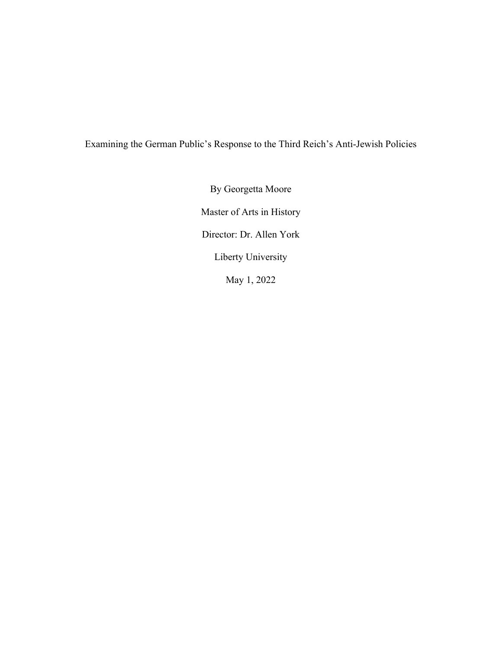Examining the German Public's Response to the Third Reich's Anti-Jewish Policies

By Georgetta Moore Master of Arts in History Director: Dr. Allen York Liberty University May 1, 2022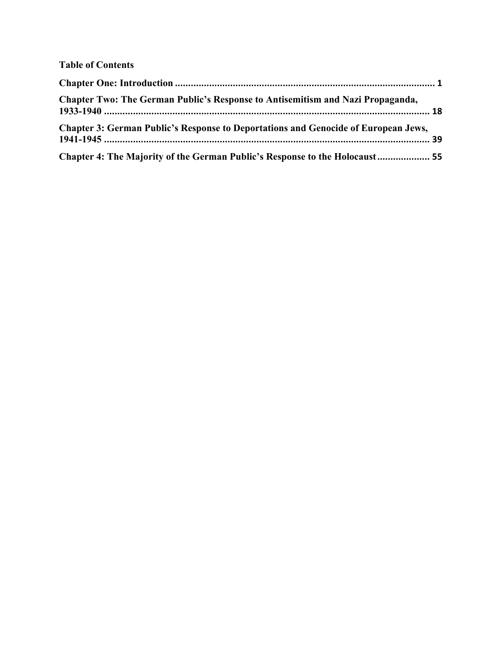## **Table of Contents**

| <b>Chapter Two: The German Public's Response to Antisemitism and Nazi Propaganda,</b>     |  |
|-------------------------------------------------------------------------------------------|--|
| <b>Chapter 3: German Public's Response to Deportations and Genocide of European Jews,</b> |  |
| Chapter 4: The Majority of the German Public's Response to the Holocaust  55              |  |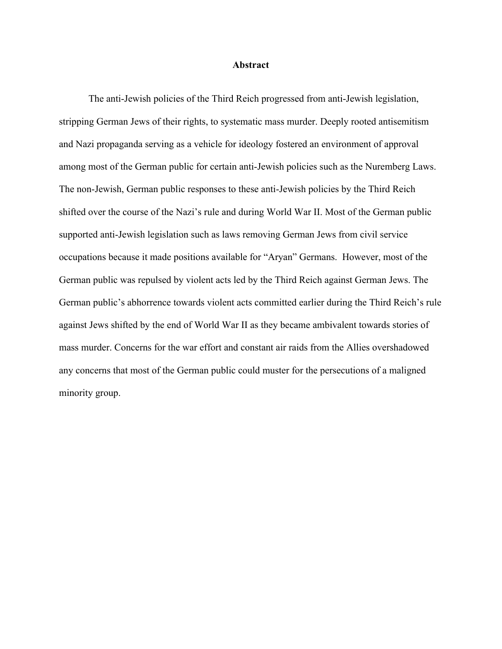## **Abstract**

The anti-Jewish policies of the Third Reich progressed from anti-Jewish legislation, stripping German Jews of their rights, to systematic mass murder. Deeply rooted antisemitism and Nazi propaganda serving as a vehicle for ideology fostered an environment of approval among most of the German public for certain anti-Jewish policies such as the Nuremberg Laws. The non-Jewish, German public responses to these anti-Jewish policies by the Third Reich shifted over the course of the Nazi's rule and during World War II. Most of the German public supported anti-Jewish legislation such as laws removing German Jews from civil service occupations because it made positions available for "Aryan" Germans. However, most of the German public was repulsed by violent acts led by the Third Reich against German Jews. The German public's abhorrence towards violent acts committed earlier during the Third Reich's rule against Jews shifted by the end of World War II as they became ambivalent towards stories of mass murder. Concerns for the war effort and constant air raids from the Allies overshadowed any concerns that most of the German public could muster for the persecutions of a maligned minority group.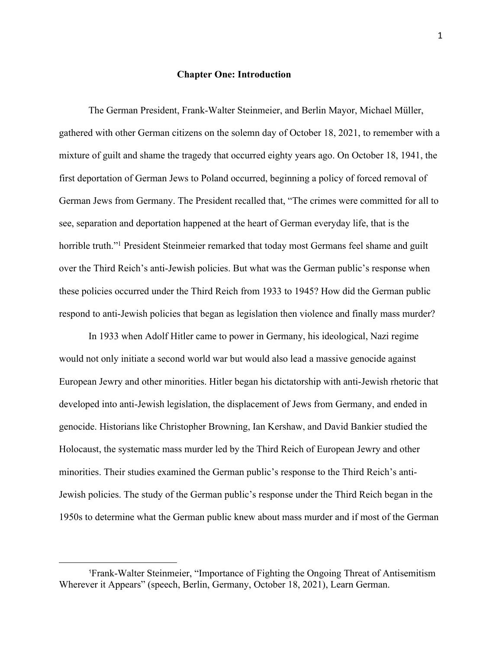## **Chapter One: Introduction**

The German President, Frank-Walter Steinmeier, and Berlin Mayor, Michael Müller, gathered with other German citizens on the solemn day of October 18, 2021, to remember with a mixture of guilt and shame the tragedy that occurred eighty years ago. On October 18, 1941, the first deportation of German Jews to Poland occurred, beginning a policy of forced removal of German Jews from Germany. The President recalled that, "The crimes were committed for all to see, separation and deportation happened at the heart of German everyday life, that is the horrible truth."<sup>1</sup> President Steinmeier remarked that today most Germans feel shame and guilt over the Third Reich's anti-Jewish policies. But what was the German public's response when these policies occurred under the Third Reich from 1933 to 1945? How did the German public respond to anti-Jewish policies that began as legislation then violence and finally mass murder?

In 1933 when Adolf Hitler came to power in Germany, his ideological, Nazi regime would not only initiate a second world war but would also lead a massive genocide against European Jewry and other minorities. Hitler began his dictatorship with anti-Jewish rhetoric that developed into anti-Jewish legislation, the displacement of Jews from Germany, and ended in genocide. Historians like Christopher Browning, Ian Kershaw, and David Bankier studied the Holocaust, the systematic mass murder led by the Third Reich of European Jewry and other minorities. Their studies examined the German public's response to the Third Reich's anti-Jewish policies. The study of the German public's response under the Third Reich began in the 1950s to determine what the German public knew about mass murder and if most of the German

<sup>1</sup>Frank-Walter Steinmeier, "Importance of Fighting the Ongoing Threat of Antisemitism Wherever it Appears" (speech, Berlin, Germany, October 18, 2021), Learn German.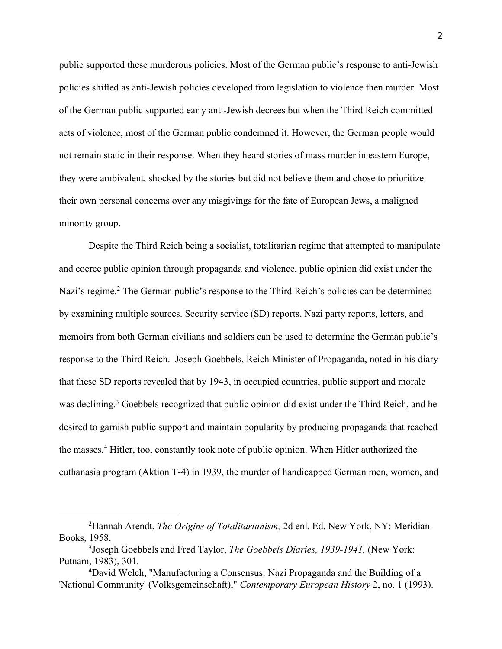public supported these murderous policies. Most of the German public's response to anti-Jewish policies shifted as anti-Jewish policies developed from legislation to violence then murder. Most of the German public supported early anti-Jewish decrees but when the Third Reich committed acts of violence, most of the German public condemned it. However, the German people would not remain static in their response. When they heard stories of mass murder in eastern Europe, they were ambivalent, shocked by the stories but did not believe them and chose to prioritize their own personal concerns over any misgivings for the fate of European Jews, a maligned minority group.

Despite the Third Reich being a socialist, totalitarian regime that attempted to manipulate and coerce public opinion through propaganda and violence, public opinion did exist under the Nazi's regime.<sup>2</sup> The German public's response to the Third Reich's policies can be determined by examining multiple sources. Security service (SD) reports, Nazi party reports, letters, and memoirs from both German civilians and soldiers can be used to determine the German public's response to the Third Reich. Joseph Goebbels, Reich Minister of Propaganda, noted in his diary that these SD reports revealed that by 1943, in occupied countries, public support and morale was declining.<sup>3</sup> Goebbels recognized that public opinion did exist under the Third Reich, and he desired to garnish public support and maintain popularity by producing propaganda that reached the masses.4 Hitler, too, constantly took note of public opinion. When Hitler authorized the euthanasia program (Aktion T-4) in 1939, the murder of handicapped German men, women, and

<sup>2</sup>Hannah Arendt, *The Origins of Totalitarianism,* 2d enl. Ed. New York, NY: Meridian Books, 1958.

<sup>3</sup>Joseph Goebbels and Fred Taylor, *The Goebbels Diaries, 1939-1941,* (New York: Putnam, 1983), 301.

<sup>4</sup>David Welch, "Manufacturing a Consensus: Nazi Propaganda and the Building of a 'National Community' (Volksgemeinschaft)," *Contemporary European History* 2, no. 1 (1993).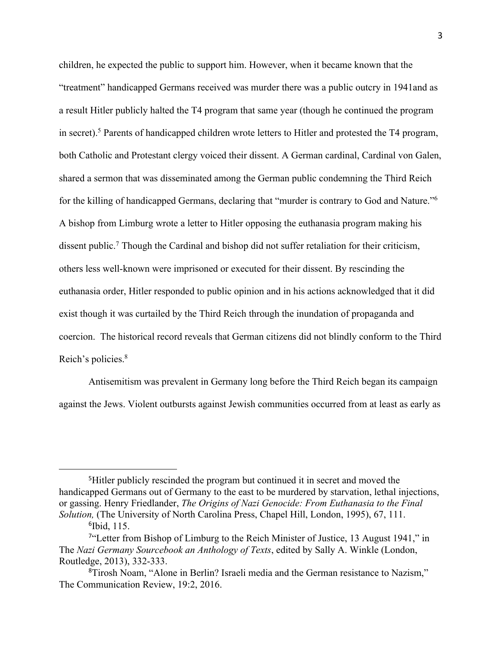children, he expected the public to support him. However, when it became known that the "treatment" handicapped Germans received was murder there was a public outcry in 1941and as a result Hitler publicly halted the T4 program that same year (though he continued the program in secret).5 Parents of handicapped children wrote letters to Hitler and protested the T4 program, both Catholic and Protestant clergy voiced their dissent. A German cardinal, Cardinal von Galen, shared a sermon that was disseminated among the German public condemning the Third Reich for the killing of handicapped Germans, declaring that "murder is contrary to God and Nature."6 A bishop from Limburg wrote a letter to Hitler opposing the euthanasia program making his dissent public.7 Though the Cardinal and bishop did not suffer retaliation for their criticism, others less well-known were imprisoned or executed for their dissent. By rescinding the euthanasia order, Hitler responded to public opinion and in his actions acknowledged that it did exist though it was curtailed by the Third Reich through the inundation of propaganda and coercion. The historical record reveals that German citizens did not blindly conform to the Third Reich's policies.8

Antisemitism was prevalent in Germany long before the Third Reich began its campaign against the Jews. Violent outbursts against Jewish communities occurred from at least as early as

<sup>&</sup>lt;sup>5</sup>Hitler publicly rescinded the program but continued it in secret and moved the handicapped Germans out of Germany to the east to be murdered by starvation, lethal injections, or gassing. Henry Friedlander, *The Origins of Nazi Genocide: From Euthanasia to the Final Solution,* (The University of North Carolina Press, Chapel Hill, London, 1995), 67, 111. <sup>6</sup>Ibid, 115.

<sup>&</sup>lt;sup>7"</sup>Letter from Bishop of Limburg to the Reich Minister of Justice, 13 August 1941," in The *Nazi Germany Sourcebook an Anthology of Texts*, edited by Sally A. Winkle (London, Routledge, 2013), 332-333.

<sup>8</sup>Tirosh Noam, "Alone in Berlin? Israeli media and the German resistance to Nazism," The Communication Review, 19:2, 2016.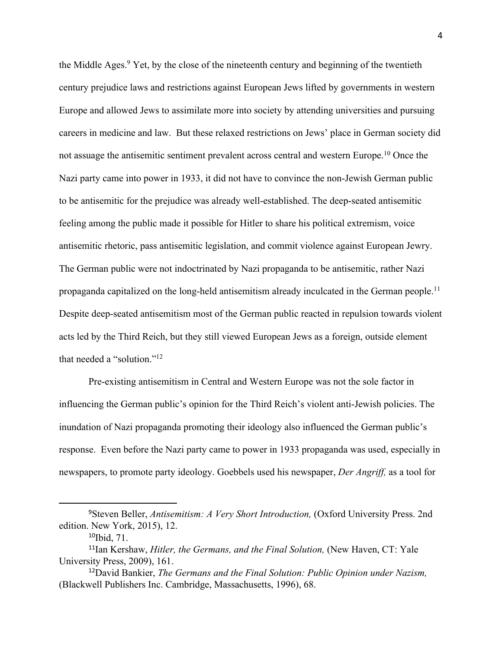the Middle Ages.<sup>9</sup> Yet, by the close of the nineteenth century and beginning of the twentieth century prejudice laws and restrictions against European Jews lifted by governments in western Europe and allowed Jews to assimilate more into society by attending universities and pursuing careers in medicine and law. But these relaxed restrictions on Jews' place in German society did not assuage the antisemitic sentiment prevalent across central and western Europe.<sup>10</sup> Once the Nazi party came into power in 1933, it did not have to convince the non-Jewish German public to be antisemitic for the prejudice was already well-established. The deep-seated antisemitic feeling among the public made it possible for Hitler to share his political extremism, voice antisemitic rhetoric, pass antisemitic legislation, and commit violence against European Jewry. The German public were not indoctrinated by Nazi propaganda to be antisemitic, rather Nazi propaganda capitalized on the long-held antisemitism already inculcated in the German people.<sup>11</sup> Despite deep-seated antisemitism most of the German public reacted in repulsion towards violent acts led by the Third Reich, but they still viewed European Jews as a foreign, outside element that needed a "solution."12

Pre-existing antisemitism in Central and Western Europe was not the sole factor in influencing the German public's opinion for the Third Reich's violent anti-Jewish policies. The inundation of Nazi propaganda promoting their ideology also influenced the German public's response. Even before the Nazi party came to power in 1933 propaganda was used, especially in newspapers, to promote party ideology. Goebbels used his newspaper, *Der Angriff,* as a tool for

<sup>9</sup>Steven Beller, *Antisemitism: A Very Short Introduction,* (Oxford University Press. 2nd edition. New York, 2015), 12.

<sup>&</sup>lt;sup>10</sup>Ibid, 71.

<sup>11</sup>Ian Kershaw, *Hitler, the Germans, and the Final Solution,* (New Haven, CT: Yale University Press, 2009), 161.

<sup>12</sup>David Bankier, *The Germans and the Final Solution: Public Opinion under Nazism,*  (Blackwell Publishers Inc. Cambridge, Massachusetts, 1996), 68.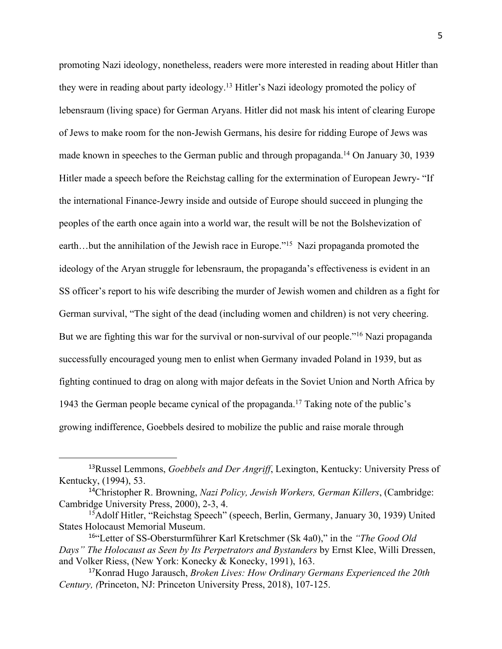promoting Nazi ideology, nonetheless, readers were more interested in reading about Hitler than they were in reading about party ideology.13 Hitler's Nazi ideology promoted the policy of lebensraum (living space) for German Aryans. Hitler did not mask his intent of clearing Europe of Jews to make room for the non-Jewish Germans, his desire for ridding Europe of Jews was made known in speeches to the German public and through propaganda.<sup>14</sup> On January 30, 1939 Hitler made a speech before the Reichstag calling for the extermination of European Jewry- "If the international Finance-Jewry inside and outside of Europe should succeed in plunging the peoples of the earth once again into a world war, the result will be not the Bolshevization of earth…but the annihilation of the Jewish race in Europe."<sup>15</sup> Nazi propaganda promoted the ideology of the Aryan struggle for lebensraum, the propaganda's effectiveness is evident in an SS officer's report to his wife describing the murder of Jewish women and children as a fight for German survival, "The sight of the dead (including women and children) is not very cheering. But we are fighting this war for the survival or non-survival of our people."<sup>16</sup> Nazi propaganda successfully encouraged young men to enlist when Germany invaded Poland in 1939, but as fighting continued to drag on along with major defeats in the Soviet Union and North Africa by 1943 the German people became cynical of the propaganda.17 Taking note of the public's growing indifference, Goebbels desired to mobilize the public and raise morale through

<sup>13</sup>Russel Lemmons, *Goebbels and Der Angriff*, Lexington, Kentucky: University Press of Kentucky, (1994), 53.

<sup>14</sup>Christopher R. Browning, *Nazi Policy, Jewish Workers, German Killers*, (Cambridge: Cambridge University Press, 2000), 2-3, 4.

<sup>&</sup>lt;sup>15</sup>Adolf Hitler, "Reichstag Speech" (speech, Berlin, Germany, January 30, 1939) United States Holocaust Memorial Museum.

<sup>16</sup>"Letter of SS-Obersturmführer Karl Kretschmer (Sk 4a0)," in the *"The Good Old Days" The Holocaust as Seen by Its Perpetrators and Bystanders* by Ernst Klee, Willi Dressen, and Volker Riess, (New York: Konecky & Konecky, 1991), 163.

<sup>17</sup>Konrad Hugo Jarausch, *Broken Lives: How Ordinary Germans Experienced the 20th Century, (*Princeton, NJ: Princeton University Press, 2018), 107-125.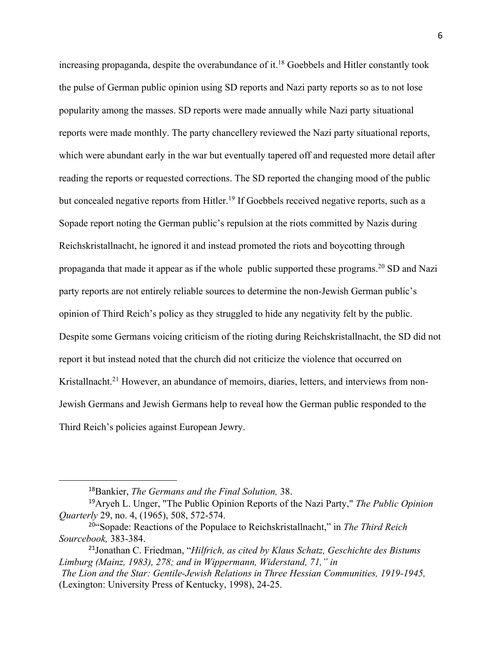increasing propaganda, despite the overabundance of it.<sup>18</sup> Goebbels and Hitler constantly took the pulse of German public opinion using SD reports and Nazi party reports so as to not lose popularity among the masses. SD reports were made annually while Nazi party situational reports were made monthly. The party chancellery reviewed the Nazi party situational reports, which were abundant early in the war but eventually tapered off and requested more detail after reading the reports or requested corrections. The SD reported the changing mood of the public but concealed negative reports from Hitler.<sup>19</sup> If Goebbels received negative reports, such as a Sopade report noting the German public's repulsion at the riots committed by Nazis during Reichskristallnacht, he ignored it and instead promoted the riots and boycotting through propaganda that made it appear as if the whole public supported these programs.<sup>20</sup> SD and Nazi party reports are not entirely reliable sources to determine the non-Jewish German public's opinion of Third Reich's policy as they struggled to hide any negativity felt by the public. Despite some Germans voicing criticism of the rioting during Reichskristallnacht, the SD did not report it but instead noted that the church did not criticize the violence that occurred on Kristallnacht.<sup>21</sup> However, an abundance of memoirs, diaries, letters, and interviews from non-Jewish Germans and Jewish Germans help to reveal how the German public responded to the Third Reich's policies against European Jewry.

<sup>18</sup>Bankier, *The Germans and the Final Solution,* 38.

<sup>19</sup>Aryeh L. Unger, "The Public Opinion Reports of the Nazi Party," *The Public Opinion Quarterly* 29, no. 4, (1965), 508, 572-574.

<sup>20</sup>"Sopade: Reactions of the Populace to Reichskristallnacht," in *The Third Reich Sourcebook,* 383-384.

<sup>21</sup>Jonathan C. Friedman, "*Hilfrich, as cited by Klaus Schatz, Geschichte des Bistums Limburg (Mainz, 1983), 278; and in Wippermann, Widerstand, 71," in*

*The Lion and the Star: Gentile-Jewish Relations in Three Hessian Communities, 1919-1945,*  (Lexington: University Press of Kentucky, 1998), 24-25.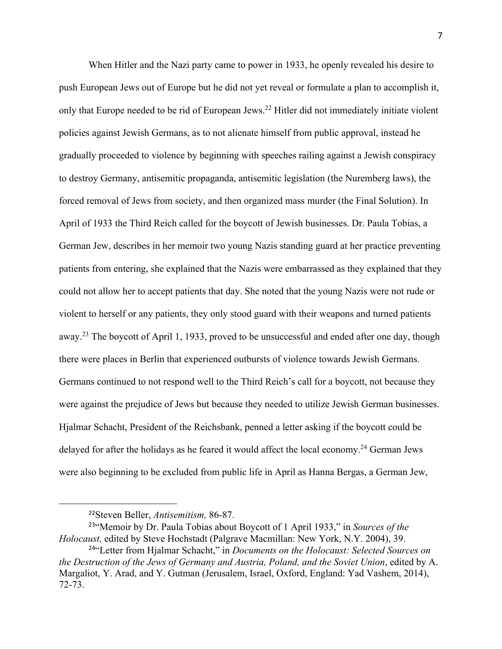When Hitler and the Nazi party came to power in 1933, he openly revealed his desire to push European Jews out of Europe but he did not yet reveal or formulate a plan to accomplish it, only that Europe needed to be rid of European Jews.<sup>22</sup> Hitler did not immediately initiate violent policies against Jewish Germans, as to not alienate himself from public approval, instead he gradually proceeded to violence by beginning with speeches railing against a Jewish conspiracy to destroy Germany, antisemitic propaganda, antisemitic legislation (the Nuremberg laws), the forced removal of Jews from society, and then organized mass murder (the Final Solution). In April of 1933 the Third Reich called for the boycott of Jewish businesses. Dr. Paula Tobias, a German Jew, describes in her memoir two young Nazis standing guard at her practice preventing patients from entering, she explained that the Nazis were embarrassed as they explained that they could not allow her to accept patients that day. She noted that the young Nazis were not rude or violent to herself or any patients, they only stood guard with their weapons and turned patients away.<sup>23</sup> The boycott of April 1, 1933, proved to be unsuccessful and ended after one day, though there were places in Berlin that experienced outbursts of violence towards Jewish Germans. Germans continued to not respond well to the Third Reich's call for a boycott, not because they were against the prejudice of Jews but because they needed to utilize Jewish German businesses. Hjalmar Schacht, President of the Reichsbank, penned a letter asking if the boycott could be delayed for after the holidays as he feared it would affect the local economy.<sup>24</sup> German Jews were also beginning to be excluded from public life in April as Hanna Bergas, a German Jew,

<sup>22</sup>Steven Beller, *Antisemitism,* 86-87.

<sup>23</sup>"Memoir by Dr. Paula Tobias about Boycott of 1 April 1933," in *Sources of the Holocaust,* edited by Steve Hochstadt (Palgrave Macmillan: New York, N.Y. 2004), 39.

<sup>24</sup>"Letter from Hjalmar Schacht," in *Documents on the Holocaust: Selected Sources on the Destruction of the Jews of Germany and Austria, Poland, and the Soviet Union*, edited by A. Margaliot, Y. Arad, and Y. Gutman (Jerusalem, Israel, Oxford, England: Yad Vashem, 2014), 72-73.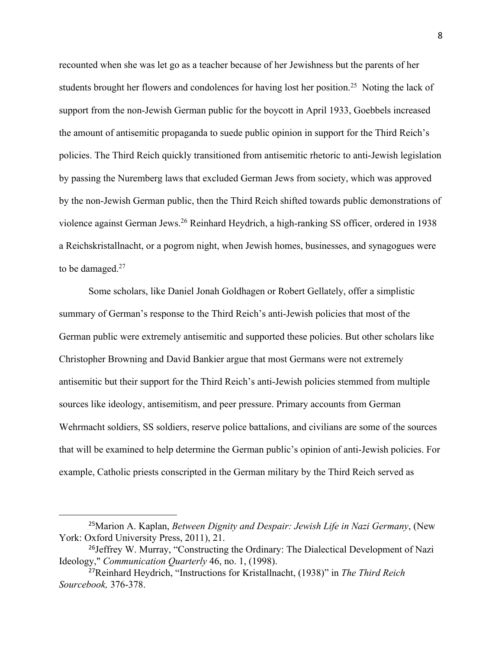recounted when she was let go as a teacher because of her Jewishness but the parents of her students brought her flowers and condolences for having lost her position.<sup>25</sup> Noting the lack of support from the non-Jewish German public for the boycott in April 1933, Goebbels increased the amount of antisemitic propaganda to suede public opinion in support for the Third Reich's policies. The Third Reich quickly transitioned from antisemitic rhetoric to anti-Jewish legislation by passing the Nuremberg laws that excluded German Jews from society, which was approved by the non-Jewish German public, then the Third Reich shifted towards public demonstrations of violence against German Jews.<sup>26</sup> Reinhard Heydrich, a high-ranking SS officer, ordered in 1938 a Reichskristallnacht, or a pogrom night, when Jewish homes, businesses, and synagogues were to be damaged.<sup>27</sup>

Some scholars, like Daniel Jonah Goldhagen or Robert Gellately, offer a simplistic summary of German's response to the Third Reich's anti-Jewish policies that most of the German public were extremely antisemitic and supported these policies. But other scholars like Christopher Browning and David Bankier argue that most Germans were not extremely antisemitic but their support for the Third Reich's anti-Jewish policies stemmed from multiple sources like ideology, antisemitism, and peer pressure. Primary accounts from German Wehrmacht soldiers, SS soldiers, reserve police battalions, and civilians are some of the sources that will be examined to help determine the German public's opinion of anti-Jewish policies. For example, Catholic priests conscripted in the German military by the Third Reich served as

<sup>25</sup>Marion A. Kaplan, *Between Dignity and Despair: Jewish Life in Nazi Germany*, (New York: Oxford University Press, 2011), 21.

<sup>&</sup>lt;sup>26</sup>Jeffrey W. Murray, "Constructing the Ordinary: The Dialectical Development of Nazi Ideology," *Communication Quarterly* 46, no. 1, (1998).

<sup>27</sup>Reinhard Heydrich, "Instructions for Kristallnacht, (1938)" in *The Third Reich Sourcebook,* 376-378.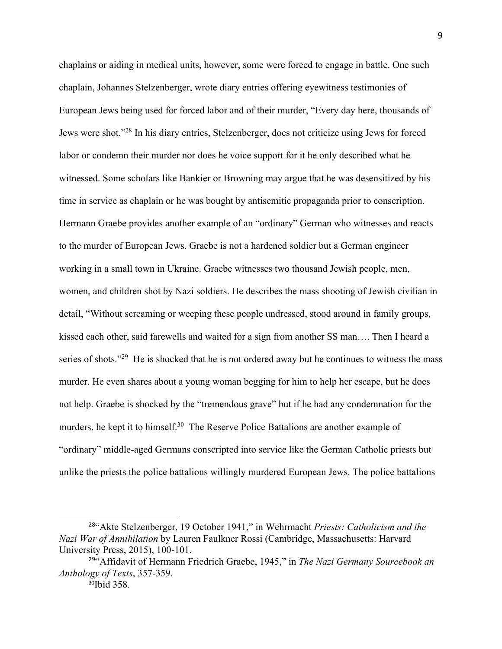chaplains or aiding in medical units, however, some were forced to engage in battle. One such chaplain, Johannes Stelzenberger, wrote diary entries offering eyewitness testimonies of European Jews being used for forced labor and of their murder, "Every day here, thousands of Jews were shot."28 In his diary entries, Stelzenberger, does not criticize using Jews for forced labor or condemn their murder nor does he voice support for it he only described what he witnessed. Some scholars like Bankier or Browning may argue that he was desensitized by his time in service as chaplain or he was bought by antisemitic propaganda prior to conscription. Hermann Graebe provides another example of an "ordinary" German who witnesses and reacts to the murder of European Jews. Graebe is not a hardened soldier but a German engineer working in a small town in Ukraine. Graebe witnesses two thousand Jewish people, men, women, and children shot by Nazi soldiers. He describes the mass shooting of Jewish civilian in detail, "Without screaming or weeping these people undressed, stood around in family groups, kissed each other, said farewells and waited for a sign from another SS man…. Then I heard a series of shots."<sup>29</sup> He is shocked that he is not ordered away but he continues to witness the mass murder. He even shares about a young woman begging for him to help her escape, but he does not help. Graebe is shocked by the "tremendous grave" but if he had any condemnation for the murders, he kept it to himself.<sup>30</sup> The Reserve Police Battalions are another example of "ordinary" middle-aged Germans conscripted into service like the German Catholic priests but unlike the priests the police battalions willingly murdered European Jews. The police battalions

<sup>28</sup>"Akte Stelzenberger, 19 October 1941," in Wehrmacht *Priests: Catholicism and the Nazi War of Annihilation* by Lauren Faulkner Rossi (Cambridge, Massachusetts: Harvard University Press, 2015), 100-101.

<sup>29</sup>"Affidavit of Hermann Friedrich Graebe, 1945," in *The Nazi Germany Sourcebook an Anthology of Texts*, 357-359.

<sup>30</sup>Ibid 358.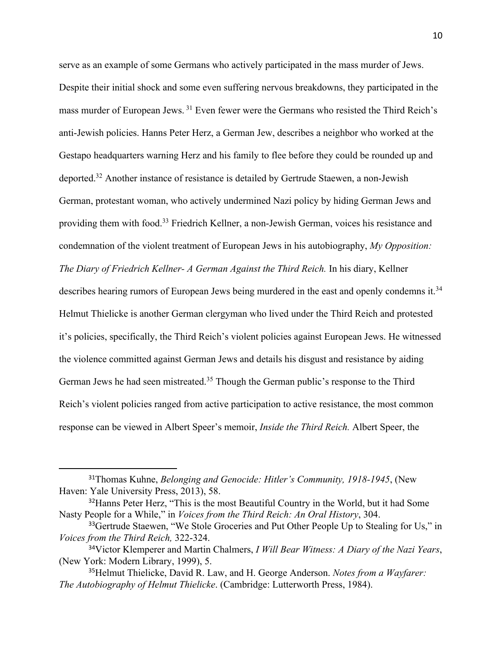serve as an example of some Germans who actively participated in the mass murder of Jews. Despite their initial shock and some even suffering nervous breakdowns, they participated in the mass murder of European Jews. <sup>31</sup> Even fewer were the Germans who resisted the Third Reich's anti-Jewish policies. Hanns Peter Herz, a German Jew, describes a neighbor who worked at the Gestapo headquarters warning Herz and his family to flee before they could be rounded up and deported.32 Another instance of resistance is detailed by Gertrude Staewen, a non-Jewish German, protestant woman, who actively undermined Nazi policy by hiding German Jews and providing them with food.<sup>33</sup> Friedrich Kellner, a non-Jewish German, voices his resistance and condemnation of the violent treatment of European Jews in his autobiography, *My Opposition: The Diary of Friedrich Kellner- A German Against the Third Reich.* In his diary, Kellner describes hearing rumors of European Jews being murdered in the east and openly condemns it.<sup>34</sup> Helmut Thielicke is another German clergyman who lived under the Third Reich and protested it's policies, specifically, the Third Reich's violent policies against European Jews. He witnessed the violence committed against German Jews and details his disgust and resistance by aiding German Jews he had seen mistreated.<sup>35</sup> Though the German public's response to the Third Reich's violent policies ranged from active participation to active resistance, the most common response can be viewed in Albert Speer's memoir, *Inside the Third Reich.* Albert Speer, the

<sup>31</sup>Thomas Kuhne, *Belonging and Genocide: Hitler's Community, 1918-1945*, (New Haven: Yale University Press, 2013), 58.

<sup>&</sup>lt;sup>32</sup> Hanns Peter Herz, "This is the most Beautiful Country in the World, but it had Some Nasty People for a While," in *Voices from the Third Reich: An Oral History*, 304.

<sup>&</sup>lt;sup>33</sup>Gertrude Staewen, "We Stole Groceries and Put Other People Up to Stealing for Us," in *Voices from the Third Reich,* 322-324.

<sup>34</sup>Victor Klemperer and Martin Chalmers, *I Will Bear Witness: A Diary of the Nazi Years*, (New York: Modern Library, 1999), 5.

<sup>35</sup>Helmut Thielicke, David R. Law, and H. George Anderson. *Notes from a Wayfarer: The Autobiography of Helmut Thielicke*. (Cambridge: Lutterworth Press, 1984).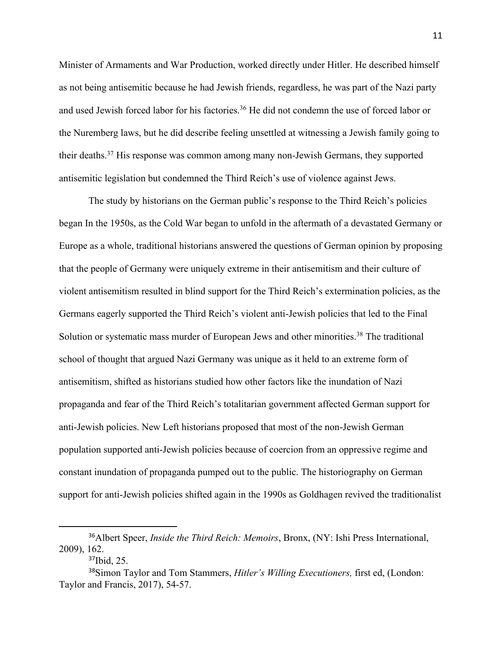Minister of Armaments and War Production, worked directly under Hitler. He described himself as not being antisemitic because he had Jewish friends, regardless, he was part of the Nazi party and used Jewish forced labor for his factories.<sup>36</sup> He did not condemn the use of forced labor or the Nuremberg laws, but he did describe feeling unsettled at witnessing a Jewish family going to their deaths.37 His response was common among many non-Jewish Germans, they supported antisemitic legislation but condemned the Third Reich's use of violence against Jews.

The study by historians on the German public's response to the Third Reich's policies began In the 1950s, as the Cold War began to unfold in the aftermath of a devastated Germany or Europe as a whole, traditional historians answered the questions of German opinion by proposing that the people of Germany were uniquely extreme in their antisemitism and their culture of violent antisemitism resulted in blind support for the Third Reich's extermination policies, as the Germans eagerly supported the Third Reich's violent anti-Jewish policies that led to the Final Solution or systematic mass murder of European Jews and other minorities.<sup>38</sup> The traditional school of thought that argued Nazi Germany was unique as it held to an extreme form of antisemitism, shifted as historians studied how other factors like the inundation of Nazi propaganda and fear of the Third Reich's totalitarian government affected German support for anti-Jewish policies. New Left historians proposed that most of the non-Jewish German population supported anti-Jewish policies because of coercion from an oppressive regime and constant inundation of propaganda pumped out to the public. The historiography on German support for anti-Jewish policies shifted again in the 1990s as Goldhagen revived the traditionalist

<sup>36</sup>Albert Speer, *Inside the Third Reich: Memoirs*, Bronx, (NY: Ishi Press International, 2009), 162.

<sup>37</sup>Ibid, 25.

<sup>38</sup>Simon Taylor and Tom Stammers, *Hitler's Willing Executioners,* first ed, (London: Taylor and Francis, 2017), 54-57.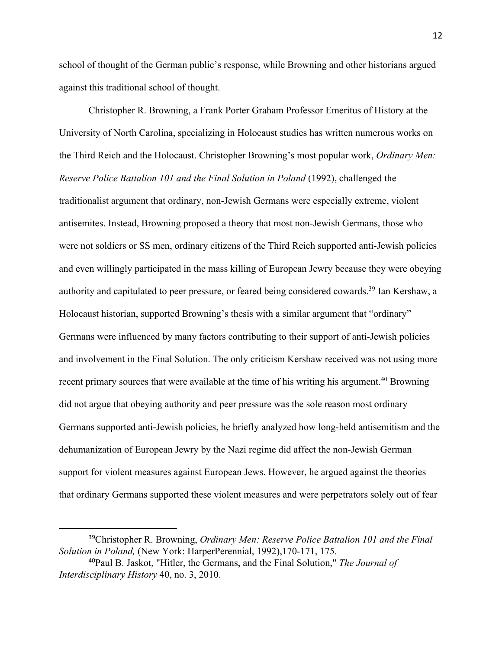school of thought of the German public's response, while Browning and other historians argued against this traditional school of thought.

Christopher R. Browning, a Frank Porter Graham Professor Emeritus of History at the University of North Carolina, specializing in Holocaust studies has written numerous works on the Third Reich and the Holocaust. Christopher Browning's most popular work, *Ordinary Men: Reserve Police Battalion 101 and the Final Solution in Poland* (1992), challenged the traditionalist argument that ordinary, non-Jewish Germans were especially extreme, violent antisemites. Instead, Browning proposed a theory that most non-Jewish Germans, those who were not soldiers or SS men, ordinary citizens of the Third Reich supported anti-Jewish policies and even willingly participated in the mass killing of European Jewry because they were obeying authority and capitulated to peer pressure, or feared being considered cowards.39 Ian Kershaw, a Holocaust historian, supported Browning's thesis with a similar argument that "ordinary" Germans were influenced by many factors contributing to their support of anti-Jewish policies and involvement in the Final Solution. The only criticism Kershaw received was not using more recent primary sources that were available at the time of his writing his argument.<sup>40</sup> Browning did not argue that obeying authority and peer pressure was the sole reason most ordinary Germans supported anti-Jewish policies, he briefly analyzed how long-held antisemitism and the dehumanization of European Jewry by the Nazi regime did affect the non-Jewish German support for violent measures against European Jews. However, he argued against the theories that ordinary Germans supported these violent measures and were perpetrators solely out of fear

<sup>39</sup>Christopher R. Browning, *Ordinary Men: Reserve Police Battalion 101 and the Final Solution in Poland,* (New York: HarperPerennial, 1992),170-171, 175.

<sup>40</sup>Paul B. Jaskot, "Hitler, the Germans, and the Final Solution," *The Journal of Interdisciplinary History* 40, no. 3, 2010.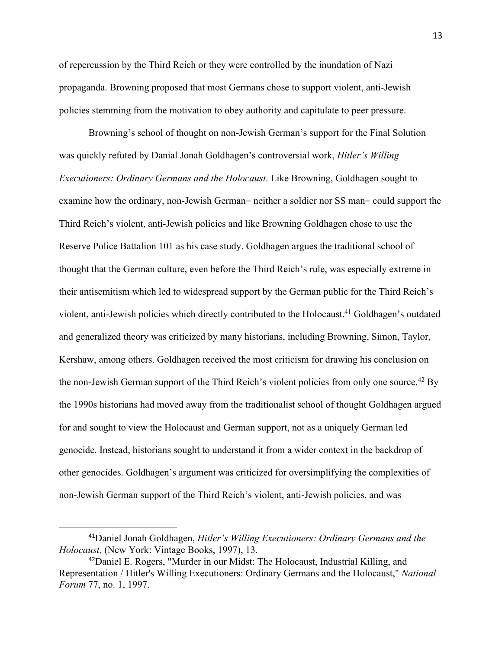of repercussion by the Third Reich or they were controlled by the inundation of Nazi propaganda. Browning proposed that most Germans chose to support violent, anti-Jewish policies stemming from the motivation to obey authority and capitulate to peer pressure.

Browning's school of thought on non-Jewish German's support for the Final Solution was quickly refuted by Danial Jonah Goldhagen's controversial work, *Hitler's Willing Executioners: Ordinary Germans and the Holocaust*. Like Browning, Goldhagen sought to examine how the ordinary, non-Jewish German— neither a soldier nor SS man— could support the Third Reich's violent, anti-Jewish policies and like Browning Goldhagen chose to use the Reserve Police Battalion 101 as his case study. Goldhagen argues the traditional school of thought that the German culture, even before the Third Reich's rule, was especially extreme in their antisemitism which led to widespread support by the German public for the Third Reich's violent, anti-Jewish policies which directly contributed to the Holocaust. <sup>41</sup> Goldhagen's outdated and generalized theory was criticized by many historians, including Browning, Simon, Taylor, Kershaw, among others. Goldhagen received the most criticism for drawing his conclusion on the non-Jewish German support of the Third Reich's violent policies from only one source.<sup>42</sup> By the 1990s historians had moved away from the traditionalist school of thought Goldhagen argued for and sought to view the Holocaust and German support, not as a uniquely German led genocide. Instead, historians sought to understand it from a wider context in the backdrop of other genocides. Goldhagen's argument was criticized for oversimplifying the complexities of non-Jewish German support of the Third Reich's violent, anti-Jewish policies, and was

<sup>41</sup>Daniel Jonah Goldhagen, *Hitler's Willing Executioners: Ordinary Germans and the Holocaust,* (New York: Vintage Books, 1997), 13.

<sup>42</sup>Daniel E. Rogers, "Murder in our Midst: The Holocaust, Industrial Killing, and Representation / Hitler's Willing Executioners: Ordinary Germans and the Holocaust," *National Forum* 77, no. 1, 1997.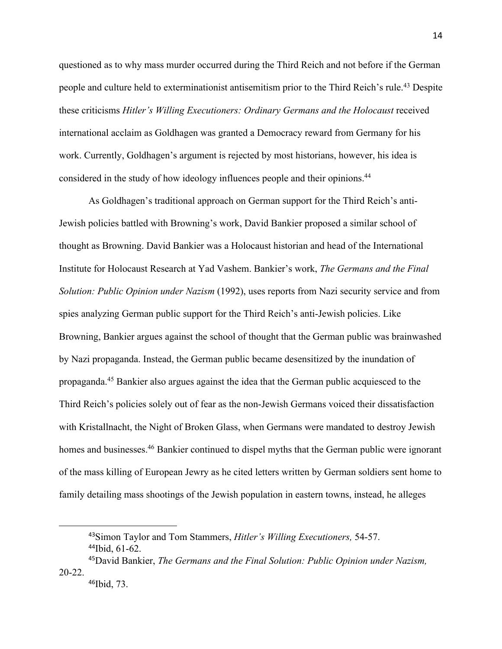questioned as to why mass murder occurred during the Third Reich and not before if the German people and culture held to exterminationist antisemitism prior to the Third Reich's rule.<sup>43</sup> Despite these criticisms *Hitler's Willing Executioners: Ordinary Germans and the Holocaust* received international acclaim as Goldhagen was granted a Democracy reward from Germany for his work. Currently, Goldhagen's argument is rejected by most historians, however, his idea is considered in the study of how ideology influences people and their opinions.<sup>44</sup>

As Goldhagen's traditional approach on German support for the Third Reich's anti-Jewish policies battled with Browning's work, David Bankier proposed a similar school of thought as Browning. David Bankier was a Holocaust historian and head of the International Institute for Holocaust Research at Yad Vashem. Bankier's work, *The Germans and the Final Solution: Public Opinion under Nazism* (1992), uses reports from Nazi security service and from spies analyzing German public support for the Third Reich's anti-Jewish policies. Like Browning, Bankier argues against the school of thought that the German public was brainwashed by Nazi propaganda. Instead, the German public became desensitized by the inundation of propaganda.45 Bankier also argues against the idea that the German public acquiesced to the Third Reich's policies solely out of fear as the non-Jewish Germans voiced their dissatisfaction with Kristallnacht, the Night of Broken Glass, when Germans were mandated to destroy Jewish homes and businesses.<sup>46</sup> Bankier continued to dispel myths that the German public were ignorant of the mass killing of European Jewry as he cited letters written by German soldiers sent home to family detailing mass shootings of the Jewish population in eastern towns, instead, he alleges

<sup>43</sup>Simon Taylor and Tom Stammers, *Hitler's Willing Executioners,* 54-57. <sup>44</sup>Ibid, 61-62.

<sup>45</sup>David Bankier, *The Germans and the Final Solution: Public Opinion under Nazism,*  20-22.

<sup>46</sup>Ibid, 73.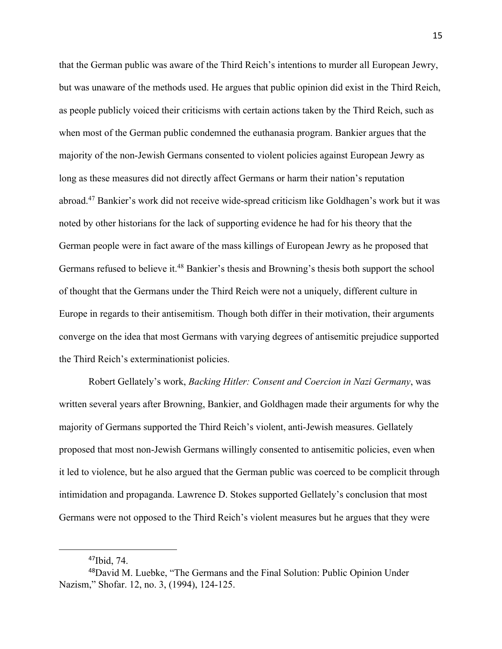that the German public was aware of the Third Reich's intentions to murder all European Jewry, but was unaware of the methods used. He argues that public opinion did exist in the Third Reich, as people publicly voiced their criticisms with certain actions taken by the Third Reich, such as when most of the German public condemned the euthanasia program. Bankier argues that the majority of the non-Jewish Germans consented to violent policies against European Jewry as long as these measures did not directly affect Germans or harm their nation's reputation abroad.47 Bankier's work did not receive wide-spread criticism like Goldhagen's work but it was noted by other historians for the lack of supporting evidence he had for his theory that the German people were in fact aware of the mass killings of European Jewry as he proposed that Germans refused to believe it.<sup>48</sup> Bankier's thesis and Browning's thesis both support the school of thought that the Germans under the Third Reich were not a uniquely, different culture in Europe in regards to their antisemitism. Though both differ in their motivation, their arguments converge on the idea that most Germans with varying degrees of antisemitic prejudice supported the Third Reich's exterminationist policies.

Robert Gellately's work, *Backing Hitler: Consent and Coercion in Nazi Germany*, was written several years after Browning, Bankier, and Goldhagen made their arguments for why the majority of Germans supported the Third Reich's violent, anti-Jewish measures. Gellately proposed that most non-Jewish Germans willingly consented to antisemitic policies, even when it led to violence, but he also argued that the German public was coerced to be complicit through intimidation and propaganda. Lawrence D. Stokes supported Gellately's conclusion that most Germans were not opposed to the Third Reich's violent measures but he argues that they were

<sup>47</sup>Ibid, 74.

<sup>48</sup>David M. Luebke, "The Germans and the Final Solution: Public Opinion Under Nazism," Shofar. 12, no. 3, (1994), 124-125.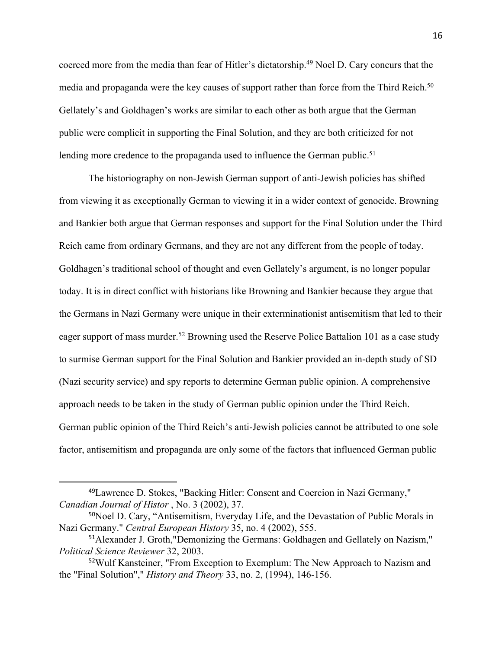coerced more from the media than fear of Hitler's dictatorship.<sup>49</sup> Noel D. Cary concurs that the media and propaganda were the key causes of support rather than force from the Third Reich.<sup>50</sup> Gellately's and Goldhagen's works are similar to each other as both argue that the German public were complicit in supporting the Final Solution, and they are both criticized for not lending more credence to the propaganda used to influence the German public.<sup>51</sup>

The historiography on non-Jewish German support of anti-Jewish policies has shifted from viewing it as exceptionally German to viewing it in a wider context of genocide. Browning and Bankier both argue that German responses and support for the Final Solution under the Third Reich came from ordinary Germans, and they are not any different from the people of today. Goldhagen's traditional school of thought and even Gellately's argument, is no longer popular today. It is in direct conflict with historians like Browning and Bankier because they argue that the Germans in Nazi Germany were unique in their exterminationist antisemitism that led to their eager support of mass murder.<sup>52</sup> Browning used the Reserve Police Battalion 101 as a case study to surmise German support for the Final Solution and Bankier provided an in-depth study of SD (Nazi security service) and spy reports to determine German public opinion. A comprehensive approach needs to be taken in the study of German public opinion under the Third Reich. German public opinion of the Third Reich's anti-Jewish policies cannot be attributed to one sole factor, antisemitism and propaganda are only some of the factors that influenced German public

<sup>49</sup>Lawrence D. Stokes, "Backing Hitler: Consent and Coercion in Nazi Germany," *Canadian Journal of Histor* , No. 3 (2002), 37.

<sup>50</sup>Noel D. Cary, "Antisemitism, Everyday Life, and the Devastation of Public Morals in Nazi Germany." *Central European History* 35, no. 4 (2002), 555.

<sup>51</sup>Alexander J. Groth,"Demonizing the Germans: Goldhagen and Gellately on Nazism," *Political Science Reviewer* 32, 2003.

<sup>52</sup>Wulf Kansteiner, "From Exception to Exemplum: The New Approach to Nazism and the "Final Solution"," *History and Theory* 33, no. 2, (1994), 146-156.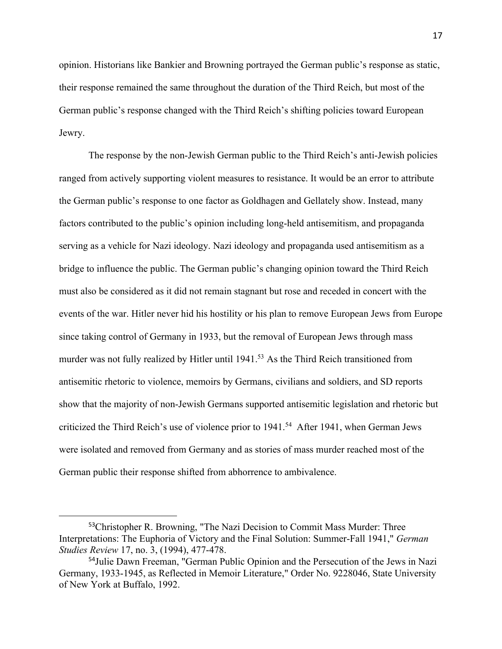opinion. Historians like Bankier and Browning portrayed the German public's response as static, their response remained the same throughout the duration of the Third Reich, but most of the German public's response changed with the Third Reich's shifting policies toward European Jewry.

The response by the non-Jewish German public to the Third Reich's anti-Jewish policies ranged from actively supporting violent measures to resistance. It would be an error to attribute the German public's response to one factor as Goldhagen and Gellately show. Instead, many factors contributed to the public's opinion including long-held antisemitism, and propaganda serving as a vehicle for Nazi ideology. Nazi ideology and propaganda used antisemitism as a bridge to influence the public. The German public's changing opinion toward the Third Reich must also be considered as it did not remain stagnant but rose and receded in concert with the events of the war. Hitler never hid his hostility or his plan to remove European Jews from Europe since taking control of Germany in 1933, but the removal of European Jews through mass murder was not fully realized by Hitler until 1941.<sup>53</sup> As the Third Reich transitioned from antisemitic rhetoric to violence, memoirs by Germans, civilians and soldiers, and SD reports show that the majority of non-Jewish Germans supported antisemitic legislation and rhetoric but criticized the Third Reich's use of violence prior to  $1941$ .<sup>54</sup> After 1941, when German Jews were isolated and removed from Germany and as stories of mass murder reached most of the German public their response shifted from abhorrence to ambivalence.

<sup>53</sup>Christopher R. Browning, "The Nazi Decision to Commit Mass Murder: Three Interpretations: The Euphoria of Victory and the Final Solution: Summer-Fall 1941," *German Studies Review* 17, no. 3, (1994), 477-478.

<sup>54</sup>Julie Dawn Freeman, "German Public Opinion and the Persecution of the Jews in Nazi Germany, 1933-1945, as Reflected in Memoir Literature," Order No. 9228046, State University of New York at Buffalo, 1992.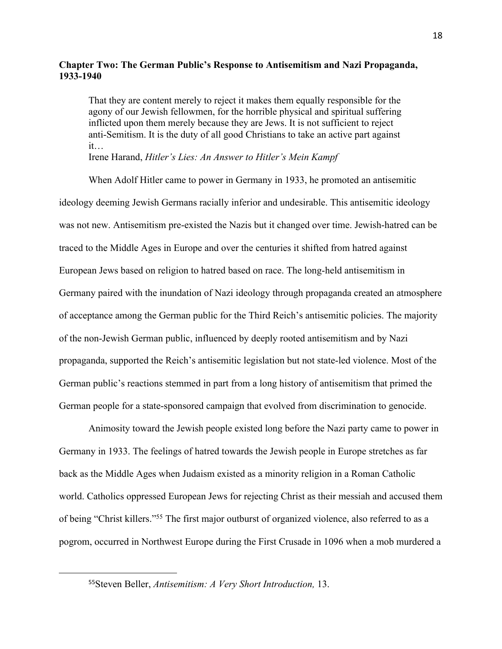## **Chapter Two: The German Public's Response to Antisemitism and Nazi Propaganda, 1933-1940**

That they are content merely to reject it makes them equally responsible for the agony of our Jewish fellowmen, for the horrible physical and spiritual suffering inflicted upon them merely because they are Jews. It is not sufficient to reject anti-Semitism. It is the duty of all good Christians to take an active part against it…

Irene Harand, *Hitler's Lies: An Answer to Hitler's Mein Kampf*

When Adolf Hitler came to power in Germany in 1933, he promoted an antisemitic ideology deeming Jewish Germans racially inferior and undesirable. This antisemitic ideology was not new. Antisemitism pre-existed the Nazis but it changed over time. Jewish-hatred can be traced to the Middle Ages in Europe and over the centuries it shifted from hatred against European Jews based on religion to hatred based on race. The long-held antisemitism in Germany paired with the inundation of Nazi ideology through propaganda created an atmosphere of acceptance among the German public for the Third Reich's antisemitic policies. The majority of the non-Jewish German public, influenced by deeply rooted antisemitism and by Nazi propaganda, supported the Reich's antisemitic legislation but not state-led violence. Most of the German public's reactions stemmed in part from a long history of antisemitism that primed the German people for a state-sponsored campaign that evolved from discrimination to genocide.

Animosity toward the Jewish people existed long before the Nazi party came to power in Germany in 1933. The feelings of hatred towards the Jewish people in Europe stretches as far back as the Middle Ages when Judaism existed as a minority religion in a Roman Catholic world. Catholics oppressed European Jews for rejecting Christ as their messiah and accused them of being "Christ killers."55 The first major outburst of organized violence, also referred to as a pogrom, occurred in Northwest Europe during the First Crusade in 1096 when a mob murdered a

<sup>55</sup>Steven Beller, *Antisemitism: A Very Short Introduction,* 13.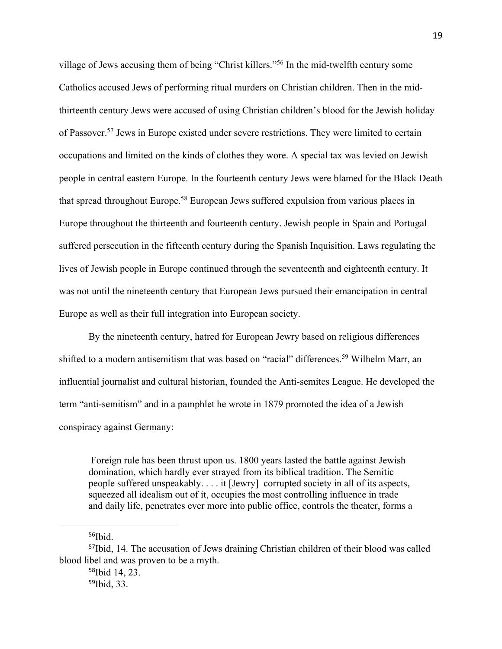village of Jews accusing them of being "Christ killers."56 In the mid-twelfth century some Catholics accused Jews of performing ritual murders on Christian children. Then in the midthirteenth century Jews were accused of using Christian children's blood for the Jewish holiday of Passover.<sup>57</sup> Jews in Europe existed under severe restrictions. They were limited to certain occupations and limited on the kinds of clothes they wore. A special tax was levied on Jewish people in central eastern Europe. In the fourteenth century Jews were blamed for the Black Death that spread throughout Europe.58 European Jews suffered expulsion from various places in Europe throughout the thirteenth and fourteenth century. Jewish people in Spain and Portugal suffered persecution in the fifteenth century during the Spanish Inquisition. Laws regulating the lives of Jewish people in Europe continued through the seventeenth and eighteenth century. It was not until the nineteenth century that European Jews pursued their emancipation in central Europe as well as their full integration into European society.

By the nineteenth century, hatred for European Jewry based on religious differences shifted to a modern antisemitism that was based on "racial" differences.<sup>59</sup> Wilhelm Marr, an influential journalist and cultural historian, founded the Anti-semites League. He developed the term "anti-semitism" and in a pamphlet he wrote in 1879 promoted the idea of a Jewish conspiracy against Germany:

Foreign rule has been thrust upon us. 1800 years lasted the battle against Jewish domination, which hardly ever strayed from its biblical tradition. The Semitic people suffered unspeakably. . . . it [Jewry] corrupted society in all of its aspects, squeezed all idealism out of it, occupies the most controlling influence in trade and daily life, penetrates ever more into public office, controls the theater, forms a

<sup>56</sup>Ibid.

<sup>57</sup>Ibid, 14. The accusation of Jews draining Christian children of their blood was called blood libel and was proven to be a myth.

<sup>58</sup>Ibid 14, 23.

<sup>59</sup>Ibid, 33.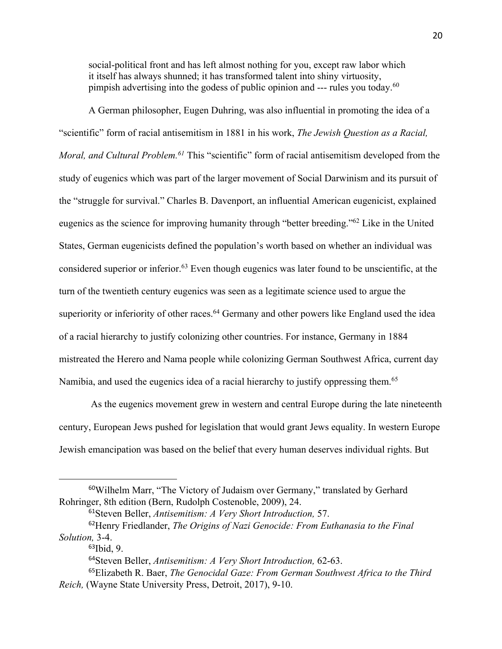social-political front and has left almost nothing for you, except raw labor which it itself has always shunned; it has transformed talent into shiny virtuosity, pimpish advertising into the godess of public opinion and --- rules you today.<sup>60</sup>

A German philosopher, Eugen Duhring, was also influential in promoting the idea of a "scientific" form of racial antisemitism in 1881 in his work, *The Jewish Question as a Racial, Moral, and Cultural Problem.61* This "scientific" form of racial antisemitism developed from the study of eugenics which was part of the larger movement of Social Darwinism and its pursuit of the "struggle for survival." Charles B. Davenport, an influential American eugenicist, explained eugenics as the science for improving humanity through "better breeding."62 Like in the United States, German eugenicists defined the population's worth based on whether an individual was considered superior or inferior.63 Even though eugenics was later found to be unscientific, at the turn of the twentieth century eugenics was seen as a legitimate science used to argue the superiority or inferiority of other races.<sup>64</sup> Germany and other powers like England used the idea of a racial hierarchy to justify colonizing other countries. For instance, Germany in 1884 mistreated the Herero and Nama people while colonizing German Southwest Africa, current day Namibia, and used the eugenics idea of a racial hierarchy to justify oppressing them.<sup>65</sup>

As the eugenics movement grew in western and central Europe during the late nineteenth century, European Jews pushed for legislation that would grant Jews equality. In western Europe Jewish emancipation was based on the belief that every human deserves individual rights. But

<sup>60</sup>Wilhelm Marr, "The Victory of Judaism over Germany," translated by Gerhard Rohringer, 8th edition (Bern, Rudolph Costenoble, 2009), 24.

<sup>61</sup>Steven Beller, *Antisemitism: A Very Short Introduction,* 57.

<sup>62</sup>Henry Friedlander, *The Origins of Nazi Genocide: From Euthanasia to the Final Solution,* 3-4.

<sup>63</sup>Ibid, 9.

<sup>64</sup>Steven Beller, *Antisemitism: A Very Short Introduction,* 62-63.

<sup>65</sup>Elizabeth R. Baer, *The Genocidal Gaze: From German Southwest Africa to the Third Reich,* (Wayne State University Press, Detroit, 2017), 9-10.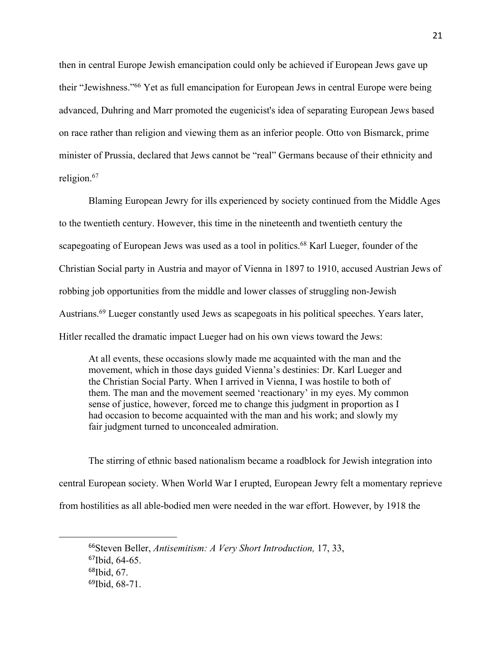then in central Europe Jewish emancipation could only be achieved if European Jews gave up their "Jewishness."66 Yet as full emancipation for European Jews in central Europe were being advanced, Duhring and Marr promoted the eugenicist's idea of separating European Jews based on race rather than religion and viewing them as an inferior people. Otto von Bismarck, prime minister of Prussia, declared that Jews cannot be "real" Germans because of their ethnicity and religion.67

Blaming European Jewry for ills experienced by society continued from the Middle Ages to the twentieth century. However, this time in the nineteenth and twentieth century the scapegoating of European Jews was used as a tool in politics.<sup>68</sup> Karl Lueger, founder of the Christian Social party in Austria and mayor of Vienna in 1897 to 1910, accused Austrian Jews of robbing job opportunities from the middle and lower classes of struggling non-Jewish Austrians.<sup>69</sup> Lueger constantly used Jews as scapegoats in his political speeches. Years later, Hitler recalled the dramatic impact Lueger had on his own views toward the Jews:

At all events, these occasions slowly made me acquainted with the man and the movement, which in those days guided Vienna's destinies: Dr. Karl Lueger and the Christian Social Party. When I arrived in Vienna, I was hostile to both of them. The man and the movement seemed 'reactionary' in my eyes. My common sense of justice, however, forced me to change this judgment in proportion as I had occasion to become acquainted with the man and his work; and slowly my fair judgment turned to unconcealed admiration.

The stirring of ethnic based nationalism became a roadblock for Jewish integration into central European society. When World War I erupted, European Jewry felt a momentary reprieve from hostilities as all able-bodied men were needed in the war effort. However, by 1918 the

<sup>66</sup>Steven Beller, *Antisemitism: A Very Short Introduction,* 17, 33, <sup>67</sup>Ibid, 64-65. <sup>68</sup>Ibid, 67. 69Ibid, 68-71.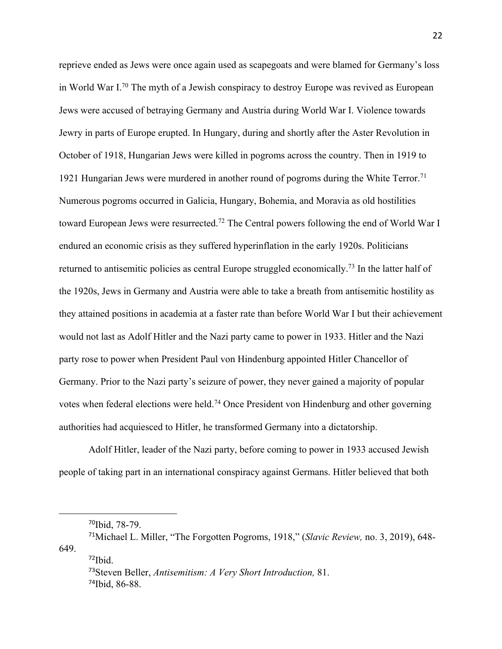reprieve ended as Jews were once again used as scapegoats and were blamed for Germany's loss in World War I.70 The myth of a Jewish conspiracy to destroy Europe was revived as European Jews were accused of betraying Germany and Austria during World War I. Violence towards Jewry in parts of Europe erupted. In Hungary, during and shortly after the Aster Revolution in October of 1918, Hungarian Jews were killed in pogroms across the country. Then in 1919 to 1921 Hungarian Jews were murdered in another round of pogroms during the White Terror.<sup>71</sup> Numerous pogroms occurred in Galicia, Hungary, Bohemia, and Moravia as old hostilities toward European Jews were resurrected.<sup>72</sup> The Central powers following the end of World War I endured an economic crisis as they suffered hyperinflation in the early 1920s. Politicians returned to antisemitic policies as central Europe struggled economically.73 In the latter half of the 1920s, Jews in Germany and Austria were able to take a breath from antisemitic hostility as they attained positions in academia at a faster rate than before World War I but their achievement would not last as Adolf Hitler and the Nazi party came to power in 1933. Hitler and the Nazi party rose to power when President Paul von Hindenburg appointed Hitler Chancellor of Germany. Prior to the Nazi party's seizure of power, they never gained a majority of popular votes when federal elections were held.74 Once President von Hindenburg and other governing authorities had acquiesced to Hitler, he transformed Germany into a dictatorship.

Adolf Hitler, leader of the Nazi party, before coming to power in 1933 accused Jewish people of taking part in an international conspiracy against Germans. Hitler believed that both

<sup>70</sup>Ibid, 78-79.

<sup>71</sup>Michael L. Miller, "The Forgotten Pogroms, 1918," (*Slavic Review,* no. 3, 2019), 648- 649.  $72$ Ibid.

<sup>73</sup>Steven Beller, *Antisemitism: A Very Short Introduction,* 81. 74Ibid, 86-88.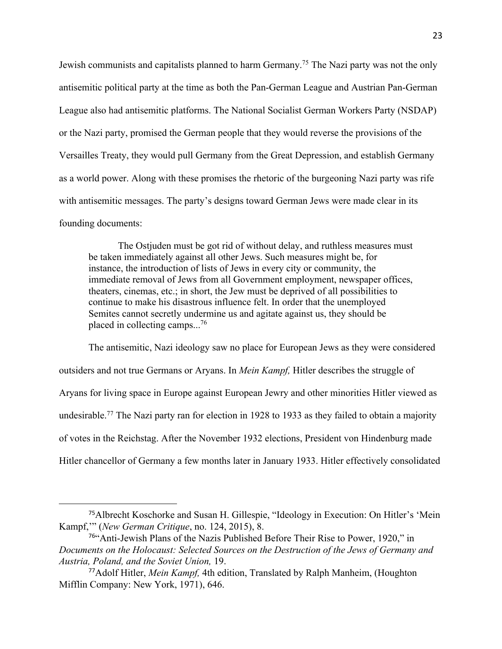Jewish communists and capitalists planned to harm Germany.75 The Nazi party was not the only antisemitic political party at the time as both the Pan-German League and Austrian Pan-German League also had antisemitic platforms. The National Socialist German Workers Party (NSDAP) or the Nazi party, promised the German people that they would reverse the provisions of the Versailles Treaty, they would pull Germany from the Great Depression, and establish Germany as a world power. Along with these promises the rhetoric of the burgeoning Nazi party was rife with antisemitic messages. The party's designs toward German Jews were made clear in its founding documents:

The Ostjuden must be got rid of without delay, and ruthless measures must be taken immediately against all other Jews. Such measures might be, for instance, the introduction of lists of Jews in every city or community, the immediate removal of Jews from all Government employment, newspaper offices, theaters, cinemas, etc.; in short, the Jew must be deprived of all possibilities to continue to make his disastrous influence felt. In order that the unemployed Semites cannot secretly undermine us and agitate against us, they should be placed in collecting camps...76

The antisemitic, Nazi ideology saw no place for European Jews as they were considered outsiders and not true Germans or Aryans. In *Mein Kampf,* Hitler describes the struggle of Aryans for living space in Europe against European Jewry and other minorities Hitler viewed as undesirable.<sup>77</sup> The Nazi party ran for election in 1928 to 1933 as they failed to obtain a majority of votes in the Reichstag. After the November 1932 elections, President von Hindenburg made Hitler chancellor of Germany a few months later in January 1933. Hitler effectively consolidated

<sup>75</sup>Albrecht Koschorke and Susan H. Gillespie, "Ideology in Execution: On Hitler's 'Mein Kampf,'" (*New German Critique*, no. 124, 2015), 8.

<sup>76</sup>"Anti-Jewish Plans of the Nazis Published Before Their Rise to Power, 1920," in *Documents on the Holocaust: Selected Sources on the Destruction of the Jews of Germany and Austria, Poland, and the Soviet Union,* 19.

<sup>77</sup>Adolf Hitler, *Mein Kampf,* 4th edition, Translated by Ralph Manheim, (Houghton Mifflin Company: New York, 1971), 646.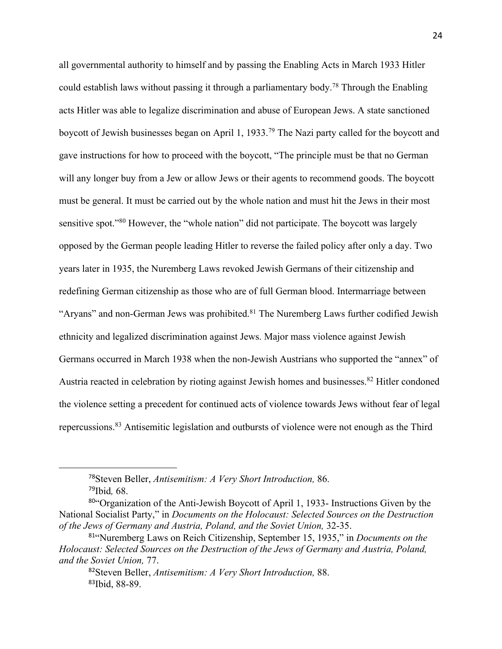all governmental authority to himself and by passing the Enabling Acts in March 1933 Hitler could establish laws without passing it through a parliamentary body.78 Through the Enabling acts Hitler was able to legalize discrimination and abuse of European Jews. A state sanctioned boycott of Jewish businesses began on April 1, 1933.79 The Nazi party called for the boycott and gave instructions for how to proceed with the boycott, "The principle must be that no German will any longer buy from a Jew or allow Jews or their agents to recommend goods. The boycott must be general. It must be carried out by the whole nation and must hit the Jews in their most sensitive spot."<sup>80</sup> However, the "whole nation" did not participate. The boycott was largely opposed by the German people leading Hitler to reverse the failed policy after only a day. Two years later in 1935, the Nuremberg Laws revoked Jewish Germans of their citizenship and redefining German citizenship as those who are of full German blood. Intermarriage between "Aryans" and non-German Jews was prohibited. $81$  The Nuremberg Laws further codified Jewish ethnicity and legalized discrimination against Jews. Major mass violence against Jewish Germans occurred in March 1938 when the non-Jewish Austrians who supported the "annex" of Austria reacted in celebration by rioting against Jewish homes and businesses.<sup>82</sup> Hitler condoned the violence setting a precedent for continued acts of violence towards Jews without fear of legal repercussions.83 Antisemitic legislation and outbursts of violence were not enough as the Third

<sup>78</sup>Steven Beller, *Antisemitism: A Very Short Introduction,* 86. <sup>79</sup>Ibid*,* 68.

<sup>80</sup>"Organization of the Anti-Jewish Boycott of April 1, 1933- Instructions Given by the National Socialist Party," in *Documents on the Holocaust: Selected Sources on the Destruction of the Jews of Germany and Austria, Poland, and the Soviet Union,* 32-35.

<sup>81</sup>"Nuremberg Laws on Reich Citizenship, September 15, 1935," in *Documents on the Holocaust: Selected Sources on the Destruction of the Jews of Germany and Austria, Poland, and the Soviet Union,* 77.

<sup>82</sup>Steven Beller, *Antisemitism: A Very Short Introduction,* 88. 83Ibid, 88-89.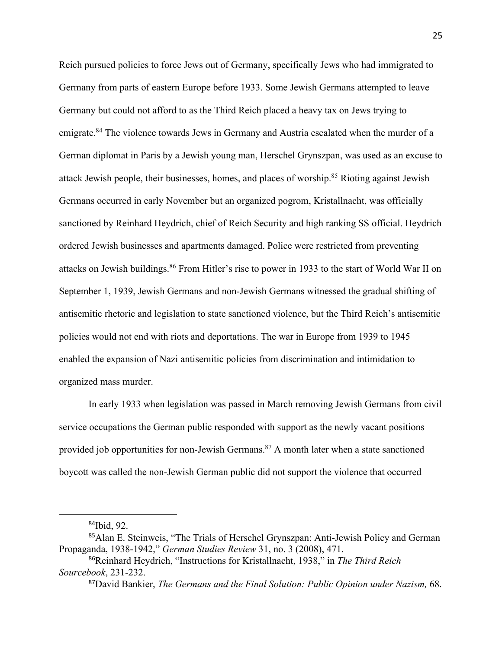Reich pursued policies to force Jews out of Germany, specifically Jews who had immigrated to Germany from parts of eastern Europe before 1933. Some Jewish Germans attempted to leave Germany but could not afford to as the Third Reich placed a heavy tax on Jews trying to emigrate.<sup>84</sup> The violence towards Jews in Germany and Austria escalated when the murder of a German diplomat in Paris by a Jewish young man, Herschel Grynszpan, was used as an excuse to attack Jewish people, their businesses, homes, and places of worship.85 Rioting against Jewish Germans occurred in early November but an organized pogrom, Kristallnacht, was officially sanctioned by Reinhard Heydrich, chief of Reich Security and high ranking SS official. Heydrich ordered Jewish businesses and apartments damaged. Police were restricted from preventing attacks on Jewish buildings.86 From Hitler's rise to power in 1933 to the start of World War II on September 1, 1939, Jewish Germans and non-Jewish Germans witnessed the gradual shifting of antisemitic rhetoric and legislation to state sanctioned violence, but the Third Reich's antisemitic policies would not end with riots and deportations. The war in Europe from 1939 to 1945 enabled the expansion of Nazi antisemitic policies from discrimination and intimidation to organized mass murder.

In early 1933 when legislation was passed in March removing Jewish Germans from civil service occupations the German public responded with support as the newly vacant positions provided job opportunities for non-Jewish Germans. $87$  A month later when a state sanctioned boycott was called the non-Jewish German public did not support the violence that occurred

<sup>84</sup>Ibid, 92.

<sup>85</sup>Alan E. Steinweis, "The Trials of Herschel Grynszpan: Anti-Jewish Policy and German Propaganda, 1938-1942," *German Studies Review* 31, no. 3 (2008), 471.

<sup>86</sup>Reinhard Heydrich, "Instructions for Kristallnacht, 1938," in *The Third Reich Sourcebook*, 231-232.

<sup>87</sup>David Bankier, *The Germans and the Final Solution: Public Opinion under Nazism,* 68.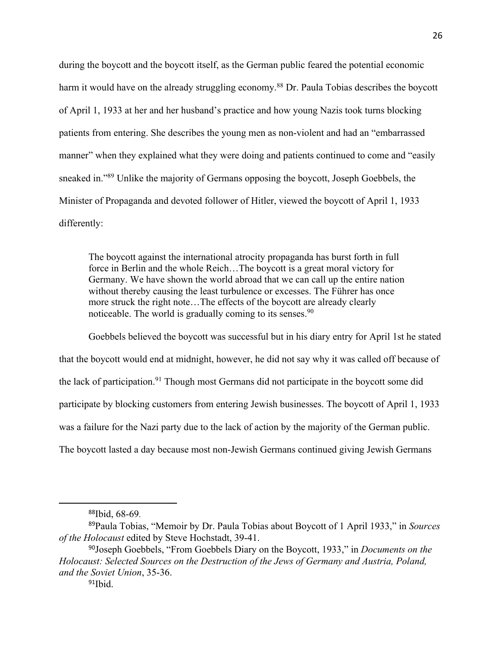during the boycott and the boycott itself, as the German public feared the potential economic harm it would have on the already struggling economy.<sup>88</sup> Dr. Paula Tobias describes the boycott of April 1, 1933 at her and her husband's practice and how young Nazis took turns blocking patients from entering. She describes the young men as non-violent and had an "embarrassed manner" when they explained what they were doing and patients continued to come and "easily sneaked in."89 Unlike the majority of Germans opposing the boycott, Joseph Goebbels, the Minister of Propaganda and devoted follower of Hitler, viewed the boycott of April 1, 1933 differently:

The boycott against the international atrocity propaganda has burst forth in full force in Berlin and the whole Reich…The boycott is a great moral victory for Germany. We have shown the world abroad that we can call up the entire nation without thereby causing the least turbulence or excesses. The Führer has once more struck the right note…The effects of the boycott are already clearly noticeable. The world is gradually coming to its senses.<sup>90</sup>

Goebbels believed the boycott was successful but in his diary entry for April 1st he stated that the boycott would end at midnight, however, he did not say why it was called off because of the lack of participation.<sup>91</sup> Though most Germans did not participate in the boycott some did participate by blocking customers from entering Jewish businesses. The boycott of April 1, 1933 was a failure for the Nazi party due to the lack of action by the majority of the German public. The boycott lasted a day because most non-Jewish Germans continued giving Jewish Germans

<sup>88</sup>Ibid, 68-69.

<sup>89</sup>Paula Tobias, "Memoir by Dr. Paula Tobias about Boycott of 1 April 1933," in *Sources of the Holocaust* edited by Steve Hochstadt, 39-41.

<sup>90</sup>Joseph Goebbels, "From Goebbels Diary on the Boycott, 1933," in *Documents on the Holocaust: Selected Sources on the Destruction of the Jews of Germany and Austria, Poland, and the Soviet Union*, 35-36.

 $91$ Ibid.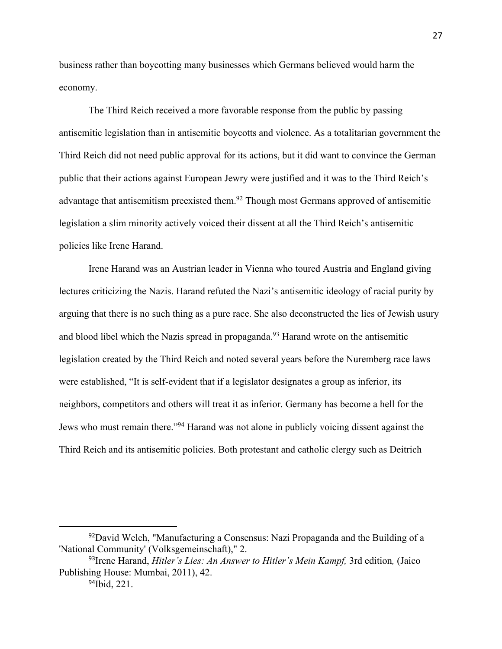business rather than boycotting many businesses which Germans believed would harm the economy.

The Third Reich received a more favorable response from the public by passing antisemitic legislation than in antisemitic boycotts and violence. As a totalitarian government the Third Reich did not need public approval for its actions, but it did want to convince the German public that their actions against European Jewry were justified and it was to the Third Reich's advantage that antisemitism preexisted them.<sup>92</sup> Though most Germans approved of antisemitic legislation a slim minority actively voiced their dissent at all the Third Reich's antisemitic policies like Irene Harand.

Irene Harand was an Austrian leader in Vienna who toured Austria and England giving lectures criticizing the Nazis. Harand refuted the Nazi's antisemitic ideology of racial purity by arguing that there is no such thing as a pure race. She also deconstructed the lies of Jewish usury and blood libel which the Nazis spread in propaganda.<sup>93</sup> Harand wrote on the antisemitic legislation created by the Third Reich and noted several years before the Nuremberg race laws were established, "It is self-evident that if a legislator designates a group as inferior, its neighbors, competitors and others will treat it as inferior. Germany has become a hell for the Jews who must remain there."94 Harand was not alone in publicly voicing dissent against the Third Reich and its antisemitic policies. Both protestant and catholic clergy such as Deitrich

<sup>&</sup>lt;sup>92</sup>David Welch, "Manufacturing a Consensus: Nazi Propaganda and the Building of a 'National Community' (Volksgemeinschaft)," 2.

<sup>&</sup>lt;sup>93</sup> Irene Harand, *Hitler's Lies: An Answer to Hitler's Mein Kampf*, 3rd edition, (Jaico Publishing House: Mumbai, 2011), 42.

<sup>94</sup>Ibid, 221.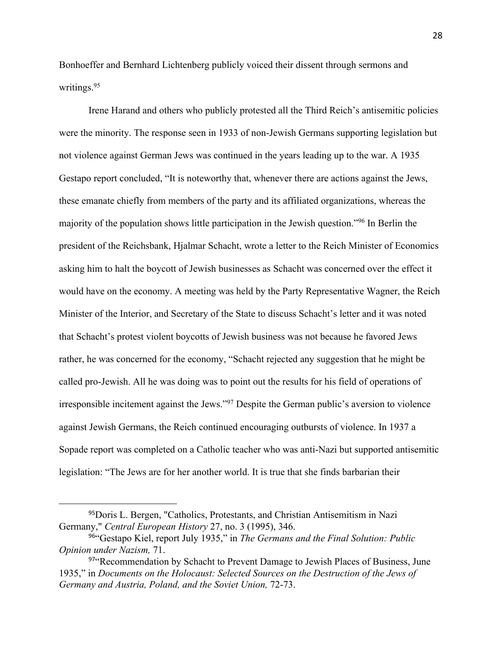Bonhoeffer and Bernhard Lichtenberg publicly voiced their dissent through sermons and writings.95

Irene Harand and others who publicly protested all the Third Reich's antisemitic policies were the minority. The response seen in 1933 of non-Jewish Germans supporting legislation but not violence against German Jews was continued in the years leading up to the war. A 1935 Gestapo report concluded, "It is noteworthy that, whenever there are actions against the Jews, these emanate chiefly from members of the party and its affiliated organizations, whereas the majority of the population shows little participation in the Jewish question."96 In Berlin the president of the Reichsbank, Hjalmar Schacht, wrote a letter to the Reich Minister of Economics asking him to halt the boycott of Jewish businesses as Schacht was concerned over the effect it would have on the economy. A meeting was held by the Party Representative Wagner, the Reich Minister of the Interior, and Secretary of the State to discuss Schacht's letter and it was noted that Schacht's protest violent boycotts of Jewish business was not because he favored Jews rather, he was concerned for the economy, "Schacht rejected any suggestion that he might be called pro-Jewish. All he was doing was to point out the results for his field of operations of irresponsible incitement against the Jews."<sup>97</sup> Despite the German public's aversion to violence against Jewish Germans, the Reich continued encouraging outbursts of violence. In 1937 a Sopade report was completed on a Catholic teacher who was anti-Nazi but supported antisemitic legislation: "The Jews are for her another world. It is true that she finds barbarian their

<sup>95</sup>Doris L. Bergen, "Catholics, Protestants, and Christian Antisemitism in Nazi Germany," *Central European History* 27, no. 3 (1995), 346.

<sup>96</sup>"Gestapo Kiel, report July 1935," in *The Germans and the Final Solution: Public Opinion under Nazism,* 71.

<sup>97&</sup>quot;Recommendation by Schacht to Prevent Damage to Jewish Places of Business, June 1935," in *Documents on the Holocaust: Selected Sources on the Destruction of the Jews of Germany and Austria, Poland, and the Soviet Union,* 72-73.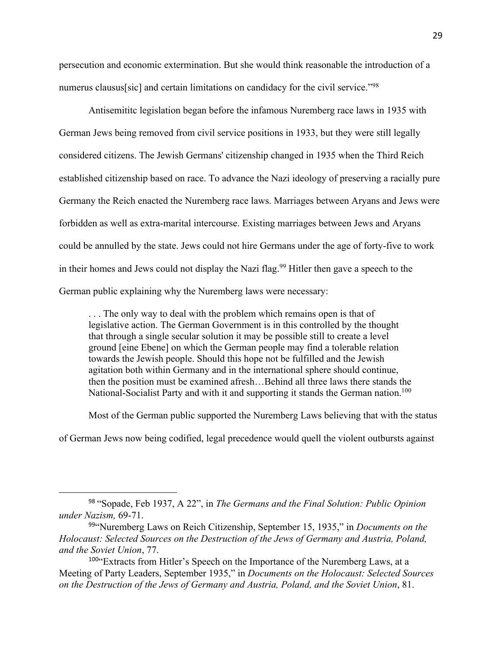persecution and economic extermination. But she would think reasonable the introduction of a numerus clausus[sic] and certain limitations on candidacy for the civil service."<sup>98</sup>

Antisemititc legislation began before the infamous Nuremberg race laws in 1935 with German Jews being removed from civil service positions in 1933, but they were still legally considered citizens. The Jewish Germans' citizenship changed in 1935 when the Third Reich established citizenship based on race. To advance the Nazi ideology of preserving a racially pure Germany the Reich enacted the Nuremberg race laws. Marriages between Aryans and Jews were forbidden as well as extra-marital intercourse. Existing marriages between Jews and Aryans could be annulled by the state. Jews could not hire Germans under the age of forty-five to work in their homes and Jews could not display the Nazi flag.<sup>99</sup> Hitler then gave a speech to the German public explaining why the Nuremberg laws were necessary:

. . . The only way to deal with the problem which remains open is that of legislative action. The German Government is in this controlled by the thought that through a single secular solution it may be possible still to create a level ground [eine Ebene] on which the German people may find a tolerable relation towards the Jewish people. Should this hope not be fulfilled and the Jewish agitation both within Germany and in the international sphere should continue, then the position must be examined afresh…Behind all three laws there stands the National-Socialist Party and with it and supporting it stands the German nation.<sup>100</sup>

Most of the German public supported the Nuremberg Laws believing that with the status

of German Jews now being codified, legal precedence would quell the violent outbursts against

<sup>98</sup> "Sopade, Feb 1937, A 22", in *The Germans and the Final Solution: Public Opinion under Nazism,* 69-71.

<sup>99</sup>"Nuremberg Laws on Reich Citizenship, September 15, 1935," in *Documents on the Holocaust: Selected Sources on the Destruction of the Jews of Germany and Austria, Poland, and the Soviet Union*, 77.

<sup>100&</sup>quot;Extracts from Hitler's Speech on the Importance of the Nuremberg Laws, at a Meeting of Party Leaders, September 1935," in *Documents on the Holocaust: Selected Sources on the Destruction of the Jews of Germany and Austria, Poland, and the Soviet Union*, 81.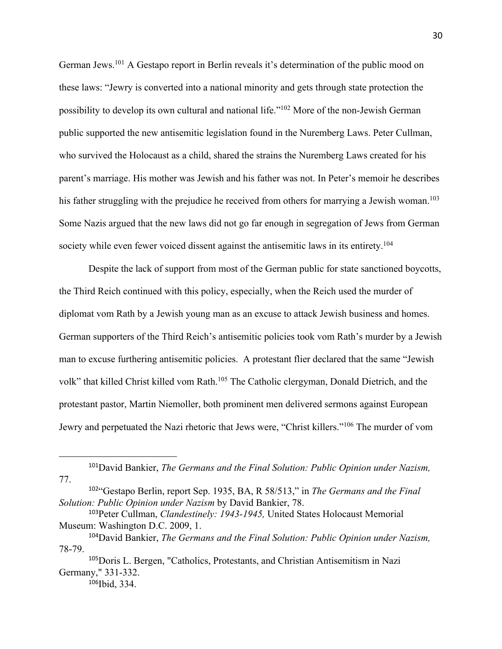German Jews.<sup>101</sup> A Gestapo report in Berlin reveals it's determination of the public mood on these laws: "Jewry is converted into a national minority and gets through state protection the possibility to develop its own cultural and national life."102 More of the non-Jewish German public supported the new antisemitic legislation found in the Nuremberg Laws. Peter Cullman, who survived the Holocaust as a child, shared the strains the Nuremberg Laws created for his parent's marriage. His mother was Jewish and his father was not. In Peter's memoir he describes his father struggling with the prejudice he received from others for marrying a Jewish woman.<sup>103</sup> Some Nazis argued that the new laws did not go far enough in segregation of Jews from German society while even fewer voiced dissent against the antisemitic laws in its entirety.<sup>104</sup>

Despite the lack of support from most of the German public for state sanctioned boycotts, the Third Reich continued with this policy, especially, when the Reich used the murder of diplomat vom Rath by a Jewish young man as an excuse to attack Jewish business and homes. German supporters of the Third Reich's antisemitic policies took vom Rath's murder by a Jewish man to excuse furthering antisemitic policies. A protestant flier declared that the same "Jewish volk" that killed Christ killed vom Rath.<sup>105</sup> The Catholic clergyman, Donald Dietrich, and the protestant pastor, Martin Niemoller, both prominent men delivered sermons against European Jewry and perpetuated the Nazi rhetoric that Jews were, "Christ killers."106 The murder of vom

<sup>101</sup>David Bankier, *The Germans and the Final Solution: Public Opinion under Nazism,*  77.

<sup>102</sup>"Gestapo Berlin, report Sep. 1935, BA, R 58/513," in *The Germans and the Final Solution: Public Opinion under Nazism* by David Bankier, 78.

<sup>103</sup>Peter Cullman, *Clandestinely: 1943-1945,* United States Holocaust Memorial Museum: Washington D.C. 2009, 1.

<sup>104</sup>David Bankier, *The Germans and the Final Solution: Public Opinion under Nazism,*  78-79.

<sup>105</sup>Doris L. Bergen, "Catholics, Protestants, and Christian Antisemitism in Nazi Germany," 331-332. 106Ibid, 334.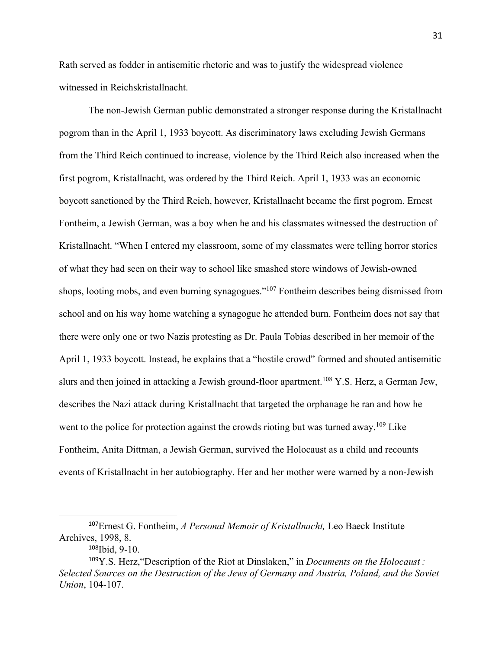Rath served as fodder in antisemitic rhetoric and was to justify the widespread violence witnessed in Reichskristallnacht.

The non-Jewish German public demonstrated a stronger response during the Kristallnacht pogrom than in the April 1, 1933 boycott. As discriminatory laws excluding Jewish Germans from the Third Reich continued to increase, violence by the Third Reich also increased when the first pogrom, Kristallnacht, was ordered by the Third Reich. April 1, 1933 was an economic boycott sanctioned by the Third Reich, however, Kristallnacht became the first pogrom. Ernest Fontheim, a Jewish German, was a boy when he and his classmates witnessed the destruction of Kristallnacht. "When I entered my classroom, some of my classmates were telling horror stories of what they had seen on their way to school like smashed store windows of Jewish-owned shops, looting mobs, and even burning synagogues."<sup>107</sup> Fontheim describes being dismissed from school and on his way home watching a synagogue he attended burn. Fontheim does not say that there were only one or two Nazis protesting as Dr. Paula Tobias described in her memoir of the April 1, 1933 boycott. Instead, he explains that a "hostile crowd" formed and shouted antisemitic slurs and then joined in attacking a Jewish ground-floor apartment.<sup>108</sup> Y.S. Herz, a German Jew, describes the Nazi attack during Kristallnacht that targeted the orphanage he ran and how he went to the police for protection against the crowds rioting but was turned away.<sup>109</sup> Like Fontheim, Anita Dittman, a Jewish German, survived the Holocaust as a child and recounts events of Kristallnacht in her autobiography. Her and her mother were warned by a non-Jewish

<sup>107</sup>Ernest G. Fontheim, *A Personal Memoir of Kristallnacht,* Leo Baeck Institute Archives, 1998, 8.

<sup>108</sup>Ibid, 9-10.

<sup>109</sup>Y.S. Herz,"Description of the Riot at Dinslaken," in *Documents on the Holocaust : Selected Sources on the Destruction of the Jews of Germany and Austria, Poland, and the Soviet Union*, 104-107.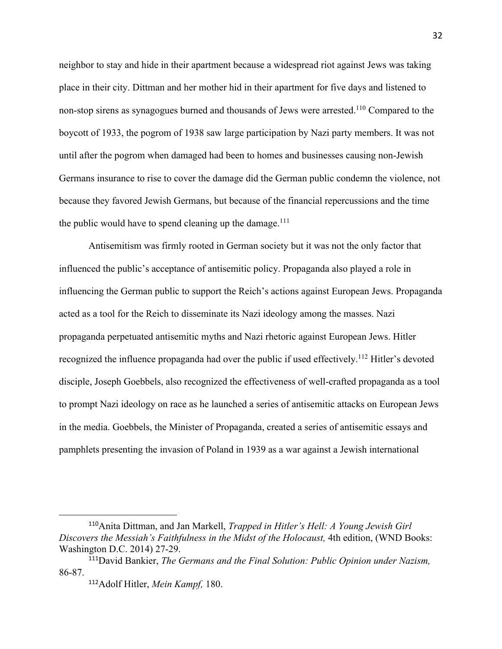neighbor to stay and hide in their apartment because a widespread riot against Jews was taking place in their city. Dittman and her mother hid in their apartment for five days and listened to non-stop sirens as synagogues burned and thousands of Jews were arrested.<sup>110</sup> Compared to the boycott of 1933, the pogrom of 1938 saw large participation by Nazi party members. It was not until after the pogrom when damaged had been to homes and businesses causing non-Jewish Germans insurance to rise to cover the damage did the German public condemn the violence, not because they favored Jewish Germans, but because of the financial repercussions and the time the public would have to spend cleaning up the damage.<sup>111</sup>

Antisemitism was firmly rooted in German society but it was not the only factor that influenced the public's acceptance of antisemitic policy. Propaganda also played a role in influencing the German public to support the Reich's actions against European Jews. Propaganda acted as a tool for the Reich to disseminate its Nazi ideology among the masses. Nazi propaganda perpetuated antisemitic myths and Nazi rhetoric against European Jews. Hitler recognized the influence propaganda had over the public if used effectively.<sup>112</sup> Hitler's devoted disciple, Joseph Goebbels, also recognized the effectiveness of well-crafted propaganda as a tool to prompt Nazi ideology on race as he launched a series of antisemitic attacks on European Jews in the media. Goebbels, the Minister of Propaganda, created a series of antisemitic essays and pamphlets presenting the invasion of Poland in 1939 as a war against a Jewish international

<sup>110</sup>Anita Dittman, and Jan Markell, *Trapped in Hitler's Hell: A Young Jewish Girl Discovers the Messiah's Faithfulness in the Midst of the Holocaust,* 4th edition, (WND Books: Washington D.C. 2014) 27-29.

<sup>111</sup>David Bankier, *The Germans and the Final Solution: Public Opinion under Nazism,*  86-87.

<sup>112</sup>Adolf Hitler, *Mein Kampf,* 180.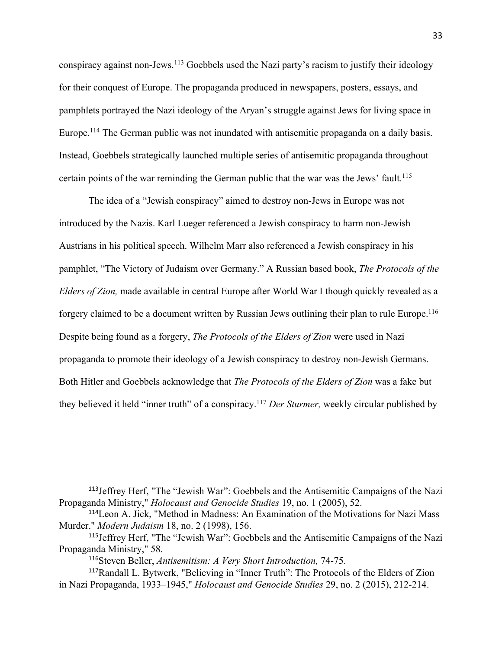conspiracy against non-Jews.<sup>113</sup> Goebbels used the Nazi party's racism to justify their ideology for their conquest of Europe. The propaganda produced in newspapers, posters, essays, and pamphlets portrayed the Nazi ideology of the Aryan's struggle against Jews for living space in Europe.<sup>114</sup> The German public was not inundated with antisemitic propaganda on a daily basis. Instead, Goebbels strategically launched multiple series of antisemitic propaganda throughout certain points of the war reminding the German public that the war was the Jews' fault.<sup>115</sup>

The idea of a "Jewish conspiracy" aimed to destroy non-Jews in Europe was not introduced by the Nazis. Karl Lueger referenced a Jewish conspiracy to harm non-Jewish Austrians in his political speech. Wilhelm Marr also referenced a Jewish conspiracy in his pamphlet, "The Victory of Judaism over Germany." A Russian based book, *The Protocols of the Elders of Zion,* made available in central Europe after World War I though quickly revealed as a forgery claimed to be a document written by Russian Jews outlining their plan to rule Europe.116 Despite being found as a forgery, *The Protocols of the Elders of Zion* were used in Nazi propaganda to promote their ideology of a Jewish conspiracy to destroy non-Jewish Germans. Both Hitler and Goebbels acknowledge that *The Protocols of the Elders of Zion* was a fake but they believed it held "inner truth" of a conspiracy.117 *Der Sturmer,* weekly circular published by

<sup>113</sup>Jeffrey Herf, "The "Jewish War": Goebbels and the Antisemitic Campaigns of the Nazi Propaganda Ministry," *Holocaust and Genocide Studies* 19, no. 1 (2005), 52.

<sup>114</sup>Leon A. Jick, "Method in Madness: An Examination of the Motivations for Nazi Mass Murder." *Modern Judaism* 18, no. 2 (1998), 156.

<sup>115</sup>Jeffrey Herf, "The "Jewish War": Goebbels and the Antisemitic Campaigns of the Nazi Propaganda Ministry," 58.

<sup>116</sup>Steven Beller, *Antisemitism: A Very Short Introduction,* 74-75.

<sup>117</sup>Randall L. Bytwerk, "Believing in "Inner Truth": The Protocols of the Elders of Zion in Nazi Propaganda, 1933–1945," *Holocaust and Genocide Studies* 29, no. 2 (2015), 212-214.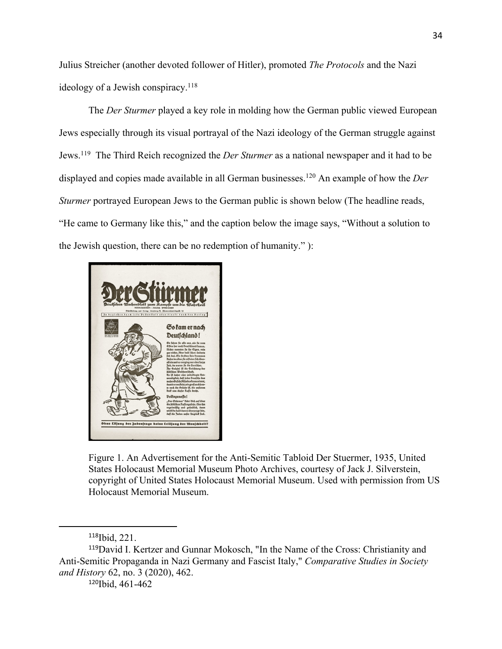Julius Streicher (another devoted follower of Hitler), promoted *The Protocols* and the Nazi ideology of a Jewish conspiracy.<sup>118</sup>

The *Der Sturmer* played a key role in molding how the German public viewed European Jews especially through its visual portrayal of the Nazi ideology of the German struggle against Jews.119 The Third Reich recognized the *Der Sturmer* as a national newspaper and it had to be displayed and copies made available in all German businesses.<sup>120</sup> An example of how the *Der Sturmer* portrayed European Jews to the German public is shown below (The headline reads, "He came to Germany like this," and the caption below the image says, "Without a solution to the Jewish question, there can be no redemption of humanity." ):



Figure 1. An Advertisement for the Anti-Semitic Tabloid Der Stuermer, 1935, United States Holocaust Memorial Museum Photo Archives, courtesy of Jack J. Silverstein, copyright of United States Holocaust Memorial Museum. Used with permission from US Holocaust Memorial Museum.

<sup>118</sup>Ibid, 221.

<sup>119</sup>David I. Kertzer and Gunnar Mokosch, "In the Name of the Cross: Christianity and Anti-Semitic Propaganda in Nazi Germany and Fascist Italy," *Comparative Studies in Society and History* 62, no. 3 (2020), 462.

<sup>120</sup>Ibid, 461-462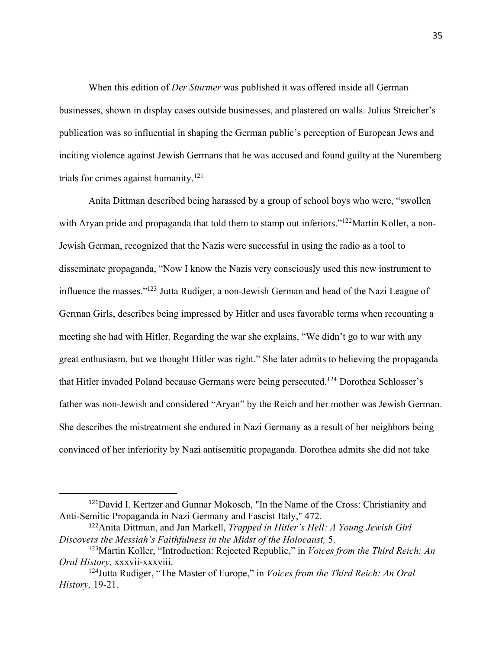When this edition of *Der Sturmer* was published it was offered inside all German businesses, shown in display cases outside businesses, and plastered on walls. Julius Streicher's publication was so influential in shaping the German public's perception of European Jews and inciting violence against Jewish Germans that he was accused and found guilty at the Nuremberg trials for crimes against humanity.121

Anita Dittman described being harassed by a group of school boys who were, "swollen with Aryan pride and propaganda that told them to stamp out inferiors."<sup>122</sup>Martin Koller, a non-Jewish German, recognized that the Nazis were successful in using the radio as a tool to disseminate propaganda, "Now I know the Nazis very consciously used this new instrument to influence the masses."123 Jutta Rudiger, a non-Jewish German and head of the Nazi League of German Girls, describes being impressed by Hitler and uses favorable terms when recounting a meeting she had with Hitler. Regarding the war she explains, "We didn't go to war with any great enthusiasm, but we thought Hitler was right." She later admits to believing the propaganda that Hitler invaded Poland because Germans were being persecuted.124 Dorothea Schlosser's father was non-Jewish and considered "Aryan" by the Reich and her mother was Jewish German. She describes the mistreatment she endured in Nazi Germany as a result of her neighbors being convinced of her inferiority by Nazi antisemitic propaganda. Dorothea admits she did not take

<sup>121</sup>David I. Kertzer and Gunnar Mokosch, "In the Name of the Cross: Christianity and Anti-Semitic Propaganda in Nazi Germany and Fascist Italy," 472.

<sup>122</sup>Anita Dittman, and Jan Markell, *Trapped in Hitler's Hell: A Young Jewish Girl Discovers the Messiah's Faithfulness in the Midst of the Holocaust,* 5.

<sup>123</sup>Martin Koller, "Introduction: Rejected Republic," in *Voices from the Third Reich: An Oral History,* xxxvii-xxxviii.

<sup>124</sup>Jutta Rudiger, "The Master of Europe," in *Voices from the Third Reich: An Oral History,* 19-21.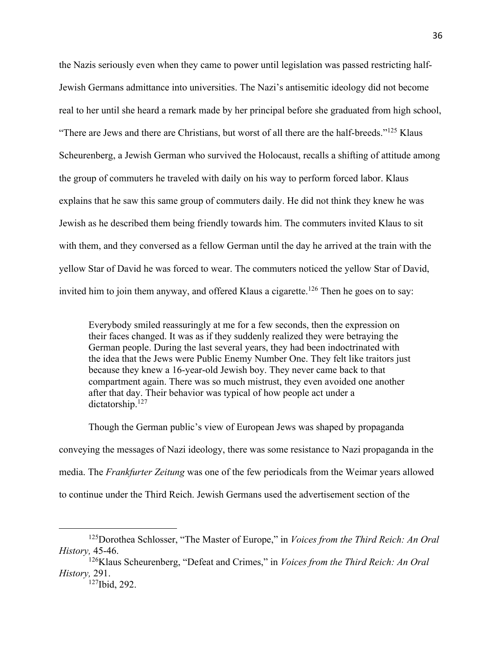the Nazis seriously even when they came to power until legislation was passed restricting half-Jewish Germans admittance into universities. The Nazi's antisemitic ideology did not become real to her until she heard a remark made by her principal before she graduated from high school, "There are Jews and there are Christians, but worst of all there are the half-breeds."<sup>125</sup> Klaus Scheurenberg, a Jewish German who survived the Holocaust, recalls a shifting of attitude among the group of commuters he traveled with daily on his way to perform forced labor. Klaus explains that he saw this same group of commuters daily. He did not think they knew he was Jewish as he described them being friendly towards him. The commuters invited Klaus to sit with them, and they conversed as a fellow German until the day he arrived at the train with the yellow Star of David he was forced to wear. The commuters noticed the yellow Star of David, invited him to join them anyway, and offered Klaus a cigarette.<sup>126</sup> Then he goes on to say:

Everybody smiled reassuringly at me for a few seconds, then the expression on their faces changed. It was as if they suddenly realized they were betraying the German people. During the last several years, they had been indoctrinated with the idea that the Jews were Public Enemy Number One. They felt like traitors just because they knew a 16-year-old Jewish boy. They never came back to that compartment again. There was so much mistrust, they even avoided one another after that day. Their behavior was typical of how people act under a dictatorship.<sup>127</sup>

Though the German public's view of European Jews was shaped by propaganda conveying the messages of Nazi ideology, there was some resistance to Nazi propaganda in the media. The *Frankfurter Zeitung* was one of the few periodicals from the Weimar years allowed to continue under the Third Reich. Jewish Germans used the advertisement section of the

<sup>125</sup>Dorothea Schlosser, "The Master of Europe," in *Voices from the Third Reich: An Oral History,* 45-46.

<sup>126</sup>Klaus Scheurenberg, "Defeat and Crimes," in *Voices from the Third Reich: An Oral History,* 291.

<sup>127</sup>Ibid, 292.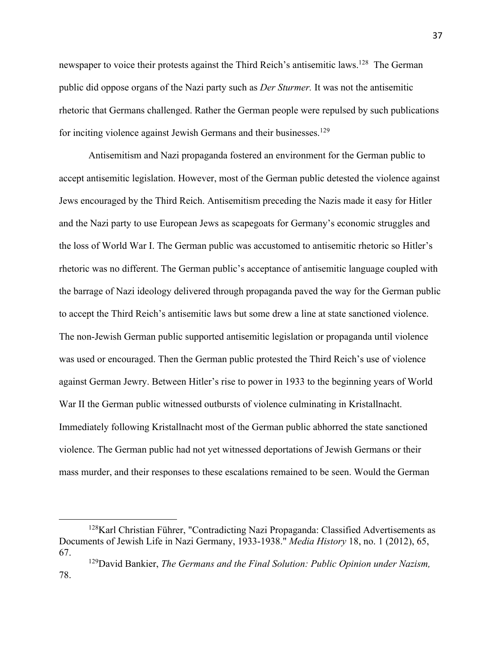newspaper to voice their protests against the Third Reich's antisemitic laws.<sup>128</sup> The German public did oppose organs of the Nazi party such as *Der Sturmer.* It was not the antisemitic rhetoric that Germans challenged. Rather the German people were repulsed by such publications for inciting violence against Jewish Germans and their businesses.<sup>129</sup>

Antisemitism and Nazi propaganda fostered an environment for the German public to accept antisemitic legislation. However, most of the German public detested the violence against Jews encouraged by the Third Reich. Antisemitism preceding the Nazis made it easy for Hitler and the Nazi party to use European Jews as scapegoats for Germany's economic struggles and the loss of World War I. The German public was accustomed to antisemitic rhetoric so Hitler's rhetoric was no different. The German public's acceptance of antisemitic language coupled with the barrage of Nazi ideology delivered through propaganda paved the way for the German public to accept the Third Reich's antisemitic laws but some drew a line at state sanctioned violence. The non-Jewish German public supported antisemitic legislation or propaganda until violence was used or encouraged. Then the German public protested the Third Reich's use of violence against German Jewry. Between Hitler's rise to power in 1933 to the beginning years of World War II the German public witnessed outbursts of violence culminating in Kristallnacht. Immediately following Kristallnacht most of the German public abhorred the state sanctioned violence. The German public had not yet witnessed deportations of Jewish Germans or their mass murder, and their responses to these escalations remained to be seen. Would the German

 $128$ Karl Christian Führer, "Contradicting Nazi Propaganda: Classified Advertisements as Documents of Jewish Life in Nazi Germany, 1933-1938." *Media History* 18, no. 1 (2012), 65, 67.

<sup>129</sup>David Bankier, *The Germans and the Final Solution: Public Opinion under Nazism,*  78.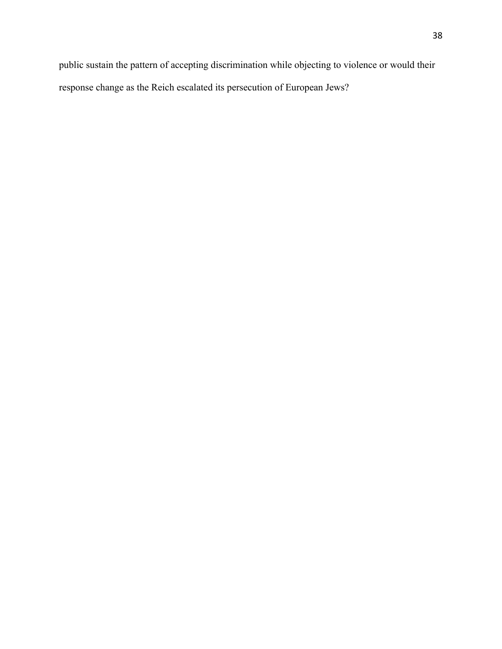public sustain the pattern of accepting discrimination while objecting to violence or would their response change as the Reich escalated its persecution of European Jews?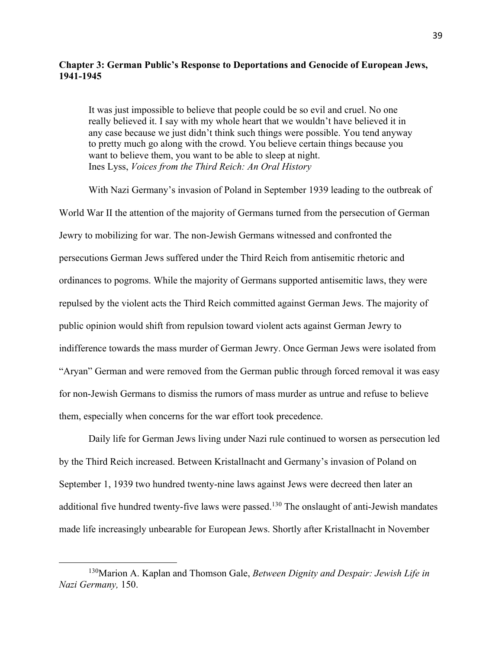## **Chapter 3: German Public's Response to Deportations and Genocide of European Jews, 1941-1945**

It was just impossible to believe that people could be so evil and cruel. No one really believed it. I say with my whole heart that we wouldn't have believed it in any case because we just didn't think such things were possible. You tend anyway to pretty much go along with the crowd. You believe certain things because you want to believe them, you want to be able to sleep at night. Ines Lyss, *Voices from the Third Reich: An Oral History*

With Nazi Germany's invasion of Poland in September 1939 leading to the outbreak of World War II the attention of the majority of Germans turned from the persecution of German Jewry to mobilizing for war. The non-Jewish Germans witnessed and confronted the persecutions German Jews suffered under the Third Reich from antisemitic rhetoric and ordinances to pogroms. While the majority of Germans supported antisemitic laws, they were repulsed by the violent acts the Third Reich committed against German Jews. The majority of public opinion would shift from repulsion toward violent acts against German Jewry to indifference towards the mass murder of German Jewry. Once German Jews were isolated from "Aryan" German and were removed from the German public through forced removal it was easy for non-Jewish Germans to dismiss the rumors of mass murder as untrue and refuse to believe them, especially when concerns for the war effort took precedence.

Daily life for German Jews living under Nazi rule continued to worsen as persecution led by the Third Reich increased. Between Kristallnacht and Germany's invasion of Poland on September 1, 1939 two hundred twenty-nine laws against Jews were decreed then later an additional five hundred twenty-five laws were passed.<sup>130</sup> The onslaught of anti-Jewish mandates made life increasingly unbearable for European Jews. Shortly after Kristallnacht in November

<sup>130</sup>Marion A. Kaplan and Thomson Gale, *Between Dignity and Despair: Jewish Life in Nazi Germany,* 150.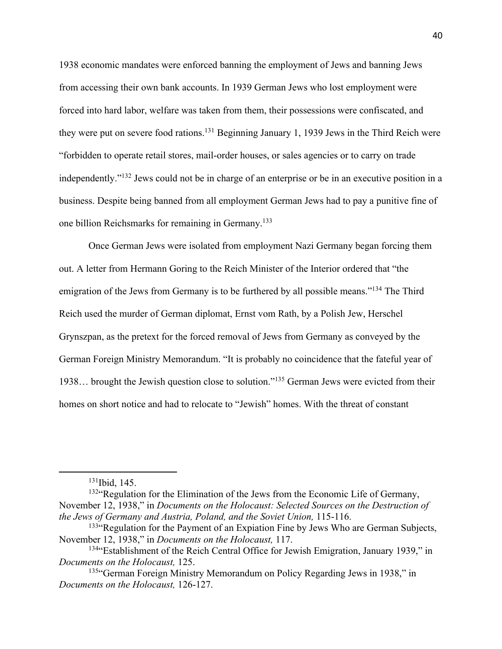1938 economic mandates were enforced banning the employment of Jews and banning Jews from accessing their own bank accounts. In 1939 German Jews who lost employment were forced into hard labor, welfare was taken from them, their possessions were confiscated, and they were put on severe food rations.<sup>131</sup> Beginning January 1, 1939 Jews in the Third Reich were "forbidden to operate retail stores, mail-order houses, or sales agencies or to carry on trade independently."132 Jews could not be in charge of an enterprise or be in an executive position in a business. Despite being banned from all employment German Jews had to pay a punitive fine of one billion Reichsmarks for remaining in Germany.133

Once German Jews were isolated from employment Nazi Germany began forcing them out. A letter from Hermann Goring to the Reich Minister of the Interior ordered that "the emigration of the Jews from Germany is to be furthered by all possible means."<sup>134</sup> The Third Reich used the murder of German diplomat, Ernst vom Rath, by a Polish Jew, Herschel Grynszpan, as the pretext for the forced removal of Jews from Germany as conveyed by the German Foreign Ministry Memorandum. "It is probably no coincidence that the fateful year of 1938… brought the Jewish question close to solution."135 German Jews were evicted from their homes on short notice and had to relocate to "Jewish" homes. With the threat of constant

131Ibid, 145.

132"Regulation for the Elimination of the Jews from the Economic Life of Germany, November 12, 1938," in *Documents on the Holocaust: Selected Sources on the Destruction of the Jews of Germany and Austria, Poland, and the Soviet Union,* 115-116.

<sup>&</sup>lt;sup>133</sup> Regulation for the Payment of an Expiation Fine by Jews Who are German Subjects, November 12, 1938," in *Documents on the Holocaust,* 117.

<sup>134&</sup>quot;Establishment of the Reich Central Office for Jewish Emigration, January 1939," in *Documents on the Holocaust,* 125.

<sup>135&</sup>quot;German Foreign Ministry Memorandum on Policy Regarding Jews in 1938," in *Documents on the Holocaust,* 126-127.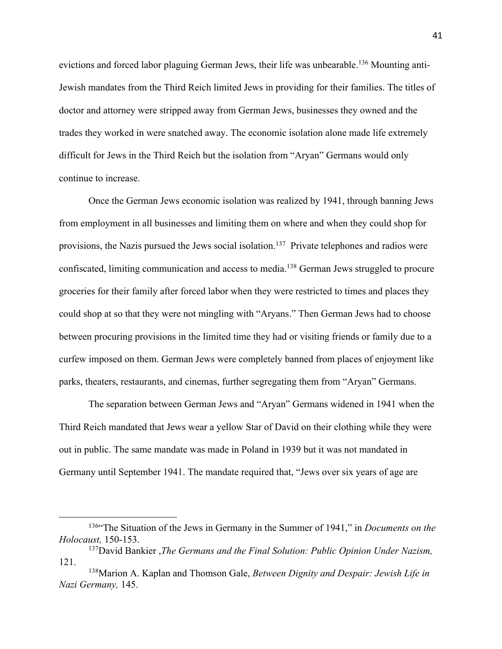evictions and forced labor plaguing German Jews, their life was unbearable.<sup>136</sup> Mounting anti-Jewish mandates from the Third Reich limited Jews in providing for their families. The titles of doctor and attorney were stripped away from German Jews, businesses they owned and the trades they worked in were snatched away. The economic isolation alone made life extremely difficult for Jews in the Third Reich but the isolation from "Aryan" Germans would only continue to increase.

Once the German Jews economic isolation was realized by 1941, through banning Jews from employment in all businesses and limiting them on where and when they could shop for provisions, the Nazis pursued the Jews social isolation.<sup>137</sup> Private telephones and radios were confiscated, limiting communication and access to media.138 German Jews struggled to procure groceries for their family after forced labor when they were restricted to times and places they could shop at so that they were not mingling with "Aryans." Then German Jews had to choose between procuring provisions in the limited time they had or visiting friends or family due to a curfew imposed on them. German Jews were completely banned from places of enjoyment like parks, theaters, restaurants, and cinemas, further segregating them from "Aryan" Germans.

The separation between German Jews and "Aryan" Germans widened in 1941 when the Third Reich mandated that Jews wear a yellow Star of David on their clothing while they were out in public. The same mandate was made in Poland in 1939 but it was not mandated in Germany until September 1941. The mandate required that, "Jews over six years of age are

<sup>136&</sup>quot;The Situation of the Jews in Germany in the Summer of 1941," in *Documents on the Holocaust,* 150-153.

<sup>137</sup>David Bankier ,*The Germans and the Final Solution: Public Opinion Under Nazism,* 121.

<sup>138</sup>Marion A. Kaplan and Thomson Gale, *Between Dignity and Despair: Jewish Life in Nazi Germany,* 145.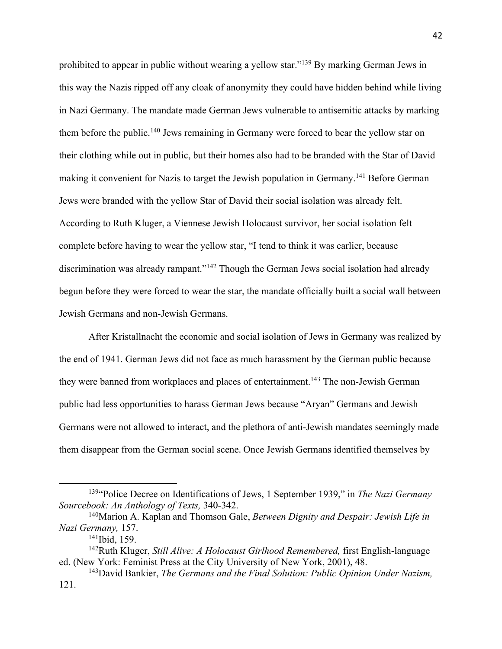prohibited to appear in public without wearing a yellow star."139 By marking German Jews in this way the Nazis ripped off any cloak of anonymity they could have hidden behind while living in Nazi Germany. The mandate made German Jews vulnerable to antisemitic attacks by marking them before the public.<sup>140</sup> Jews remaining in Germany were forced to bear the yellow star on their clothing while out in public, but their homes also had to be branded with the Star of David making it convenient for Nazis to target the Jewish population in Germany.<sup>141</sup> Before German Jews were branded with the yellow Star of David their social isolation was already felt. According to Ruth Kluger, a Viennese Jewish Holocaust survivor, her social isolation felt complete before having to wear the yellow star, "I tend to think it was earlier, because discrimination was already rampant."<sup>142</sup> Though the German Jews social isolation had already begun before they were forced to wear the star, the mandate officially built a social wall between Jewish Germans and non-Jewish Germans.

After Kristallnacht the economic and social isolation of Jews in Germany was realized by the end of 1941. German Jews did not face as much harassment by the German public because they were banned from workplaces and places of entertainment.<sup>143</sup> The non-Jewish German public had less opportunities to harass German Jews because "Aryan" Germans and Jewish Germans were not allowed to interact, and the plethora of anti-Jewish mandates seemingly made them disappear from the German social scene. Once Jewish Germans identified themselves by

<sup>139&</sup>quot;Police Decree on Identifications of Jews, 1 September 1939," in *The Nazi Germany Sourcebook: An Anthology of Texts,* 340-342.

<sup>140</sup>Marion A. Kaplan and Thomson Gale, *Between Dignity and Despair: Jewish Life in Nazi Germany,* 157.

<sup>&</sup>lt;sup>141</sup>Ibid, 159.

<sup>142</sup>Ruth Kluger, *Still Alive: A Holocaust Girlhood Remembered,* first English-language ed. (New York: Feminist Press at the City University of New York, 2001), 48.

<sup>143</sup>David Bankier, *The Germans and the Final Solution: Public Opinion Under Nazism,*  121.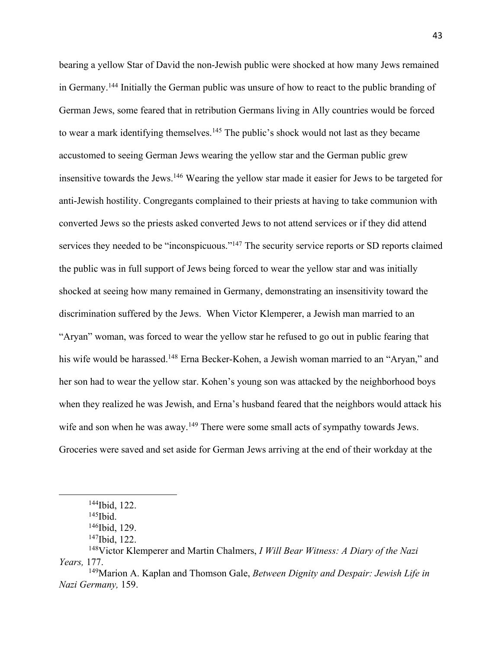bearing a yellow Star of David the non-Jewish public were shocked at how many Jews remained in Germany.144 Initially the German public was unsure of how to react to the public branding of German Jews, some feared that in retribution Germans living in Ally countries would be forced to wear a mark identifying themselves.<sup>145</sup> The public's shock would not last as they became accustomed to seeing German Jews wearing the yellow star and the German public grew insensitive towards the Jews.146 Wearing the yellow star made it easier for Jews to be targeted for anti-Jewish hostility. Congregants complained to their priests at having to take communion with converted Jews so the priests asked converted Jews to not attend services or if they did attend services they needed to be "inconspicuous."<sup>147</sup> The security service reports or SD reports claimed the public was in full support of Jews being forced to wear the yellow star and was initially shocked at seeing how many remained in Germany, demonstrating an insensitivity toward the discrimination suffered by the Jews. When Victor Klemperer, a Jewish man married to an "Aryan" woman, was forced to wear the yellow star he refused to go out in public fearing that his wife would be harassed.<sup>148</sup> Erna Becker-Kohen, a Jewish woman married to an "Aryan," and her son had to wear the yellow star. Kohen's young son was attacked by the neighborhood boys when they realized he was Jewish, and Erna's husband feared that the neighbors would attack his wife and son when he was away.<sup>149</sup> There were some small acts of sympathy towards Jews. Groceries were saved and set aside for German Jews arriving at the end of their workday at the

<sup>144</sup>Ibid, 122.

 $145$  Ibid.

<sup>146</sup>Ibid, 129.

<sup>147</sup>Ibid, 122.

<sup>148</sup>Victor Klemperer and Martin Chalmers, *I Will Bear Witness: A Diary of the Nazi Years,* 177.

<sup>149</sup>Marion A. Kaplan and Thomson Gale, *Between Dignity and Despair: Jewish Life in Nazi Germany,* 159.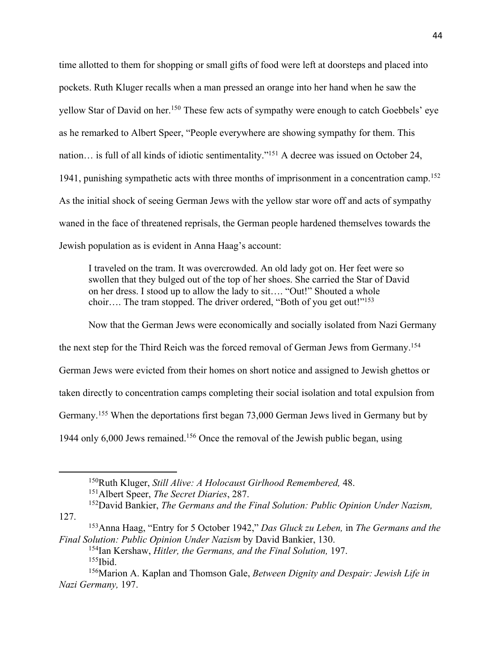time allotted to them for shopping or small gifts of food were left at doorsteps and placed into pockets. Ruth Kluger recalls when a man pressed an orange into her hand when he saw the yellow Star of David on her.<sup>150</sup> These few acts of sympathy were enough to catch Goebbels' eye as he remarked to Albert Speer, "People everywhere are showing sympathy for them. This nation… is full of all kinds of idiotic sentimentality."151 A decree was issued on October 24, 1941, punishing sympathetic acts with three months of imprisonment in a concentration camp.<sup>152</sup> As the initial shock of seeing German Jews with the yellow star wore off and acts of sympathy waned in the face of threatened reprisals, the German people hardened themselves towards the Jewish population as is evident in Anna Haag's account:

I traveled on the tram. It was overcrowded. An old lady got on. Her feet were so swollen that they bulged out of the top of her shoes. She carried the Star of David on her dress. I stood up to allow the lady to sit…. "Out!" Shouted a whole choir…. The tram stopped. The driver ordered, "Both of you get out!"<sup>153</sup>

Now that the German Jews were economically and socially isolated from Nazi Germany the next step for the Third Reich was the forced removal of German Jews from Germany.154 German Jews were evicted from their homes on short notice and assigned to Jewish ghettos or taken directly to concentration camps completing their social isolation and total expulsion from Germany.155 When the deportations first began 73,000 German Jews lived in Germany but by 1944 only 6,000 Jews remained.156 Once the removal of the Jewish public began, using

<sup>150</sup>Ruth Kluger, *Still Alive: A Holocaust Girlhood Remembered,* 48. 151Albert Speer, *The Secret Diaries*, 287.

<sup>152</sup>David Bankier, *The Germans and the Final Solution: Public Opinion Under Nazism,*  127.

<sup>153</sup>Anna Haag, "Entry for 5 October 1942," *Das Gluck zu Leben,* in *The Germans and the Final Solution: Public Opinion Under Nazism* by David Bankier, 130.

<sup>154</sup>Ian Kershaw, *Hitler, the Germans, and the Final Solution,* 197. 155Ibid.

<sup>156</sup>Marion A. Kaplan and Thomson Gale, *Between Dignity and Despair: Jewish Life in Nazi Germany,* 197.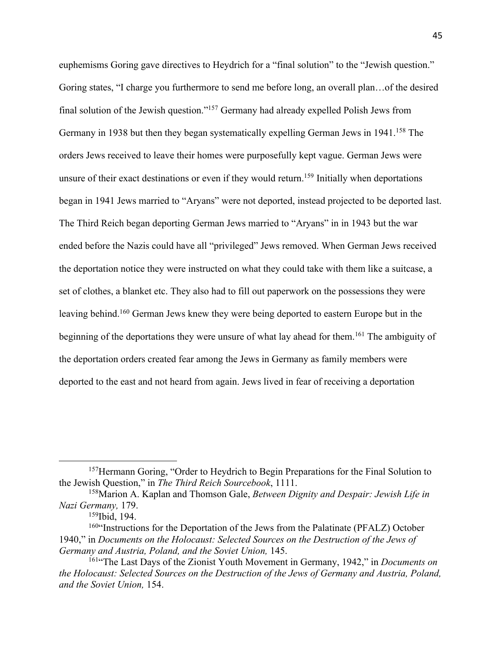euphemisms Goring gave directives to Heydrich for a "final solution" to the "Jewish question." Goring states, "I charge you furthermore to send me before long, an overall plan…of the desired final solution of the Jewish question."157 Germany had already expelled Polish Jews from Germany in 1938 but then they began systematically expelling German Jews in 1941.<sup>158</sup> The orders Jews received to leave their homes were purposefully kept vague. German Jews were unsure of their exact destinations or even if they would return.<sup>159</sup> Initially when deportations began in 1941 Jews married to "Aryans" were not deported, instead projected to be deported last. The Third Reich began deporting German Jews married to "Aryans" in in 1943 but the war ended before the Nazis could have all "privileged" Jews removed. When German Jews received the deportation notice they were instructed on what they could take with them like a suitcase, a set of clothes, a blanket etc. They also had to fill out paperwork on the possessions they were leaving behind.160 German Jews knew they were being deported to eastern Europe but in the beginning of the deportations they were unsure of what lay ahead for them.<sup>161</sup> The ambiguity of the deportation orders created fear among the Jews in Germany as family members were deported to the east and not heard from again. Jews lived in fear of receiving a deportation

<sup>&</sup>lt;sup>157</sup>Hermann Goring, "Order to Heydrich to Begin Preparations for the Final Solution to the Jewish Question," in *The Third Reich Sourcebook*, 1111.

<sup>158</sup>Marion A. Kaplan and Thomson Gale, *Between Dignity and Despair: Jewish Life in Nazi Germany,* 179.

<sup>159</sup>Ibid, 194.

<sup>&</sup>lt;sup>160"</sup>Instructions for the Deportation of the Jews from the Palatinate (PFALZ) October 1940," in *Documents on the Holocaust: Selected Sources on the Destruction of the Jews of*  Germany and Austria, Poland, and the Soviet Union, 145.

<sup>161&</sup>quot;The Last Days of the Zionist Youth Movement in Germany, 1942," in *Documents on the Holocaust: Selected Sources on the Destruction of the Jews of Germany and Austria, Poland, and the Soviet Union,* 154.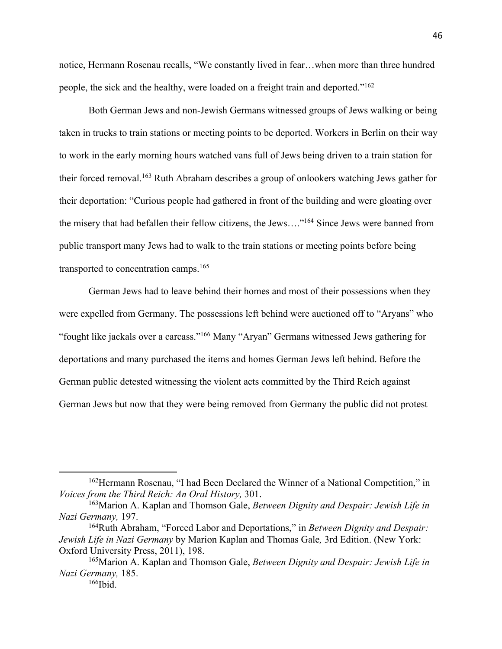notice, Hermann Rosenau recalls, "We constantly lived in fear…when more than three hundred people, the sick and the healthy, were loaded on a freight train and deported."162

Both German Jews and non-Jewish Germans witnessed groups of Jews walking or being taken in trucks to train stations or meeting points to be deported. Workers in Berlin on their way to work in the early morning hours watched vans full of Jews being driven to a train station for their forced removal.<sup>163</sup> Ruth Abraham describes a group of onlookers watching Jews gather for their deportation: "Curious people had gathered in front of the building and were gloating over the misery that had befallen their fellow citizens, the Jews…."164 Since Jews were banned from public transport many Jews had to walk to the train stations or meeting points before being transported to concentration camps.165

German Jews had to leave behind their homes and most of their possessions when they were expelled from Germany. The possessions left behind were auctioned off to "Aryans" who "fought like jackals over a carcass."166 Many "Aryan" Germans witnessed Jews gathering for deportations and many purchased the items and homes German Jews left behind. Before the German public detested witnessing the violent acts committed by the Third Reich against German Jews but now that they were being removed from Germany the public did not protest

<sup>162</sup>Hermann Rosenau, "I had Been Declared the Winner of a National Competition," in *Voices from the Third Reich: An Oral History,* 301.

<sup>163</sup>Marion A. Kaplan and Thomson Gale, *Between Dignity and Despair: Jewish Life in Nazi Germany,* 197.

<sup>164</sup>Ruth Abraham, "Forced Labor and Deportations," in *Between Dignity and Despair: Jewish Life in Nazi Germany* by Marion Kaplan and Thomas Gale*,* 3rd Edition. (New York: Oxford University Press, 2011), 198.

<sup>165</sup>Marion A. Kaplan and Thomson Gale, *Between Dignity and Despair: Jewish Life in Nazi Germany,* 185.

 $166$ Ibid.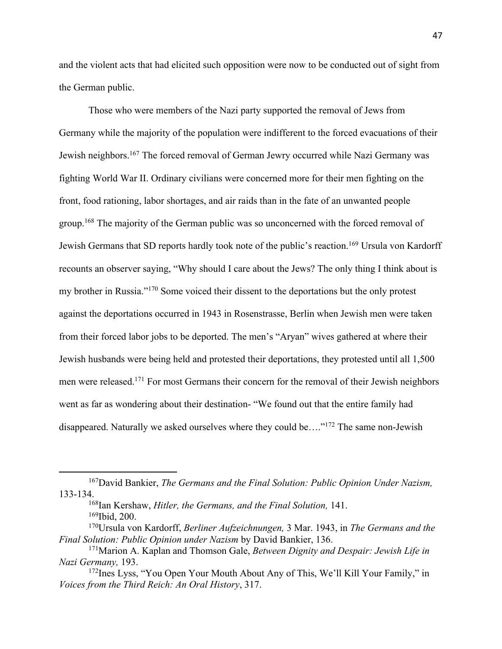and the violent acts that had elicited such opposition were now to be conducted out of sight from the German public.

Those who were members of the Nazi party supported the removal of Jews from Germany while the majority of the population were indifferent to the forced evacuations of their Jewish neighbors.167 The forced removal of German Jewry occurred while Nazi Germany was fighting World War II. Ordinary civilians were concerned more for their men fighting on the front, food rationing, labor shortages, and air raids than in the fate of an unwanted people group.<sup>168</sup> The majority of the German public was so unconcerned with the forced removal of Jewish Germans that SD reports hardly took note of the public's reaction.<sup>169</sup> Ursula von Kardorff recounts an observer saying, "Why should I care about the Jews? The only thing I think about is my brother in Russia."170 Some voiced their dissent to the deportations but the only protest against the deportations occurred in 1943 in Rosenstrasse, Berlin when Jewish men were taken from their forced labor jobs to be deported. The men's "Aryan" wives gathered at where their Jewish husbands were being held and protested their deportations, they protested until all 1,500 men were released.171 For most Germans their concern for the removal of their Jewish neighbors went as far as wondering about their destination- "We found out that the entire family had disappeared. Naturally we asked ourselves where they could be…."172 The same non-Jewish

168Ian Kershaw, *Hitler, the Germans, and the Final Solution,* 141. 169Ibid, 200.

<sup>167</sup>David Bankier, *The Germans and the Final Solution: Public Opinion Under Nazism,*  133-134.

<sup>170</sup>Ursula von Kardorff, *Berliner Aufzeichnungen,* 3 Mar. 1943, in *The Germans and the Final Solution: Public Opinion under Nazism* by David Bankier, 136.

<sup>171</sup>Marion A. Kaplan and Thomson Gale, *Between Dignity and Despair: Jewish Life in Nazi Germany,* 193.

<sup>172</sup>Ines Lyss, "You Open Your Mouth About Any of This, We'll Kill Your Family," in *Voices from the Third Reich: An Oral History*, 317.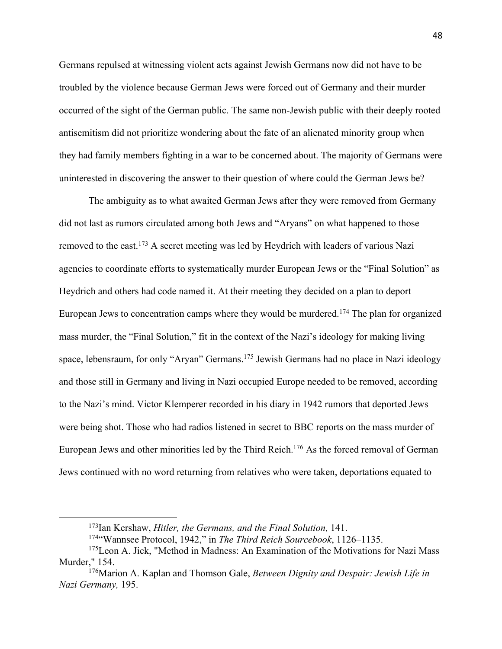Germans repulsed at witnessing violent acts against Jewish Germans now did not have to be troubled by the violence because German Jews were forced out of Germany and their murder occurred of the sight of the German public. The same non-Jewish public with their deeply rooted antisemitism did not prioritize wondering about the fate of an alienated minority group when they had family members fighting in a war to be concerned about. The majority of Germans were uninterested in discovering the answer to their question of where could the German Jews be?

The ambiguity as to what awaited German Jews after they were removed from Germany did not last as rumors circulated among both Jews and "Aryans" on what happened to those removed to the east.173 A secret meeting was led by Heydrich with leaders of various Nazi agencies to coordinate efforts to systematically murder European Jews or the "Final Solution" as Heydrich and others had code named it. At their meeting they decided on a plan to deport European Jews to concentration camps where they would be murdered.<sup>174</sup> The plan for organized mass murder, the "Final Solution," fit in the context of the Nazi's ideology for making living space, lebensraum, for only "Aryan" Germans.<sup>175</sup> Jewish Germans had no place in Nazi ideology and those still in Germany and living in Nazi occupied Europe needed to be removed, according to the Nazi's mind. Victor Klemperer recorded in his diary in 1942 rumors that deported Jews were being shot. Those who had radios listened in secret to BBC reports on the mass murder of European Jews and other minorities led by the Third Reich.176 As the forced removal of German Jews continued with no word returning from relatives who were taken, deportations equated to

<sup>173</sup>Ian Kershaw, *Hitler, the Germans, and the Final Solution,* 141.

<sup>174&</sup>quot;Wannsee Protocol, 1942," in *The Third Reich Sourcebook*, 1126–1135.

<sup>175</sup>Leon A. Jick, "Method in Madness: An Examination of the Motivations for Nazi Mass Murder," 154.

<sup>176</sup>Marion A. Kaplan and Thomson Gale, *Between Dignity and Despair: Jewish Life in Nazi Germany,* 195.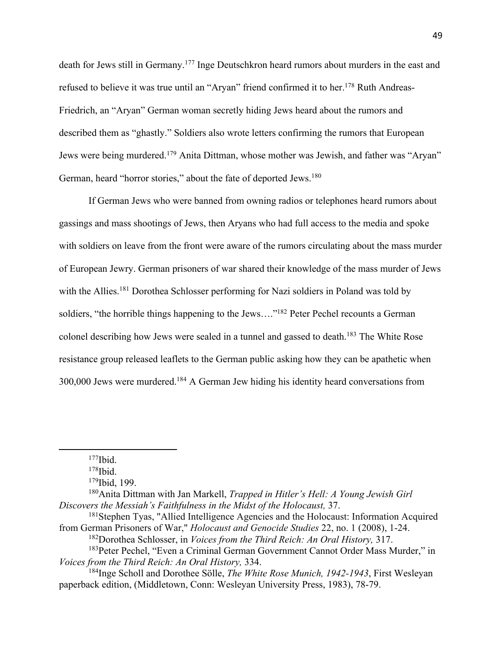death for Jews still in Germany.177 Inge Deutschkron heard rumors about murders in the east and refused to believe it was true until an "Aryan" friend confirmed it to her.<sup>178</sup> Ruth Andreas-Friedrich, an "Aryan" German woman secretly hiding Jews heard about the rumors and described them as "ghastly." Soldiers also wrote letters confirming the rumors that European Jews were being murdered.179 Anita Dittman, whose mother was Jewish, and father was "Aryan" German, heard "horror stories," about the fate of deported Jews.<sup>180</sup>

If German Jews who were banned from owning radios or telephones heard rumors about gassings and mass shootings of Jews, then Aryans who had full access to the media and spoke with soldiers on leave from the front were aware of the rumors circulating about the mass murder of European Jewry. German prisoners of war shared their knowledge of the mass murder of Jews with the Allies.<sup>181</sup> Dorothea Schlosser performing for Nazi soldiers in Poland was told by soldiers, "the horrible things happening to the Jews...."<sup>182</sup> Peter Pechel recounts a German colonel describing how Jews were sealed in a tunnel and gassed to death.183 The White Rose resistance group released leaflets to the German public asking how they can be apathetic when 300,000 Jews were murdered.184 A German Jew hiding his identity heard conversations from

 $177$ Ibid.

180Anita Dittman with Jan Markell, *Trapped in Hitler's Hell: A Young Jewish Girl Discovers the Messiah's Faithfulness in the Midst of the Holocaust,* 37.

182Dorothea Schlosser, in *Voices from the Third Reich: An Oral History,* 317. 183Peter Pechel, "Even a Criminal German Government Cannot Order Mass Murder," in

*Voices from the Third Reich: An Oral History,* 334.

 $178$ Ibid.

<sup>179</sup>Ibid, 199.

<sup>181</sup>Stephen Tyas, "Allied Intelligence Agencies and the Holocaust: Information Acquired from German Prisoners of War," *Holocaust and Genocide Studies* 22, no. 1 (2008), 1-24.

<sup>184</sup>Inge Scholl and Dorothee Sölle, *The White Rose Munich, 1942-1943*, First Wesleyan paperback edition, (Middletown, Conn: Wesleyan University Press, 1983), 78-79.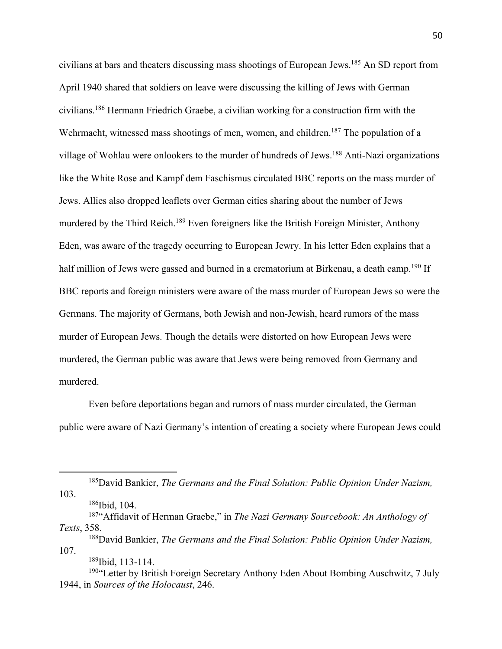civilians at bars and theaters discussing mass shootings of European Jews.185 An SD report from April 1940 shared that soldiers on leave were discussing the killing of Jews with German civilians.186 Hermann Friedrich Graebe, a civilian working for a construction firm with the Wehrmacht, witnessed mass shootings of men, women, and children.<sup>187</sup> The population of a village of Wohlau were onlookers to the murder of hundreds of Jews.188 Anti-Nazi organizations like the White Rose and Kampf dem Faschismus circulated BBC reports on the mass murder of Jews. Allies also dropped leaflets over German cities sharing about the number of Jews murdered by the Third Reich.189 Even foreigners like the British Foreign Minister, Anthony Eden, was aware of the tragedy occurring to European Jewry. In his letter Eden explains that a half million of Jews were gassed and burned in a crematorium at Birkenau, a death camp.<sup>190</sup> If BBC reports and foreign ministers were aware of the mass murder of European Jews so were the Germans. The majority of Germans, both Jewish and non-Jewish, heard rumors of the mass murder of European Jews. Though the details were distorted on how European Jews were murdered, the German public was aware that Jews were being removed from Germany and murdered.

Even before deportations began and rumors of mass murder circulated, the German public were aware of Nazi Germany's intention of creating a society where European Jews could

189Ibid, 113-114.

<sup>185</sup>David Bankier, *The Germans and the Final Solution: Public Opinion Under Nazism,*  103.

<sup>186</sup>Ibid, 104.

<sup>187&</sup>quot;Affidavit of Herman Graebe," in *The Nazi Germany Sourcebook: An Anthology of Texts*, 358.

<sup>188</sup>David Bankier, *The Germans and the Final Solution: Public Opinion Under Nazism,*  107.

<sup>&</sup>lt;sup>190</sup>"Letter by British Foreign Secretary Anthony Eden About Bombing Auschwitz, 7 July 1944, in *Sources of the Holocaust*, 246.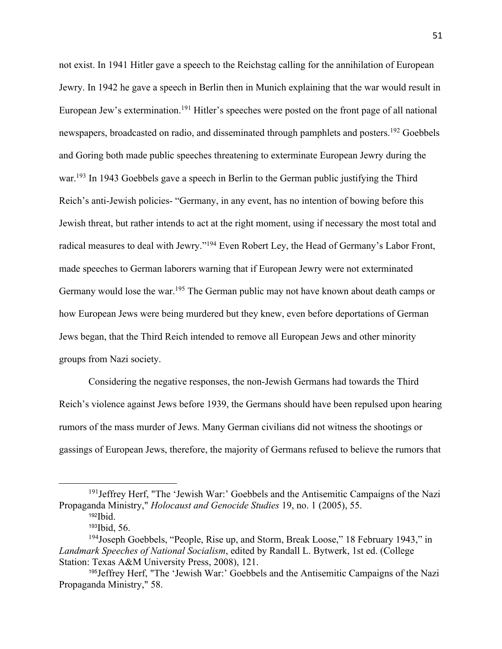not exist. In 1941 Hitler gave a speech to the Reichstag calling for the annihilation of European Jewry. In 1942 he gave a speech in Berlin then in Munich explaining that the war would result in European Jew's extermination.<sup>191</sup> Hitler's speeches were posted on the front page of all national newspapers, broadcasted on radio, and disseminated through pamphlets and posters.<sup>192</sup> Goebbels and Goring both made public speeches threatening to exterminate European Jewry during the war.<sup>193</sup> In 1943 Goebbels gave a speech in Berlin to the German public justifying the Third Reich's anti-Jewish policies- "Germany, in any event, has no intention of bowing before this Jewish threat, but rather intends to act at the right moment, using if necessary the most total and radical measures to deal with Jewry."194 Even Robert Ley, the Head of Germany's Labor Front, made speeches to German laborers warning that if European Jewry were not exterminated Germany would lose the war.<sup>195</sup> The German public may not have known about death camps or how European Jews were being murdered but they knew, even before deportations of German Jews began, that the Third Reich intended to remove all European Jews and other minority groups from Nazi society.

Considering the negative responses, the non-Jewish Germans had towards the Third Reich's violence against Jews before 1939, the Germans should have been repulsed upon hearing rumors of the mass murder of Jews. Many German civilians did not witness the shootings or gassings of European Jews, therefore, the majority of Germans refused to believe the rumors that

<sup>191</sup>Jeffrey Herf, "The 'Jewish War:' Goebbels and the Antisemitic Campaigns of the Nazi Propaganda Ministry," *Holocaust and Genocide Studies* 19, no. 1 (2005), 55.

 $192$  Ibid.

<sup>193</sup>Ibid, 56.

<sup>&</sup>lt;sup>194</sup>Joseph Goebbels, "People, Rise up, and Storm, Break Loose," 18 February 1943," in *Landmark Speeches of National Socialism*, edited by Randall L. Bytwerk, 1st ed. (College Station: Texas A&M University Press, 2008), 121.

<sup>195</sup>Jeffrey Herf, "The 'Jewish War:' Goebbels and the Antisemitic Campaigns of the Nazi Propaganda Ministry," 58.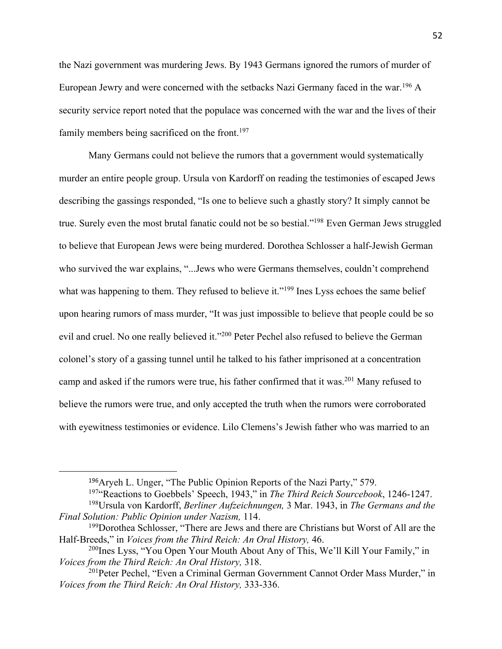the Nazi government was murdering Jews. By 1943 Germans ignored the rumors of murder of European Jewry and were concerned with the setbacks Nazi Germany faced in the war.196 A security service report noted that the populace was concerned with the war and the lives of their family members being sacrificed on the front.<sup>197</sup>

Many Germans could not believe the rumors that a government would systematically murder an entire people group. Ursula von Kardorff on reading the testimonies of escaped Jews describing the gassings responded, "Is one to believe such a ghastly story? It simply cannot be true. Surely even the most brutal fanatic could not be so bestial."198 Even German Jews struggled to believe that European Jews were being murdered. Dorothea Schlosser a half-Jewish German who survived the war explains, "...Jews who were Germans themselves, couldn't comprehend what was happening to them. They refused to believe it."<sup>199</sup> Ines Lyss echoes the same belief upon hearing rumors of mass murder, "It was just impossible to believe that people could be so evil and cruel. No one really believed it."200 Peter Pechel also refused to believe the German colonel's story of a gassing tunnel until he talked to his father imprisoned at a concentration camp and asked if the rumors were true, his father confirmed that it was.201 Many refused to believe the rumors were true, and only accepted the truth when the rumors were corroborated with eyewitness testimonies or evidence. Lilo Clemens's Jewish father who was married to an

<sup>196</sup>Aryeh L. Unger, "The Public Opinion Reports of the Nazi Party," 579.

<sup>197</sup>"Reactions to Goebbels' Speech, 1943," in *The Third Reich Sourcebook*, 1246-1247.

<sup>198</sup>Ursula von Kardorff, *Berliner Aufzeichnungen,* 3 Mar. 1943, in *The Germans and the Final Solution: Public Opinion under Nazism,* 114.

<sup>&</sup>lt;sup>199</sup>Dorothea Schlosser, "There are Jews and there are Christians but Worst of All are the Half-Breeds," in *Voices from the Third Reich: An Oral History,* 46.

<sup>&</sup>lt;sup>200</sup>Ines Lyss, "You Open Your Mouth About Any of This, We'll Kill Your Family," in *Voices from the Third Reich: An Oral History,* 318.

<sup>201</sup>Peter Pechel, "Even a Criminal German Government Cannot Order Mass Murder," in *Voices from the Third Reich: An Oral History,* 333-336.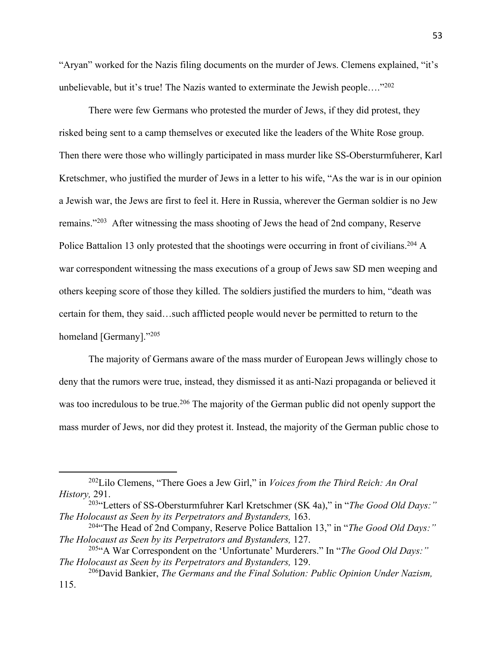"Aryan" worked for the Nazis filing documents on the murder of Jews. Clemens explained, "it's unbelievable, but it's true! The Nazis wanted to exterminate the Jewish people...."<sup>202</sup>

There were few Germans who protested the murder of Jews, if they did protest, they risked being sent to a camp themselves or executed like the leaders of the White Rose group. Then there were those who willingly participated in mass murder like SS-Obersturmfuherer, Karl Kretschmer, who justified the murder of Jews in a letter to his wife, "As the war is in our opinion a Jewish war, the Jews are first to feel it. Here in Russia, wherever the German soldier is no Jew remains."203 After witnessing the mass shooting of Jews the head of 2nd company, Reserve Police Battalion 13 only protested that the shootings were occurring in front of civilians.<sup>204</sup> A war correspondent witnessing the mass executions of a group of Jews saw SD men weeping and others keeping score of those they killed. The soldiers justified the murders to him, "death was certain for them, they said…such afflicted people would never be permitted to return to the homeland [Germany]."205

The majority of Germans aware of the mass murder of European Jews willingly chose to deny that the rumors were true, instead, they dismissed it as anti-Nazi propaganda or believed it was too incredulous to be true.<sup>206</sup> The majority of the German public did not openly support the mass murder of Jews, nor did they protest it. Instead, the majority of the German public chose to

<sup>202</sup>Lilo Clemens, "There Goes a Jew Girl," in *Voices from the Third Reich: An Oral History,* 291.

<sup>203&</sup>quot;Letters of SS-Obersturmfuhrer Karl Kretschmer (SK 4a)," in "*The Good Old Days:" The Holocaust as Seen by its Perpetrators and Bystanders,* 163.

<sup>204&</sup>quot;The Head of 2nd Company, Reserve Police Battalion 13," in "*The Good Old Days:" The Holocaust as Seen by its Perpetrators and Bystanders,* 127.

<sup>205&</sup>quot;A War Correspondent on the 'Unfortunate' Murderers." In "*The Good Old Days:" The Holocaust as Seen by its Perpetrators and Bystanders,* 129.

<sup>206</sup>David Bankier, *The Germans and the Final Solution: Public Opinion Under Nazism,*  115.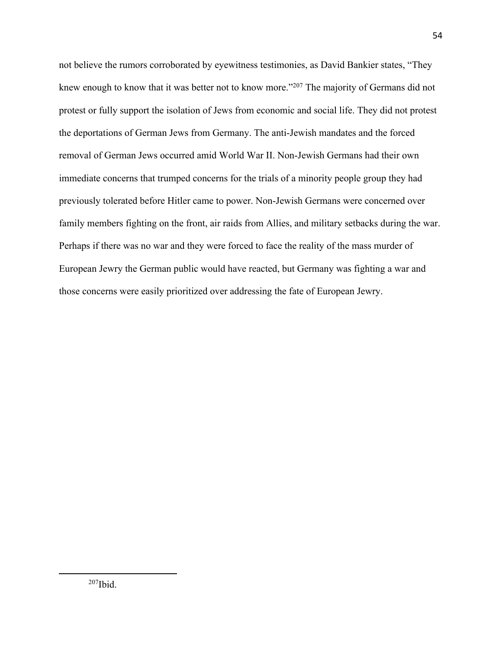not believe the rumors corroborated by eyewitness testimonies, as David Bankier states, "They knew enough to know that it was better not to know more."<sup>207</sup> The majority of Germans did not protest or fully support the isolation of Jews from economic and social life. They did not protest the deportations of German Jews from Germany. The anti-Jewish mandates and the forced removal of German Jews occurred amid World War II. Non-Jewish Germans had their own immediate concerns that trumped concerns for the trials of a minority people group they had previously tolerated before Hitler came to power. Non-Jewish Germans were concerned over family members fighting on the front, air raids from Allies, and military setbacks during the war. Perhaps if there was no war and they were forced to face the reality of the mass murder of European Jewry the German public would have reacted, but Germany was fighting a war and those concerns were easily prioritized over addressing the fate of European Jewry.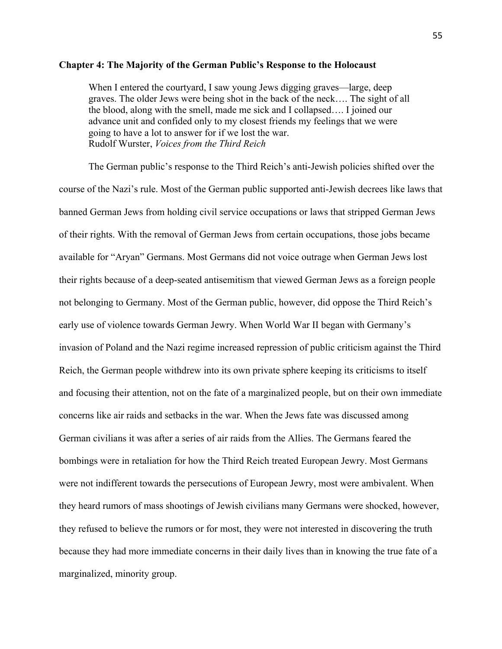## **Chapter 4: The Majority of the German Public's Response to the Holocaust**

When I entered the courtyard, I saw young Jews digging graves—large, deep graves. The older Jews were being shot in the back of the neck…. The sight of all the blood, along with the smell, made me sick and I collapsed…. I joined our advance unit and confided only to my closest friends my feelings that we were going to have a lot to answer for if we lost the war. Rudolf Wurster, *Voices from the Third Reich*

The German public's response to the Third Reich's anti-Jewish policies shifted over the course of the Nazi's rule. Most of the German public supported anti-Jewish decrees like laws that banned German Jews from holding civil service occupations or laws that stripped German Jews of their rights. With the removal of German Jews from certain occupations, those jobs became available for "Aryan" Germans. Most Germans did not voice outrage when German Jews lost their rights because of a deep-seated antisemitism that viewed German Jews as a foreign people not belonging to Germany. Most of the German public, however, did oppose the Third Reich's early use of violence towards German Jewry. When World War II began with Germany's invasion of Poland and the Nazi regime increased repression of public criticism against the Third Reich, the German people withdrew into its own private sphere keeping its criticisms to itself and focusing their attention, not on the fate of a marginalized people, but on their own immediate concerns like air raids and setbacks in the war. When the Jews fate was discussed among German civilians it was after a series of air raids from the Allies. The Germans feared the bombings were in retaliation for how the Third Reich treated European Jewry. Most Germans were not indifferent towards the persecutions of European Jewry, most were ambivalent. When they heard rumors of mass shootings of Jewish civilians many Germans were shocked, however, they refused to believe the rumors or for most, they were not interested in discovering the truth because they had more immediate concerns in their daily lives than in knowing the true fate of a marginalized, minority group.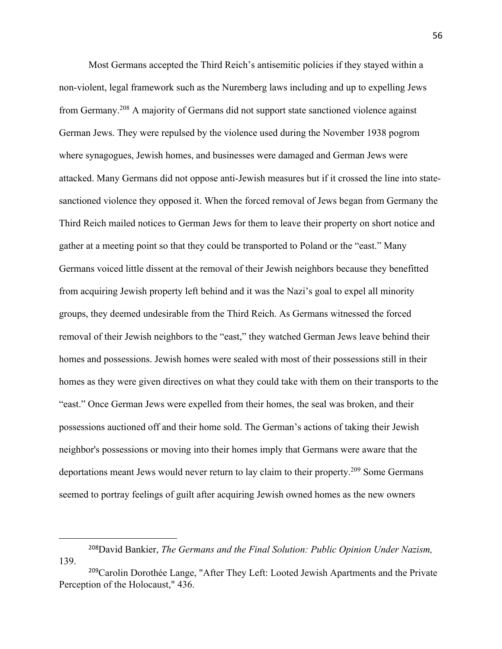Most Germans accepted the Third Reich's antisemitic policies if they stayed within a non-violent, legal framework such as the Nuremberg laws including and up to expelling Jews from Germany.208 A majority of Germans did not support state sanctioned violence against German Jews. They were repulsed by the violence used during the November 1938 pogrom where synagogues, Jewish homes, and businesses were damaged and German Jews were attacked. Many Germans did not oppose anti-Jewish measures but if it crossed the line into statesanctioned violence they opposed it. When the forced removal of Jews began from Germany the Third Reich mailed notices to German Jews for them to leave their property on short notice and gather at a meeting point so that they could be transported to Poland or the "east." Many Germans voiced little dissent at the removal of their Jewish neighbors because they benefitted from acquiring Jewish property left behind and it was the Nazi's goal to expel all minority groups, they deemed undesirable from the Third Reich. As Germans witnessed the forced removal of their Jewish neighbors to the "east," they watched German Jews leave behind their homes and possessions. Jewish homes were sealed with most of their possessions still in their homes as they were given directives on what they could take with them on their transports to the "east." Once German Jews were expelled from their homes, the seal was broken, and their possessions auctioned off and their home sold. The German's actions of taking their Jewish neighbor's possessions or moving into their homes imply that Germans were aware that the deportations meant Jews would never return to lay claim to their property.<sup>209</sup> Some Germans seemed to portray feelings of guilt after acquiring Jewish owned homes as the new owners

<sup>208</sup>David Bankier, *The Germans and the Final Solution: Public Opinion Under Nazism,*  139.

<sup>&</sup>lt;sup>209</sup>Carolin Dorothée Lange, "After They Left: Looted Jewish Apartments and the Private Perception of the Holocaust," 436.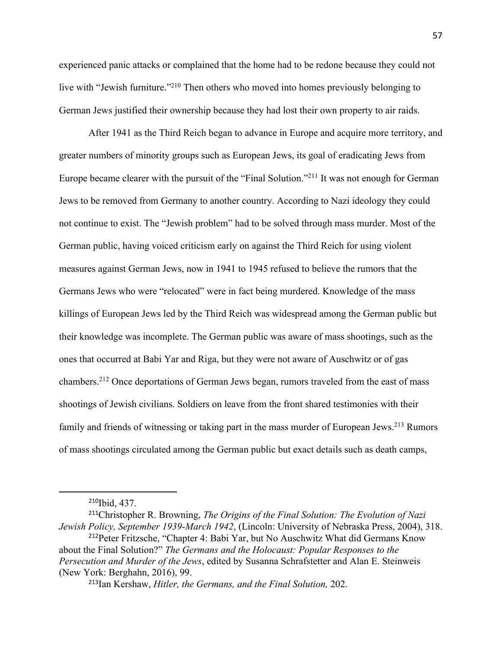experienced panic attacks or complained that the home had to be redone because they could not live with "Jewish furniture."<sup>210</sup> Then others who moved into homes previously belonging to German Jews justified their ownership because they had lost their own property to air raids.

After 1941 as the Third Reich began to advance in Europe and acquire more territory, and greater numbers of minority groups such as European Jews, its goal of eradicating Jews from Europe became clearer with the pursuit of the "Final Solution."211 It was not enough for German Jews to be removed from Germany to another country. According to Nazi ideology they could not continue to exist. The "Jewish problem" had to be solved through mass murder. Most of the German public, having voiced criticism early on against the Third Reich for using violent measures against German Jews, now in 1941 to 1945 refused to believe the rumors that the Germans Jews who were "relocated" were in fact being murdered. Knowledge of the mass killings of European Jews led by the Third Reich was widespread among the German public but their knowledge was incomplete. The German public was aware of mass shootings, such as the ones that occurred at Babi Yar and Riga, but they were not aware of Auschwitz or of gas chambers.212 Once deportations of German Jews began, rumors traveled from the east of mass shootings of Jewish civilians. Soldiers on leave from the front shared testimonies with their family and friends of witnessing or taking part in the mass murder of European Jews.<sup>213</sup> Rumors of mass shootings circulated among the German public but exact details such as death camps,

<sup>210</sup>Ibid, 437.

<sup>211</sup>Christopher R. Browning, *The Origins of the Final Solution: The Evolution of Nazi Jewish Policy, September 1939-March 1942*, (Lincoln: University of Nebraska Press, 2004), 318.

<sup>212</sup>Peter Fritzsche, "Chapter 4: Babi Yar, but No Auschwitz What did Germans Know about the Final Solution?" *The Germans and the Holocaust: Popular Responses to the Persecution and Murder of the Jews*, edited by Susanna Schrafstetter and Alan E. Steinweis (New York: Berghahn, 2016), 99.

<sup>213</sup>Ian Kershaw, *Hitler, the Germans, and the Final Solution,* 202.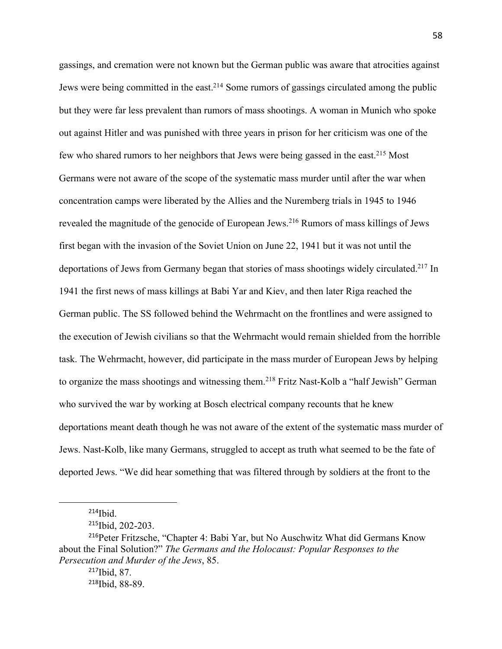gassings, and cremation were not known but the German public was aware that atrocities against Jews were being committed in the east.<sup>214</sup> Some rumors of gassings circulated among the public but they were far less prevalent than rumors of mass shootings. A woman in Munich who spoke out against Hitler and was punished with three years in prison for her criticism was one of the few who shared rumors to her neighbors that Jews were being gassed in the east.215 Most Germans were not aware of the scope of the systematic mass murder until after the war when concentration camps were liberated by the Allies and the Nuremberg trials in 1945 to 1946 revealed the magnitude of the genocide of European Jews.<sup>216</sup> Rumors of mass killings of Jews first began with the invasion of the Soviet Union on June 22, 1941 but it was not until the deportations of Jews from Germany began that stories of mass shootings widely circulated.<sup>217</sup> In 1941 the first news of mass killings at Babi Yar and Kiev, and then later Riga reached the German public. The SS followed behind the Wehrmacht on the frontlines and were assigned to the execution of Jewish civilians so that the Wehrmacht would remain shielded from the horrible task. The Wehrmacht, however, did participate in the mass murder of European Jews by helping to organize the mass shootings and witnessing them.<sup>218</sup> Fritz Nast-Kolb a "half Jewish" German who survived the war by working at Bosch electrical company recounts that he knew deportations meant death though he was not aware of the extent of the systematic mass murder of Jews. Nast-Kolb, like many Germans, struggled to accept as truth what seemed to be the fate of deported Jews. "We did hear something that was filtered through by soldiers at the front to the

 $214$  Ibid.

<sup>&</sup>lt;sup>215</sup>Ibid, 202-203.

<sup>216</sup>Peter Fritzsche, "Chapter 4: Babi Yar, but No Auschwitz What did Germans Know about the Final Solution?" *The Germans and the Holocaust: Popular Responses to the Persecution and Murder of the Jews*, 85.

<sup>217</sup>Ibid, 87. 218Ibid, 88-89.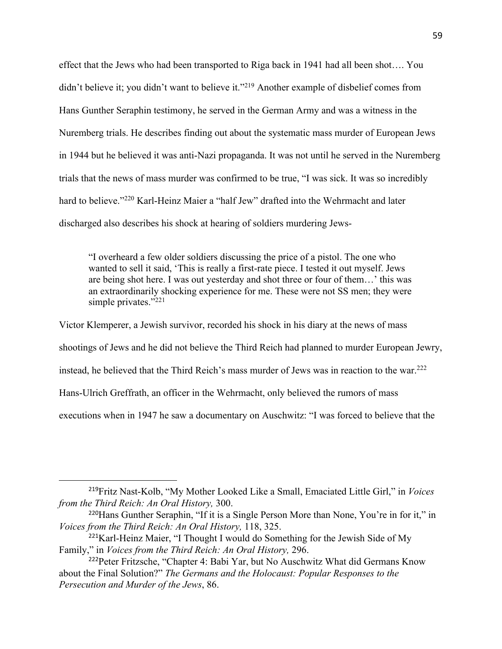effect that the Jews who had been transported to Riga back in 1941 had all been shot…. You didn't believe it; you didn't want to believe it."<sup>219</sup> Another example of disbelief comes from Hans Gunther Seraphin testimony, he served in the German Army and was a witness in the Nuremberg trials. He describes finding out about the systematic mass murder of European Jews in 1944 but he believed it was anti-Nazi propaganda. It was not until he served in the Nuremberg trials that the news of mass murder was confirmed to be true, "I was sick. It was so incredibly hard to believe."<sup>220</sup> Karl-Heinz Maier a "half Jew" drafted into the Wehrmacht and later discharged also describes his shock at hearing of soldiers murdering Jews-

"I overheard a few older soldiers discussing the price of a pistol. The one who wanted to sell it said, 'This is really a first-rate piece. I tested it out myself. Jews are being shot here. I was out yesterday and shot three or four of them…' this was an extraordinarily shocking experience for me. These were not SS men; they were simple privates."<sup>221</sup>

Victor Klemperer, a Jewish survivor, recorded his shock in his diary at the news of mass shootings of Jews and he did not believe the Third Reich had planned to murder European Jewry, instead, he believed that the Third Reich's mass murder of Jews was in reaction to the war.<sup>222</sup> Hans-Ulrich Greffrath, an officer in the Wehrmacht, only believed the rumors of mass executions when in 1947 he saw a documentary on Auschwitz: "I was forced to believe that the

<sup>219</sup>Fritz Nast-Kolb, "My Mother Looked Like a Small, Emaciated Little Girl," in *Voices from the Third Reich: An Oral History,* 300.

<sup>220</sup>Hans Gunther Seraphin, "If it is a Single Person More than None, You're in for it," in *Voices from the Third Reich: An Oral History,* 118, 325.

<sup>&</sup>lt;sup>221</sup>Karl-Heinz Maier, "I Thought I would do Something for the Jewish Side of My Family," in *Voices from the Third Reich: An Oral History,* 296.

<sup>222</sup>Peter Fritzsche, "Chapter 4: Babi Yar, but No Auschwitz What did Germans Know about the Final Solution?" *The Germans and the Holocaust: Popular Responses to the Persecution and Murder of the Jews*, 86.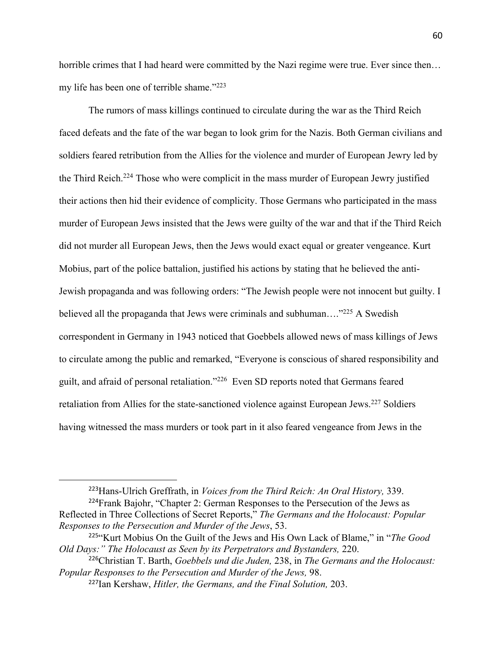horrible crimes that I had heard were committed by the Nazi regime were true. Ever since then... my life has been one of terrible shame."223

The rumors of mass killings continued to circulate during the war as the Third Reich faced defeats and the fate of the war began to look grim for the Nazis. Both German civilians and soldiers feared retribution from the Allies for the violence and murder of European Jewry led by the Third Reich.<sup>224</sup> Those who were complicit in the mass murder of European Jewry justified their actions then hid their evidence of complicity. Those Germans who participated in the mass murder of European Jews insisted that the Jews were guilty of the war and that if the Third Reich did not murder all European Jews, then the Jews would exact equal or greater vengeance. Kurt Mobius, part of the police battalion, justified his actions by stating that he believed the anti-Jewish propaganda and was following orders: "The Jewish people were not innocent but guilty. I believed all the propaganda that Jews were criminals and subhuman...<sup>"225</sup> A Swedish correspondent in Germany in 1943 noticed that Goebbels allowed news of mass killings of Jews to circulate among the public and remarked, "Everyone is conscious of shared responsibility and guilt, and afraid of personal retaliation."226 Even SD reports noted that Germans feared retaliation from Allies for the state-sanctioned violence against European Jews.<sup>227</sup> Soldiers having witnessed the mass murders or took part in it also feared vengeance from Jews in the

<sup>223</sup>Hans-Ulrich Greffrath, in *Voices from the Third Reich: An Oral History,* 339.

<sup>&</sup>lt;sup>224</sup>Frank Bajohr, "Chapter 2: German Responses to the Persecution of the Jews as Reflected in Three Collections of Secret Reports," *The Germans and the Holocaust: Popular Responses to the Persecution and Murder of the Jews*, 53.

<sup>225</sup>"Kurt Mobius On the Guilt of the Jews and His Own Lack of Blame," in "*The Good Old Days:" The Holocaust as Seen by its Perpetrators and Bystanders,* 220.

<sup>226</sup>Christian T. Barth, *Goebbels und die Juden,* 238, in *The Germans and the Holocaust: Popular Responses to the Persecution and Murder of the Jews,* 98.

<sup>227</sup>Ian Kershaw, *Hitler, the Germans, and the Final Solution,* 203.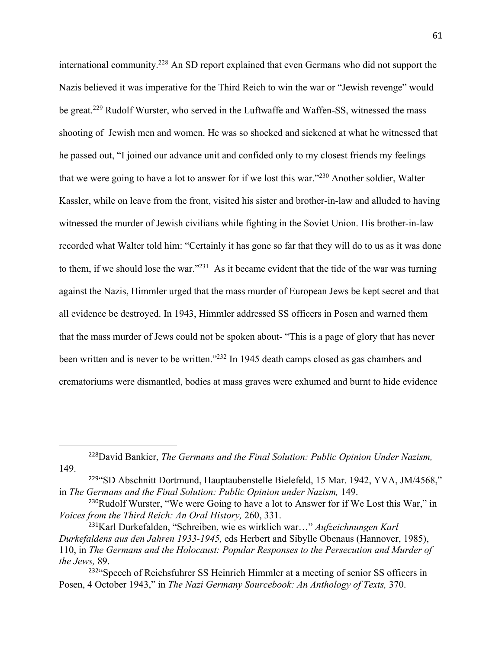international community.228 An SD report explained that even Germans who did not support the Nazis believed it was imperative for the Third Reich to win the war or "Jewish revenge" would be great.<sup>229</sup> Rudolf Wurster, who served in the Luftwaffe and Waffen-SS, witnessed the mass shooting of Jewish men and women. He was so shocked and sickened at what he witnessed that he passed out, "I joined our advance unit and confided only to my closest friends my feelings that we were going to have a lot to answer for if we lost this war."230 Another soldier, Walter Kassler, while on leave from the front, visited his sister and brother-in-law and alluded to having witnessed the murder of Jewish civilians while fighting in the Soviet Union. His brother-in-law recorded what Walter told him: "Certainly it has gone so far that they will do to us as it was done to them, if we should lose the war."231 As it became evident that the tide of the war was turning against the Nazis, Himmler urged that the mass murder of European Jews be kept secret and that all evidence be destroyed. In 1943, Himmler addressed SS officers in Posen and warned them that the mass murder of Jews could not be spoken about- "This is a page of glory that has never been written and is never to be written."232 In 1945 death camps closed as gas chambers and crematoriums were dismantled, bodies at mass graves were exhumed and burnt to hide evidence

<sup>228</sup>David Bankier, *The Germans and the Final Solution: Public Opinion Under Nazism,*  149.

<sup>229</sup>"SD Abschnitt Dortmund, Hauptaubenstelle Bielefeld, 15 Mar. 1942, YVA, JM/4568," in *The Germans and the Final Solution: Public Opinion under Nazism, 149.* 

 $230$ Rudolf Wurster, "We were Going to have a lot to Answer for if We Lost this War," in *Voices from the Third Reich: An Oral History,* 260, 331.

<sup>231</sup>Karl Durkefalden, "Schreiben, wie es wirklich war…" *Aufzeichnungen Karl Durkefaldens aus den Jahren 1933-1945,* eds Herbert and Sibylle Obenaus (Hannover, 1985), 110, in *The Germans and the Holocaust: Popular Responses to the Persecution and Murder of the Jews,* 89.

<sup>&</sup>lt;sup>232</sup>"Speech of Reichsfuhrer SS Heinrich Himmler at a meeting of senior SS officers in Posen, 4 October 1943," in *The Nazi Germany Sourcebook: An Anthology of Texts,* 370.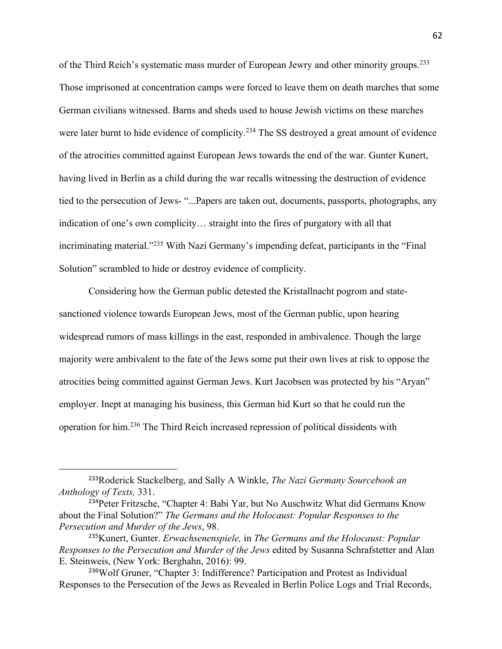of the Third Reich's systematic mass murder of European Jewry and other minority groups.233 Those imprisoned at concentration camps were forced to leave them on death marches that some German civilians witnessed. Barns and sheds used to house Jewish victims on these marches were later burnt to hide evidence of complicity.<sup>234</sup> The SS destroyed a great amount of evidence of the atrocities committed against European Jews towards the end of the war. Gunter Kunert, having lived in Berlin as a child during the war recalls witnessing the destruction of evidence tied to the persecution of Jews- "...Papers are taken out, documents, passports, photographs, any indication of one's own complicity… straight into the fires of purgatory with all that incriminating material."<sup>235</sup> With Nazi Germany's impending defeat, participants in the "Final" Solution" scrambled to hide or destroy evidence of complicity.

Considering how the German public detested the Kristallnacht pogrom and statesanctioned violence towards European Jews, most of the German public, upon hearing widespread rumors of mass killings in the east, responded in ambivalence. Though the large majority were ambivalent to the fate of the Jews some put their own lives at risk to oppose the atrocities being committed against German Jews. Kurt Jacobsen was protected by his "Aryan" employer. Inept at managing his business, this German hid Kurt so that he could run the operation for him.236 The Third Reich increased repression of political dissidents with

<sup>233</sup>Roderick Stackelberg, and Sally A Winkle, *The Nazi Germany Sourcebook an Anthology of Texts,* 331.

<sup>&</sup>lt;sup>234</sup>Peter Fritzsche, "Chapter 4: Babi Yar, but No Auschwitz What did Germans Know about the Final Solution?" *The Germans and the Holocaust: Popular Responses to the Persecution and Murder of the Jews*, 98.

<sup>235</sup>Kunert, Gunter. *Erwachsenenspiele,* in *The Germans and the Holocaust: Popular Responses to the Persecution and Murder of the Jews* edited by Susanna Schrafstetter and Alan E. Steinweis, (New York: Berghahn, 2016): 99.

<sup>236</sup>Wolf Gruner, "Chapter 3: Indifference? Participation and Protest as Individual Responses to the Persecution of the Jews as Revealed in Berlin Police Logs and Trial Records,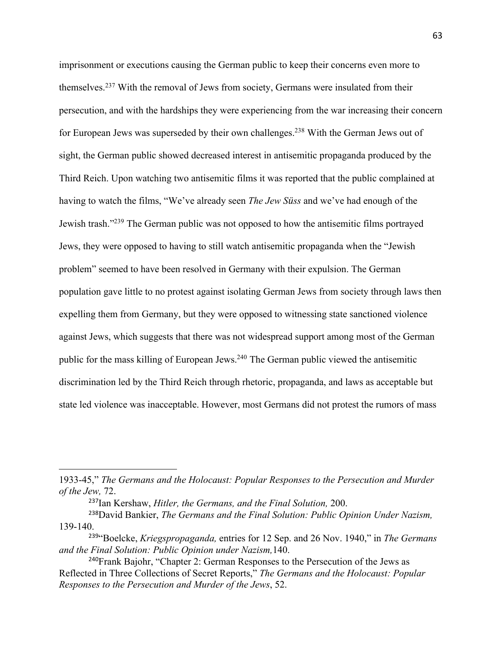imprisonment or executions causing the German public to keep their concerns even more to themselves.237 With the removal of Jews from society, Germans were insulated from their persecution, and with the hardships they were experiencing from the war increasing their concern for European Jews was superseded by their own challenges.<sup>238</sup> With the German Jews out of sight, the German public showed decreased interest in antisemitic propaganda produced by the Third Reich. Upon watching two antisemitic films it was reported that the public complained at having to watch the films, "We've already seen *The Jew Süss* and we've had enough of the Jewish trash."239 The German public was not opposed to how the antisemitic films portrayed Jews, they were opposed to having to still watch antisemitic propaganda when the "Jewish problem" seemed to have been resolved in Germany with their expulsion. The German population gave little to no protest against isolating German Jews from society through laws then expelling them from Germany, but they were opposed to witnessing state sanctioned violence against Jews, which suggests that there was not widespread support among most of the German public for the mass killing of European Jews.<sup>240</sup> The German public viewed the antisemitic discrimination led by the Third Reich through rhetoric, propaganda, and laws as acceptable but state led violence was inacceptable. However, most Germans did not protest the rumors of mass

<sup>1933-45,&</sup>quot; *The Germans and the Holocaust: Popular Responses to the Persecution and Murder of the Jew,* 72.

<sup>237</sup>Ian Kershaw, *Hitler, the Germans, and the Final Solution,* 200.

<sup>238</sup>David Bankier, *The Germans and the Final Solution: Public Opinion Under Nazism,*  139-140.

<sup>239</sup>"Boelcke, *Kriegspropaganda,* entries for 12 Sep. and 26 Nov. 1940," in *The Germans and the Final Solution: Public Opinion under Nazism,*140.

<sup>&</sup>lt;sup>240</sup>Frank Bajohr, "Chapter 2: German Responses to the Persecution of the Jews as Reflected in Three Collections of Secret Reports," *The Germans and the Holocaust: Popular Responses to the Persecution and Murder of the Jews*, 52.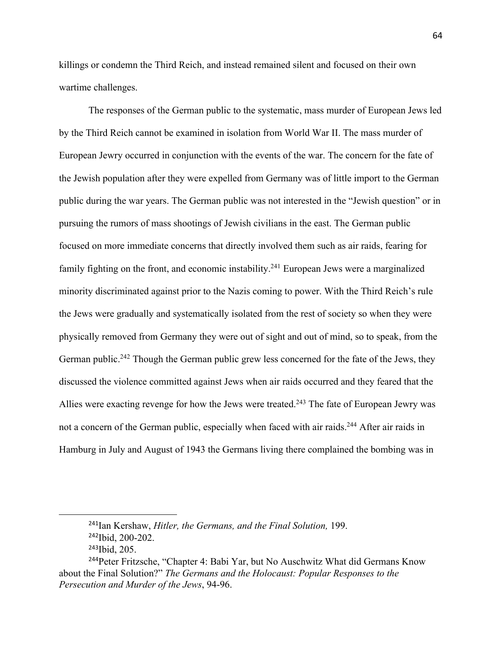killings or condemn the Third Reich, and instead remained silent and focused on their own wartime challenges.

The responses of the German public to the systematic, mass murder of European Jews led by the Third Reich cannot be examined in isolation from World War II. The mass murder of European Jewry occurred in conjunction with the events of the war. The concern for the fate of the Jewish population after they were expelled from Germany was of little import to the German public during the war years. The German public was not interested in the "Jewish question" or in pursuing the rumors of mass shootings of Jewish civilians in the east. The German public focused on more immediate concerns that directly involved them such as air raids, fearing for family fighting on the front, and economic instability.<sup>241</sup> European Jews were a marginalized minority discriminated against prior to the Nazis coming to power. With the Third Reich's rule the Jews were gradually and systematically isolated from the rest of society so when they were physically removed from Germany they were out of sight and out of mind, so to speak, from the German public.<sup>242</sup> Though the German public grew less concerned for the fate of the Jews, they discussed the violence committed against Jews when air raids occurred and they feared that the Allies were exacting revenge for how the Jews were treated.<sup>243</sup> The fate of European Jewry was not a concern of the German public, especially when faced with air raids.<sup>244</sup> After air raids in Hamburg in July and August of 1943 the Germans living there complained the bombing was in

<sup>241</sup>Ian Kershaw, *Hitler, the Germans, and the Final Solution,* 199. <sup>242</sup>Ibid, 200-202.

<sup>243</sup>Ibid, 205.

<sup>&</sup>lt;sup>244</sup>Peter Fritzsche, "Chapter 4: Babi Yar, but No Auschwitz What did Germans Know about the Final Solution?" *The Germans and the Holocaust: Popular Responses to the Persecution and Murder of the Jews*, 94-96.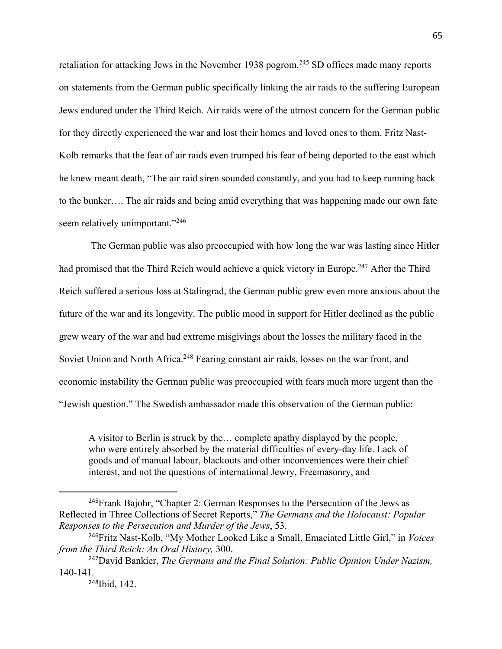retaliation for attacking Jews in the November 1938 pogrom.<sup>245</sup> SD offices made many reports on statements from the German public specifically linking the air raids to the suffering European Jews endured under the Third Reich. Air raids were of the utmost concern for the German public for they directly experienced the war and lost their homes and loved ones to them. Fritz Nast-Kolb remarks that the fear of air raids even trumped his fear of being deported to the east which he knew meant death, "The air raid siren sounded constantly, and you had to keep running back to the bunker…. The air raids and being amid everything that was happening made our own fate seem relatively unimportant."<sup>246</sup>

The German public was also preoccupied with how long the war was lasting since Hitler had promised that the Third Reich would achieve a quick victory in Europe.<sup>247</sup> After the Third Reich suffered a serious loss at Stalingrad, the German public grew even more anxious about the future of the war and its longevity. The public mood in support for Hitler declined as the public grew weary of the war and had extreme misgivings about the losses the military faced in the Soviet Union and North Africa.<sup>248</sup> Fearing constant air raids, losses on the war front, and economic instability the German public was preoccupied with fears much more urgent than the "Jewish question." The Swedish ambassador made this observation of the German public:

A visitor to Berlin is struck by the… complete apathy displayed by the people, who were entirely absorbed by the material difficulties of every-day life. Lack of goods and of manual labour, blackouts and other inconveniences were their chief interest, and not the questions of international Jewry, Freemasonry, and

<sup>&</sup>lt;sup>245</sup>Frank Bajohr, "Chapter 2: German Responses to the Persecution of the Jews as Reflected in Three Collections of Secret Reports," *The Germans and the Holocaust: Popular Responses to the Persecution and Murder of the Jews*, 53.

<sup>246</sup>Fritz Nast-Kolb, "My Mother Looked Like a Small, Emaciated Little Girl," in *Voices from the Third Reich: An Oral History,* 300.

<sup>247</sup>David Bankier, *The Germans and the Final Solution: Public Opinion Under Nazism,*  140-141.

<sup>248</sup>Ibid, 142.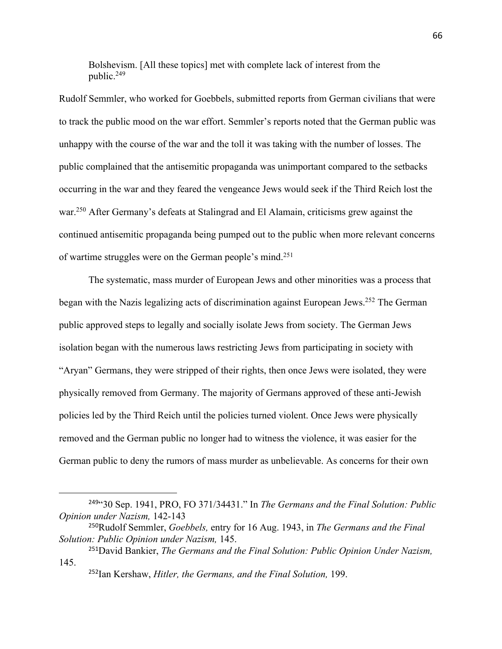Bolshevism. [All these topics] met with complete lack of interest from the public.249

Rudolf Semmler, who worked for Goebbels, submitted reports from German civilians that were to track the public mood on the war effort. Semmler's reports noted that the German public was unhappy with the course of the war and the toll it was taking with the number of losses. The public complained that the antisemitic propaganda was unimportant compared to the setbacks occurring in the war and they feared the vengeance Jews would seek if the Third Reich lost the war.<sup>250</sup> After Germany's defeats at Stalingrad and El Alamain, criticisms grew against the continued antisemitic propaganda being pumped out to the public when more relevant concerns of wartime struggles were on the German people's mind.251

The systematic, mass murder of European Jews and other minorities was a process that began with the Nazis legalizing acts of discrimination against European Jews.252 The German public approved steps to legally and socially isolate Jews from society. The German Jews isolation began with the numerous laws restricting Jews from participating in society with "Aryan" Germans, they were stripped of their rights, then once Jews were isolated, they were physically removed from Germany. The majority of Germans approved of these anti-Jewish policies led by the Third Reich until the policies turned violent. Once Jews were physically removed and the German public no longer had to witness the violence, it was easier for the German public to deny the rumors of mass murder as unbelievable. As concerns for their own

<sup>249</sup>"30 Sep. 1941, PRO, FO 371/34431." In *The Germans and the Final Solution: Public Opinion under Nazism,* 142-143

<sup>250</sup>Rudolf Semmler, *Goebbels,* entry for 16 Aug. 1943, in *The Germans and the Final Solution: Public Opinion under Nazism,* 145.

<sup>251</sup>David Bankier, *The Germans and the Final Solution: Public Opinion Under Nazism,*  145.

<sup>252</sup>Ian Kershaw, *Hitler, the Germans, and the Final Solution,* 199.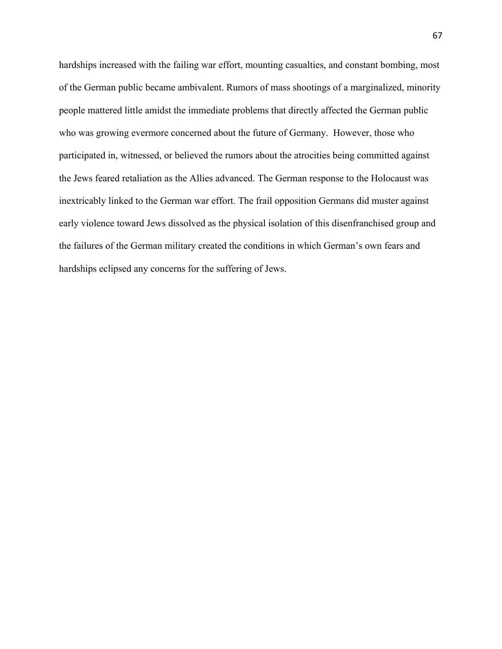hardships increased with the failing war effort, mounting casualties, and constant bombing, most of the German public became ambivalent. Rumors of mass shootings of a marginalized, minority people mattered little amidst the immediate problems that directly affected the German public who was growing evermore concerned about the future of Germany. However, those who participated in, witnessed, or believed the rumors about the atrocities being committed against the Jews feared retaliation as the Allies advanced. The German response to the Holocaust was inextricably linked to the German war effort. The frail opposition Germans did muster against early violence toward Jews dissolved as the physical isolation of this disenfranchised group and the failures of the German military created the conditions in which German's own fears and hardships eclipsed any concerns for the suffering of Jews.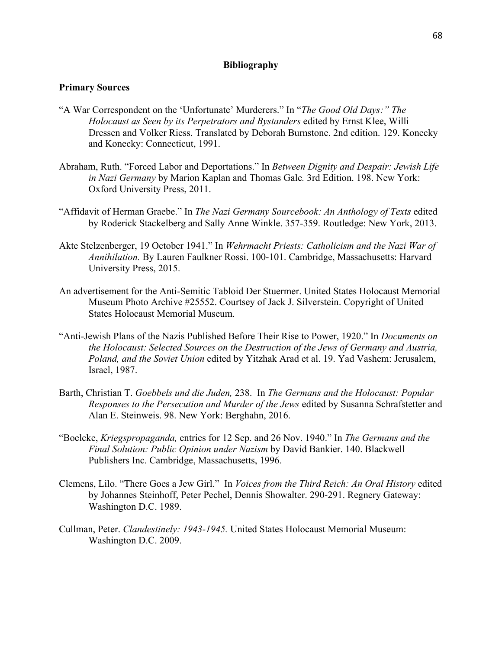## **Bibliography**

## **Primary Sources**

- "A War Correspondent on the 'Unfortunate' Murderers." In "*The Good Old Days:" The Holocaust as Seen by its Perpetrators and Bystanders* edited by Ernst Klee, Willi Dressen and Volker Riess. Translated by Deborah Burnstone. 2nd edition. 129. Konecky and Konecky: Connecticut, 1991.
- Abraham, Ruth. "Forced Labor and Deportations." In *Between Dignity and Despair: Jewish Life in Nazi Germany* by Marion Kaplan and Thomas Gale*.* 3rd Edition. 198. New York: Oxford University Press, 2011.
- "Affidavit of Herman Graebe." In *The Nazi Germany Sourcebook: An Anthology of Texts* edited by Roderick Stackelberg and Sally Anne Winkle. 357-359. Routledge: New York, 2013.
- Akte Stelzenberger, 19 October 1941." In *Wehrmacht Priests: Catholicism and the Nazi War of Annihilation.* By Lauren Faulkner Rossi. 100-101. Cambridge, Massachusetts: Harvard University Press, 2015.
- An advertisement for the Anti-Semitic Tabloid Der Stuermer. United States Holocaust Memorial Museum Photo Archive #25552. Courtsey of Jack J. Silverstein. Copyright of United States Holocaust Memorial Museum.
- "Anti-Jewish Plans of the Nazis Published Before Their Rise to Power, 1920." In *Documents on the Holocaust: Selected Sources on the Destruction of the Jews of Germany and Austria, Poland, and the Soviet Union* edited by Yitzhak Arad et al. 19. Yad Vashem: Jerusalem, Israel, 1987.
- Barth, Christian T. *Goebbels und die Juden,* 238. In *The Germans and the Holocaust: Popular Responses to the Persecution and Murder of the Jews* edited by Susanna Schrafstetter and Alan E. Steinweis. 98. New York: Berghahn, 2016.
- "Boelcke, *Kriegspropaganda,* entries for 12 Sep. and 26 Nov. 1940." In *The Germans and the Final Solution: Public Opinion under Nazism* by David Bankier. 140. Blackwell Publishers Inc. Cambridge, Massachusetts, 1996.
- Clemens, Lilo. "There Goes a Jew Girl." In *Voices from the Third Reich: An Oral History* edited by Johannes Steinhoff, Peter Pechel, Dennis Showalter. 290-291. Regnery Gateway: Washington D.C. 1989.
- Cullman, Peter. *Clandestinely: 1943-1945.* United States Holocaust Memorial Museum: Washington D.C. 2009.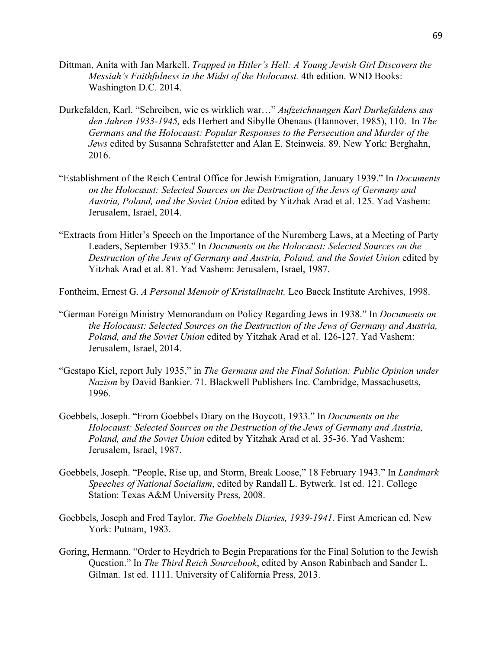- Dittman, Anita with Jan Markell. *Trapped in Hitler's Hell: A Young Jewish Girl Discovers the Messiah's Faithfulness in the Midst of the Holocaust.* 4th edition. WND Books: Washington D.C. 2014.
- Durkefalden, Karl. "Schreiben, wie es wirklich war…" *Aufzeichnungen Karl Durkefaldens aus den Jahren 1933-1945,* eds Herbert and Sibylle Obenaus (Hannover, 1985), 110. In *The Germans and the Holocaust: Popular Responses to the Persecution and Murder of the Jews* edited by Susanna Schrafstetter and Alan E. Steinweis. 89. New York: Berghahn, 2016.
- "Establishment of the Reich Central Office for Jewish Emigration, January 1939." In *Documents on the Holocaust: Selected Sources on the Destruction of the Jews of Germany and Austria, Poland, and the Soviet Union* edited by Yitzhak Arad et al. 125. Yad Vashem: Jerusalem, Israel, 2014.
- "Extracts from Hitler's Speech on the Importance of the Nuremberg Laws, at a Meeting of Party Leaders, September 1935." In *Documents on the Holocaust: Selected Sources on the Destruction of the Jews of Germany and Austria, Poland, and the Soviet Union* edited by Yitzhak Arad et al. 81. Yad Vashem: Jerusalem, Israel, 1987.
- Fontheim, Ernest G. *A Personal Memoir of Kristallnacht.* Leo Baeck Institute Archives, 1998.
- "German Foreign Ministry Memorandum on Policy Regarding Jews in 1938." In *Documents on the Holocaust: Selected Sources on the Destruction of the Jews of Germany and Austria, Poland, and the Soviet Union* edited by Yitzhak Arad et al. 126-127. Yad Vashem: Jerusalem, Israel, 2014.
- "Gestapo Kiel, report July 1935," in *The Germans and the Final Solution: Public Opinion under Nazism* by David Bankier. 71. Blackwell Publishers Inc. Cambridge, Massachusetts, 1996.
- Goebbels, Joseph. "From Goebbels Diary on the Boycott, 1933." In *Documents on the Holocaust: Selected Sources on the Destruction of the Jews of Germany and Austria, Poland, and the Soviet Union* edited by Yitzhak Arad et al. 35-36. Yad Vashem: Jerusalem, Israel, 1987.
- Goebbels, Joseph. "People, Rise up, and Storm, Break Loose," 18 February 1943." In *Landmark Speeches of National Socialism*, edited by Randall L. Bytwerk. 1st ed. 121. College Station: Texas A&M University Press, 2008.
- Goebbels, Joseph and Fred Taylor. *The Goebbels Diaries, 1939-1941.* First American ed. New York: Putnam, 1983.
- Goring, Hermann. "Order to Heydrich to Begin Preparations for the Final Solution to the Jewish Question." In *The Third Reich Sourcebook*, edited by Anson Rabinbach and Sander L. Gilman. 1st ed. 1111. University of California Press, 2013.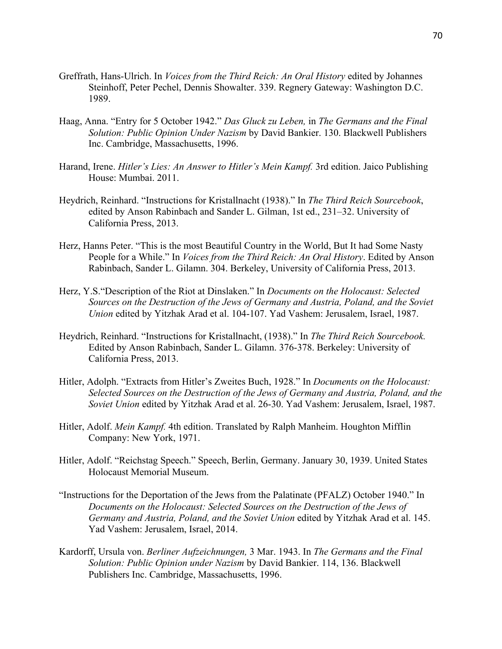- Greffrath, Hans-Ulrich. In *Voices from the Third Reich: An Oral History* edited by Johannes Steinhoff, Peter Pechel, Dennis Showalter. 339. Regnery Gateway: Washington D.C. 1989.
- Haag, Anna. "Entry for 5 October 1942." *Das Gluck zu Leben,* in *The Germans and the Final Solution: Public Opinion Under Nazism* by David Bankier. 130. Blackwell Publishers Inc. Cambridge, Massachusetts, 1996.
- Harand, Irene. *Hitler's Lies: An Answer to Hitler's Mein Kampf*. 3rd edition. Jaico Publishing House: Mumbai. 2011.
- Heydrich, Reinhard. "Instructions for Kristallnacht (1938)." In *The Third Reich Sourcebook*, edited by Anson Rabinbach and Sander L. Gilman, 1st ed., 231–32. University of California Press, 2013.
- Herz, Hanns Peter. "This is the most Beautiful Country in the World, But It had Some Nasty People for a While." In *Voices from the Third Reich: An Oral History*. Edited by Anson Rabinbach, Sander L. Gilamn. 304. Berkeley, University of California Press, 2013.
- Herz, Y.S."Description of the Riot at Dinslaken." In *Documents on the Holocaust: Selected Sources on the Destruction of the Jews of Germany and Austria, Poland, and the Soviet Union* edited by Yitzhak Arad et al. 104-107. Yad Vashem: Jerusalem, Israel, 1987.
- Heydrich, Reinhard. "Instructions for Kristallnacht, (1938)." In *The Third Reich Sourcebook.* Edited by Anson Rabinbach, Sander L. Gilamn. 376-378. Berkeley: University of California Press, 2013.
- Hitler, Adolph. "Extracts from Hitler's Zweites Buch, 1928." In *Documents on the Holocaust: Selected Sources on the Destruction of the Jews of Germany and Austria, Poland, and the Soviet Union* edited by Yitzhak Arad et al. 26-30. Yad Vashem: Jerusalem, Israel, 1987.
- Hitler, Adolf. *Mein Kampf.* 4th edition. Translated by Ralph Manheim. Houghton Mifflin Company: New York, 1971.
- Hitler, Adolf. "Reichstag Speech." Speech, Berlin, Germany. January 30, 1939. United States Holocaust Memorial Museum.
- "Instructions for the Deportation of the Jews from the Palatinate (PFALZ) October 1940." In *Documents on the Holocaust: Selected Sources on the Destruction of the Jews of Germany and Austria, Poland, and the Soviet Union* edited by Yitzhak Arad et al. 145. Yad Vashem: Jerusalem, Israel, 2014.
- Kardorff, Ursula von. *Berliner Aufzeichnungen,* 3 Mar. 1943. In *The Germans and the Final Solution: Public Opinion under Nazism* by David Bankier. 114, 136. Blackwell Publishers Inc. Cambridge, Massachusetts, 1996.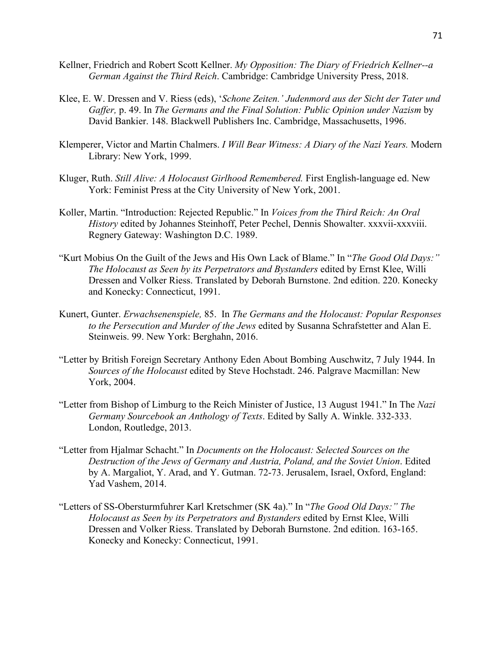- Kellner, Friedrich and Robert Scott Kellner. *My Opposition: The Diary of Friedrich Kellner--a German Against the Third Reich*. Cambridge: Cambridge University Press, 2018.
- Klee, E. W. Dressen and V. Riess (eds), '*Schone Zeiten.' Judenmord aus der Sicht der Tater und Gaffer,* p. 49. In *The Germans and the Final Solution: Public Opinion under Nazism* by David Bankier. 148. Blackwell Publishers Inc. Cambridge, Massachusetts, 1996.
- Klemperer, Victor and Martin Chalmers. *I Will Bear Witness: A Diary of the Nazi Years.* Modern Library: New York, 1999.
- Kluger, Ruth. *Still Alive: A Holocaust Girlhood Remembered.* First English-language ed. New York: Feminist Press at the City University of New York, 2001.
- Koller, Martin. "Introduction: Rejected Republic." In *Voices from the Third Reich: An Oral History* edited by Johannes Steinhoff, Peter Pechel, Dennis Showalter. xxxvii-xxxviii. Regnery Gateway: Washington D.C. 1989.
- "Kurt Mobius On the Guilt of the Jews and His Own Lack of Blame." In "*The Good Old Days:" The Holocaust as Seen by its Perpetrators and Bystanders* edited by Ernst Klee, Willi Dressen and Volker Riess. Translated by Deborah Burnstone. 2nd edition. 220. Konecky and Konecky: Connecticut, 1991.
- Kunert, Gunter. *Erwachsenenspiele,* 85. In *The Germans and the Holocaust: Popular Responses to the Persecution and Murder of the Jews* edited by Susanna Schrafstetter and Alan E. Steinweis. 99. New York: Berghahn, 2016.
- "Letter by British Foreign Secretary Anthony Eden About Bombing Auschwitz, 7 July 1944. In *Sources of the Holocaust* edited by Steve Hochstadt. 246. Palgrave Macmillan: New York, 2004.
- "Letter from Bishop of Limburg to the Reich Minister of Justice, 13 August 1941." In The *Nazi Germany Sourcebook an Anthology of Texts*. Edited by Sally A. Winkle. 332-333. London, Routledge, 2013.
- "Letter from Hjalmar Schacht." In *Documents on the Holocaust: Selected Sources on the Destruction of the Jews of Germany and Austria, Poland, and the Soviet Union*. Edited by A. Margaliot, Y. Arad, and Y. Gutman. 72-73. Jerusalem, Israel, Oxford, England: Yad Vashem, 2014.
- "Letters of SS-Obersturmfuhrer Karl Kretschmer (SK 4a)." In "*The Good Old Days:" The Holocaust as Seen by its Perpetrators and Bystanders* edited by Ernst Klee, Willi Dressen and Volker Riess. Translated by Deborah Burnstone. 2nd edition. 163-165. Konecky and Konecky: Connecticut, 1991.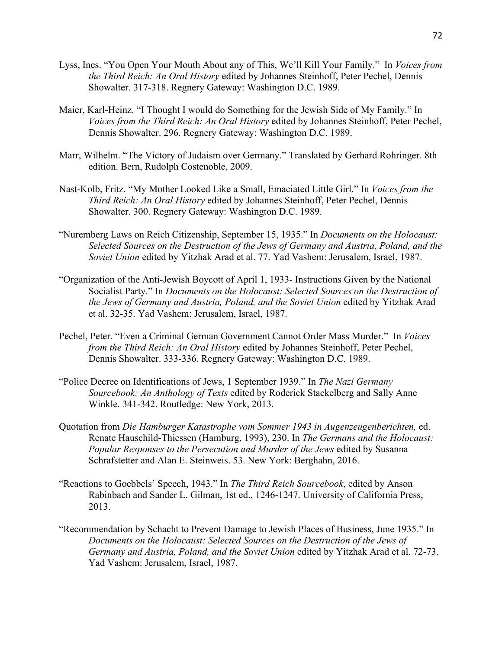- Lyss, Ines. "You Open Your Mouth About any of This, We'll Kill Your Family." In *Voices from the Third Reich: An Oral History* edited by Johannes Steinhoff, Peter Pechel, Dennis Showalter. 317-318. Regnery Gateway: Washington D.C. 1989.
- Maier, Karl-Heinz. "I Thought I would do Something for the Jewish Side of My Family." In *Voices from the Third Reich: An Oral History* edited by Johannes Steinhoff, Peter Pechel, Dennis Showalter. 296. Regnery Gateway: Washington D.C. 1989.
- Marr, Wilhelm. "The Victory of Judaism over Germany." Translated by Gerhard Rohringer. 8th edition. Bern, Rudolph Costenoble, 2009.
- Nast-Kolb, Fritz. "My Mother Looked Like a Small, Emaciated Little Girl." In *Voices from the Third Reich: An Oral History* edited by Johannes Steinhoff, Peter Pechel, Dennis Showalter. 300. Regnery Gateway: Washington D.C. 1989.
- "Nuremberg Laws on Reich Citizenship, September 15, 1935." In *Documents on the Holocaust: Selected Sources on the Destruction of the Jews of Germany and Austria, Poland, and the Soviet Union* edited by Yitzhak Arad et al. 77. Yad Vashem: Jerusalem, Israel, 1987.
- "Organization of the Anti-Jewish Boycott of April 1, 1933- Instructions Given by the National Socialist Party." In *Documents on the Holocaust: Selected Sources on the Destruction of the Jews of Germany and Austria, Poland, and the Soviet Union* edited by Yitzhak Arad et al. 32-35. Yad Vashem: Jerusalem, Israel, 1987.
- Pechel, Peter. "Even a Criminal German Government Cannot Order Mass Murder." In *Voices from the Third Reich: An Oral History* edited by Johannes Steinhoff, Peter Pechel, Dennis Showalter. 333-336. Regnery Gateway: Washington D.C. 1989.
- "Police Decree on Identifications of Jews, 1 September 1939." In *The Nazi Germany Sourcebook: An Anthology of Texts* edited by Roderick Stackelberg and Sally Anne Winkle. 341-342. Routledge: New York, 2013.
- Quotation from *Die Hamburger Katastrophe vom Sommer 1943 in Augenzeugenberichten,* ed. Renate Hauschild-Thiessen (Hamburg, 1993), 230. In *The Germans and the Holocaust: Popular Responses to the Persecution and Murder of the Jews* edited by Susanna Schrafstetter and Alan E. Steinweis. 53. New York: Berghahn, 2016.
- "Reactions to Goebbels' Speech, 1943." In *The Third Reich Sourcebook*, edited by Anson Rabinbach and Sander L. Gilman, 1st ed., 1246-1247. University of California Press, 2013.
- "Recommendation by Schacht to Prevent Damage to Jewish Places of Business, June 1935." In *Documents on the Holocaust: Selected Sources on the Destruction of the Jews of Germany and Austria, Poland, and the Soviet Union* edited by Yitzhak Arad et al. 72-73. Yad Vashem: Jerusalem, Israel, 1987.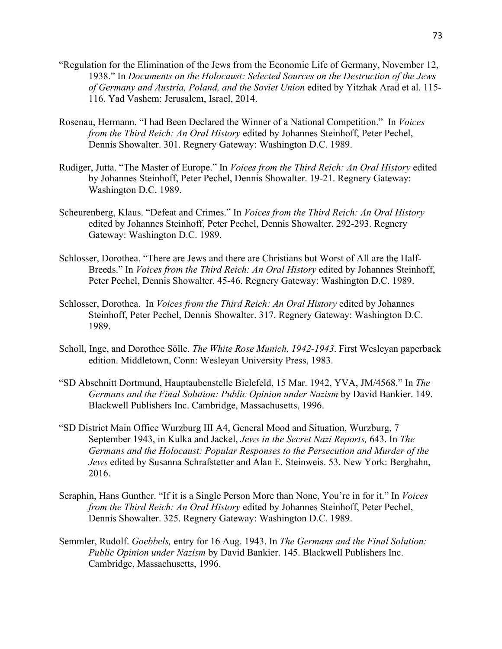- "Regulation for the Elimination of the Jews from the Economic Life of Germany, November 12, 1938." In *Documents on the Holocaust: Selected Sources on the Destruction of the Jews of Germany and Austria, Poland, and the Soviet Union* edited by Yitzhak Arad et al. 115- 116. Yad Vashem: Jerusalem, Israel, 2014.
- Rosenau, Hermann. "I had Been Declared the Winner of a National Competition." In *Voices from the Third Reich: An Oral History* edited by Johannes Steinhoff, Peter Pechel, Dennis Showalter. 301. Regnery Gateway: Washington D.C. 1989.
- Rudiger, Jutta. "The Master of Europe." In *Voices from the Third Reich: An Oral History* edited by Johannes Steinhoff, Peter Pechel, Dennis Showalter. 19-21. Regnery Gateway: Washington D.C. 1989.
- Scheurenberg, Klaus. "Defeat and Crimes." In *Voices from the Third Reich: An Oral History*  edited by Johannes Steinhoff, Peter Pechel, Dennis Showalter. 292-293. Regnery Gateway: Washington D.C. 1989.
- Schlosser, Dorothea. "There are Jews and there are Christians but Worst of All are the Half-Breeds." In *Voices from the Third Reich: An Oral History* edited by Johannes Steinhoff, Peter Pechel, Dennis Showalter. 45-46. Regnery Gateway: Washington D.C. 1989.
- Schlosser, Dorothea. In *Voices from the Third Reich: An Oral History* edited by Johannes Steinhoff, Peter Pechel, Dennis Showalter. 317. Regnery Gateway: Washington D.C. 1989.
- Scholl, Inge, and Dorothee Sölle. *The White Rose Munich, 1942-1943*. First Wesleyan paperback edition. Middletown, Conn: Wesleyan University Press, 1983.
- "SD Abschnitt Dortmund, Hauptaubenstelle Bielefeld, 15 Mar. 1942, YVA, JM/4568." In *The Germans and the Final Solution: Public Opinion under Nazism* by David Bankier. 149. Blackwell Publishers Inc. Cambridge, Massachusetts, 1996.
- "SD District Main Office Wurzburg III A4, General Mood and Situation, Wurzburg, 7 September 1943, in Kulka and Jackel, *Jews in the Secret Nazi Reports,* 643. In *The Germans and the Holocaust: Popular Responses to the Persecution and Murder of the Jews* edited by Susanna Schrafstetter and Alan E. Steinweis. 53. New York: Berghahn, 2016.
- Seraphin, Hans Gunther. "If it is a Single Person More than None, You're in for it." In *Voices from the Third Reich: An Oral History* edited by Johannes Steinhoff, Peter Pechel, Dennis Showalter. 325. Regnery Gateway: Washington D.C. 1989.
- Semmler, Rudolf. *Goebbels,* entry for 16 Aug. 1943. In *The Germans and the Final Solution: Public Opinion under Nazism* by David Bankier. 145. Blackwell Publishers Inc. Cambridge, Massachusetts, 1996.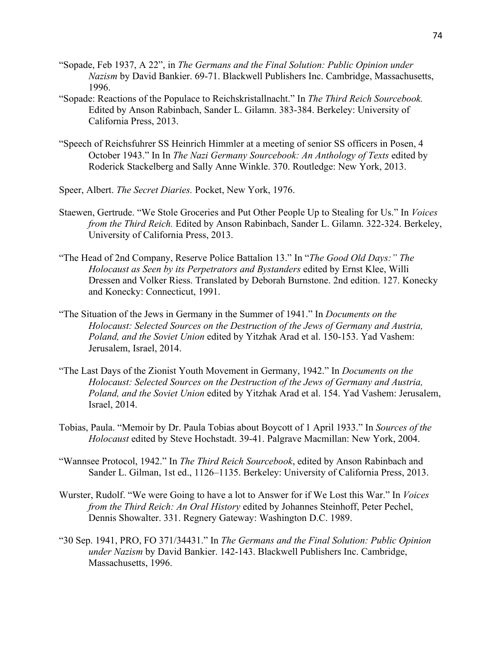- "Sopade, Feb 1937, A 22", in *The Germans and the Final Solution: Public Opinion under Nazism* by David Bankier. 69-71. Blackwell Publishers Inc. Cambridge, Massachusetts, 1996.
- "Sopade: Reactions of the Populace to Reichskristallnacht." In *The Third Reich Sourcebook.*  Edited by Anson Rabinbach, Sander L. Gilamn. 383-384. Berkeley: University of California Press, 2013.
- "Speech of Reichsfuhrer SS Heinrich Himmler at a meeting of senior SS officers in Posen, 4 October 1943." In In *The Nazi Germany Sourcebook: An Anthology of Texts* edited by Roderick Stackelberg and Sally Anne Winkle. 370. Routledge: New York, 2013.
- Speer, Albert. *The Secret Diaries.* Pocket, New York, 1976.
- Staewen, Gertrude. "We Stole Groceries and Put Other People Up to Stealing for Us." In *Voices from the Third Reich.* Edited by Anson Rabinbach, Sander L. Gilamn. 322-324. Berkeley, University of California Press, 2013.
- "The Head of 2nd Company, Reserve Police Battalion 13." In "*The Good Old Days:" The Holocaust as Seen by its Perpetrators and Bystanders* edited by Ernst Klee, Willi Dressen and Volker Riess. Translated by Deborah Burnstone. 2nd edition. 127. Konecky and Konecky: Connecticut, 1991.
- "The Situation of the Jews in Germany in the Summer of 1941." In *Documents on the Holocaust: Selected Sources on the Destruction of the Jews of Germany and Austria, Poland, and the Soviet Union* edited by Yitzhak Arad et al. 150-153. Yad Vashem: Jerusalem, Israel, 2014.
- "The Last Days of the Zionist Youth Movement in Germany, 1942." In *Documents on the Holocaust: Selected Sources on the Destruction of the Jews of Germany and Austria, Poland, and the Soviet Union* edited by Yitzhak Arad et al. 154. Yad Vashem: Jerusalem, Israel, 2014.
- Tobias, Paula. "Memoir by Dr. Paula Tobias about Boycott of 1 April 1933." In *Sources of the Holocaust* edited by Steve Hochstadt. 39-41. Palgrave Macmillan: New York, 2004.
- "Wannsee Protocol, 1942." In *The Third Reich Sourcebook*, edited by Anson Rabinbach and Sander L. Gilman, 1st ed., 1126–1135. Berkeley: University of California Press, 2013.
- Wurster, Rudolf. "We were Going to have a lot to Answer for if We Lost this War." In *Voices from the Third Reich: An Oral History* edited by Johannes Steinhoff, Peter Pechel, Dennis Showalter. 331. Regnery Gateway: Washington D.C. 1989.
- "30 Sep. 1941, PRO, FO 371/34431." In *The Germans and the Final Solution: Public Opinion under Nazism* by David Bankier. 142-143. Blackwell Publishers Inc. Cambridge, Massachusetts, 1996.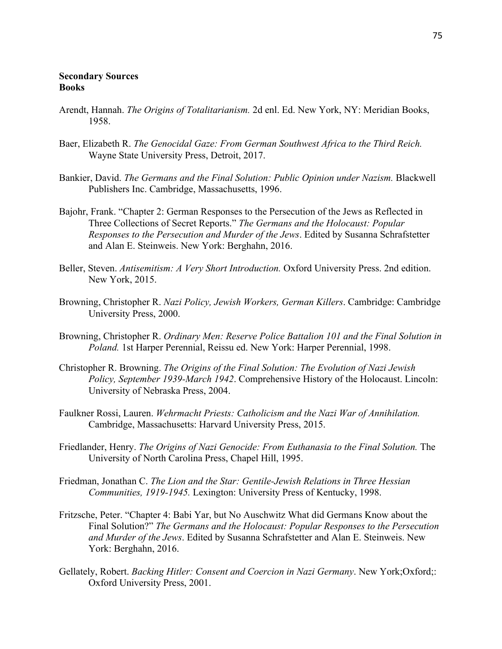## **Secondary Sources Books**

- Arendt, Hannah. *The Origins of Totalitarianism.* 2d enl. Ed. New York, NY: Meridian Books, 1958.
- Baer, Elizabeth R. *The Genocidal Gaze: From German Southwest Africa to the Third Reich.*  Wayne State University Press, Detroit, 2017.
- Bankier, David. *The Germans and the Final Solution: Public Opinion under Nazism.* Blackwell Publishers Inc. Cambridge, Massachusetts, 1996.
- Bajohr, Frank. "Chapter 2: German Responses to the Persecution of the Jews as Reflected in Three Collections of Secret Reports." *The Germans and the Holocaust: Popular Responses to the Persecution and Murder of the Jews*. Edited by Susanna Schrafstetter and Alan E. Steinweis. New York: Berghahn, 2016.
- Beller, Steven. *Antisemitism: A Very Short Introduction.* Oxford University Press. 2nd edition. New York, 2015.
- Browning, Christopher R. *Nazi Policy, Jewish Workers, German Killers*. Cambridge: Cambridge University Press, 2000.
- Browning, Christopher R. *Ordinary Men: Reserve Police Battalion 101 and the Final Solution in Poland.* 1st Harper Perennial, Reissu ed. New York: Harper Perennial, 1998.
- Christopher R. Browning. *The Origins of the Final Solution: The Evolution of Nazi Jewish Policy, September 1939-March 1942*. Comprehensive History of the Holocaust. Lincoln: University of Nebraska Press, 2004.
- Faulkner Rossi, Lauren. *Wehrmacht Priests: Catholicism and the Nazi War of Annihilation.*  Cambridge, Massachusetts: Harvard University Press, 2015.
- Friedlander, Henry. *The Origins of Nazi Genocide: From Euthanasia to the Final Solution.* The University of North Carolina Press, Chapel Hill, 1995.
- Friedman, Jonathan C. *The Lion and the Star: Gentile-Jewish Relations in Three Hessian Communities, 1919-1945.* Lexington: University Press of Kentucky, 1998.
- Fritzsche, Peter. "Chapter 4: Babi Yar, but No Auschwitz What did Germans Know about the Final Solution?" *The Germans and the Holocaust: Popular Responses to the Persecution and Murder of the Jews*. Edited by Susanna Schrafstetter and Alan E. Steinweis. New York: Berghahn, 2016.
- Gellately, Robert. *Backing Hitler: Consent and Coercion in Nazi Germany*. New York;Oxford;: Oxford University Press, 2001.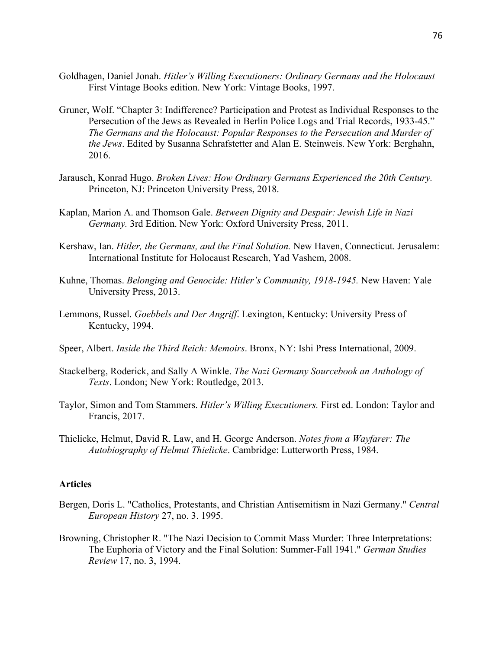- Goldhagen, Daniel Jonah. *Hitler's Willing Executioners: Ordinary Germans and the Holocaust*  First Vintage Books edition. New York: Vintage Books, 1997.
- Gruner, Wolf. "Chapter 3: Indifference? Participation and Protest as Individual Responses to the Persecution of the Jews as Revealed in Berlin Police Logs and Trial Records, 1933-45." *The Germans and the Holocaust: Popular Responses to the Persecution and Murder of the Jews*. Edited by Susanna Schrafstetter and Alan E. Steinweis. New York: Berghahn, 2016.
- Jarausch, Konrad Hugo. *Broken Lives: How Ordinary Germans Experienced the 20th Century.*  Princeton, NJ: Princeton University Press, 2018.
- Kaplan, Marion A. and Thomson Gale. *Between Dignity and Despair: Jewish Life in Nazi Germany.* 3rd Edition. New York: Oxford University Press, 2011.
- Kershaw, Ian. *Hitler, the Germans, and the Final Solution.* New Haven, Connecticut. Jerusalem: International Institute for Holocaust Research, Yad Vashem, 2008.
- Kuhne, Thomas. *Belonging and Genocide: Hitler's Community, 1918-1945.* New Haven: Yale University Press, 2013.
- Lemmons, Russel. *Goebbels and Der Angriff*. Lexington, Kentucky: University Press of Kentucky, 1994.
- Speer, Albert. *Inside the Third Reich: Memoirs*. Bronx, NY: Ishi Press International, 2009.
- Stackelberg, Roderick, and Sally A Winkle. *The Nazi Germany Sourcebook an Anthology of Texts*. London; New York: Routledge, 2013.
- Taylor, Simon and Tom Stammers. *Hitler's Willing Executioners.* First ed. London: Taylor and Francis, 2017.
- Thielicke, Helmut, David R. Law, and H. George Anderson. *Notes from a Wayfarer: The Autobiography of Helmut Thielicke*. Cambridge: Lutterworth Press, 1984.

## **Articles**

- Bergen, Doris L. "Catholics, Protestants, and Christian Antisemitism in Nazi Germany." *Central European History* 27, no. 3. 1995.
- Browning, Christopher R. "The Nazi Decision to Commit Mass Murder: Three Interpretations: The Euphoria of Victory and the Final Solution: Summer-Fall 1941." *German Studies Review* 17, no. 3, 1994.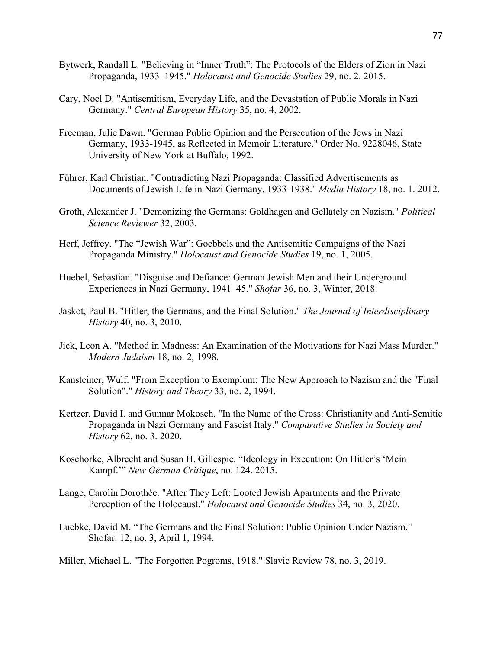- Bytwerk, Randall L. "Believing in "Inner Truth": The Protocols of the Elders of Zion in Nazi Propaganda, 1933–1945." *Holocaust and Genocide Studies* 29, no. 2. 2015.
- Cary, Noel D. "Antisemitism, Everyday Life, and the Devastation of Public Morals in Nazi Germany." *Central European History* 35, no. 4, 2002.
- Freeman, Julie Dawn. "German Public Opinion and the Persecution of the Jews in Nazi Germany, 1933-1945, as Reflected in Memoir Literature." Order No. 9228046, State University of New York at Buffalo, 1992.
- Führer, Karl Christian. "Contradicting Nazi Propaganda: Classified Advertisements as Documents of Jewish Life in Nazi Germany, 1933-1938." *Media History* 18, no. 1. 2012.
- Groth, Alexander J. "Demonizing the Germans: Goldhagen and Gellately on Nazism." *Political Science Reviewer* 32, 2003.
- Herf, Jeffrey. "The "Jewish War": Goebbels and the Antisemitic Campaigns of the Nazi Propaganda Ministry." *Holocaust and Genocide Studies* 19, no. 1, 2005.
- Huebel, Sebastian. "Disguise and Defiance: German Jewish Men and their Underground Experiences in Nazi Germany, 1941–45." *Shofar* 36, no. 3, Winter, 2018.
- Jaskot, Paul B. "Hitler, the Germans, and the Final Solution." *The Journal of Interdisciplinary History* 40, no. 3, 2010.
- Jick, Leon A. "Method in Madness: An Examination of the Motivations for Nazi Mass Murder." *Modern Judaism* 18, no. 2, 1998.
- Kansteiner, Wulf. "From Exception to Exemplum: The New Approach to Nazism and the "Final Solution"." *History and Theory* 33, no. 2, 1994.
- Kertzer, David I. and Gunnar Mokosch. "In the Name of the Cross: Christianity and Anti-Semitic Propaganda in Nazi Germany and Fascist Italy." *Comparative Studies in Society and History* 62, no. 3. 2020.
- Koschorke, Albrecht and Susan H. Gillespie. "Ideology in Execution: On Hitler's 'Mein Kampf.'" *New German Critique*, no. 124. 2015.
- Lange, Carolin Dorothée. "After They Left: Looted Jewish Apartments and the Private Perception of the Holocaust." *Holocaust and Genocide Studies* 34, no. 3, 2020.
- Luebke, David M. "The Germans and the Final Solution: Public Opinion Under Nazism." Shofar. 12, no. 3, April 1, 1994.
- Miller, Michael L. "The Forgotten Pogroms, 1918." Slavic Review 78, no. 3, 2019.